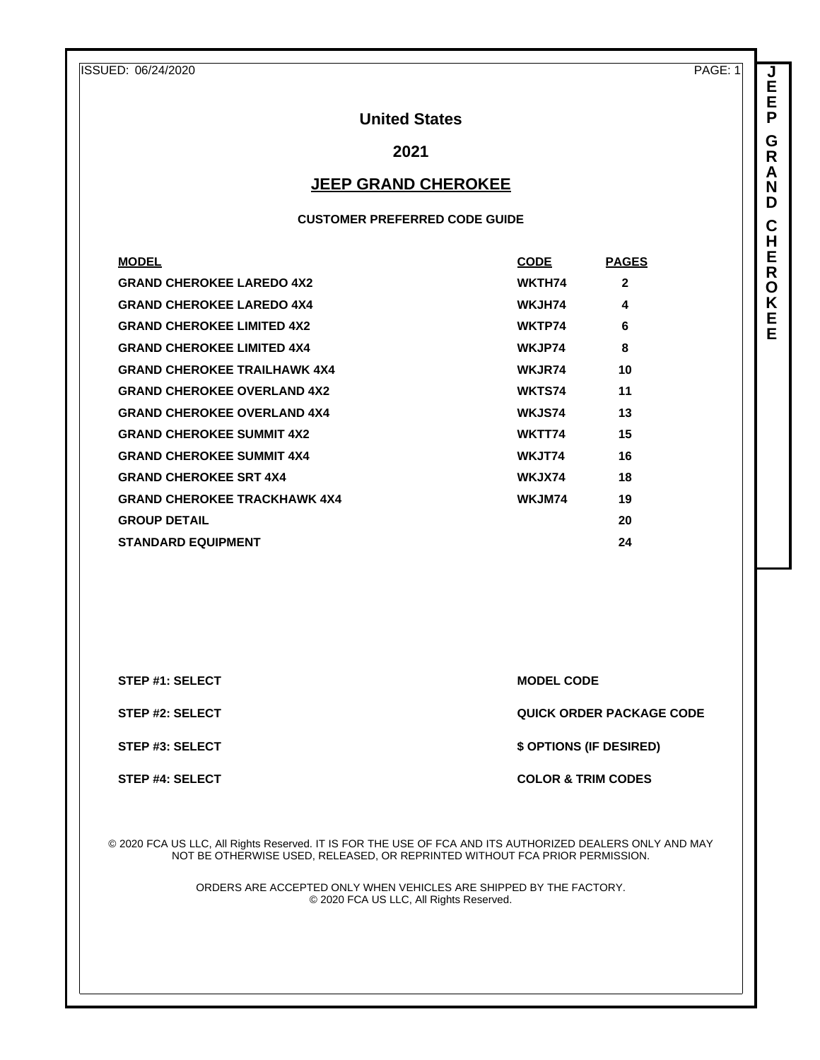**J E E P G R A N D C H E R O K E E**

# **United States**

# **2021**

## **JEEP GRAND CHEROKEE**

#### **CUSTOMER PREFERRED CODE GUIDE**

| <b>MODEL</b>                        | <b>CODE</b>   | <b>PAGES</b> |
|-------------------------------------|---------------|--------------|
| <b>GRAND CHEROKEE LAREDO 4X2</b>    | WKTH74        | $\mathbf{2}$ |
| <b>GRAND CHEROKEE LAREDO 4X4</b>    | WKJH74        | 4            |
| <b>GRAND CHEROKEE LIMITED 4X2</b>   | WKTP74        | 6            |
| <b>GRAND CHEROKEE LIMITED 4X4</b>   | WKJP74        | 8            |
| <b>GRAND CHEROKEE TRAILHAWK 4X4</b> | <b>WKJR74</b> | 10           |
| <b>GRAND CHEROKEE OVERLAND 4X2</b>  | WKTS74        | 11           |
| <b>GRAND CHEROKEE OVERLAND 4X4</b>  | <b>WKJS74</b> | 13           |
| <b>GRAND CHEROKEE SUMMIT 4X2</b>    | WKTT74        | 15           |
| <b>GRAND CHEROKEE SUMMIT 4X4</b>    | WKJT74        | 16           |
| <b>GRAND CHEROKEE SRT 4X4</b>       | WKJX74        | 18           |
| <b>GRAND CHEROKEE TRACKHAWK 4X4</b> | WKJM74        | 19           |
| <b>GROUP DETAIL</b>                 |               | 20           |
| <b>STANDARD EQUIPMENT</b>           |               | 24           |

**STEP #1: SELECT MODEL CODE** 

**STEP #2: SELECT QUICK ORDER PACKAGE CODE**

**STEP #3: SELECT \$ OPTIONS (IF DESIRED)**

**STEP #4: SELECT COLOR & TRIM CODES** 

© 2020 FCA US LLC, All Rights Reserved. IT IS FOR THE USE OF FCA AND ITS AUTHORIZED DEALERS ONLY AND MAY NOT BE OTHERWISE USED, RELEASED, OR REPRINTED WITHOUT FCA PRIOR PERMISSION.

> ORDERS ARE ACCEPTED ONLY WHEN VEHICLES ARE SHIPPED BY THE FACTORY. © 2020 FCA US LLC, All Rights Reserved.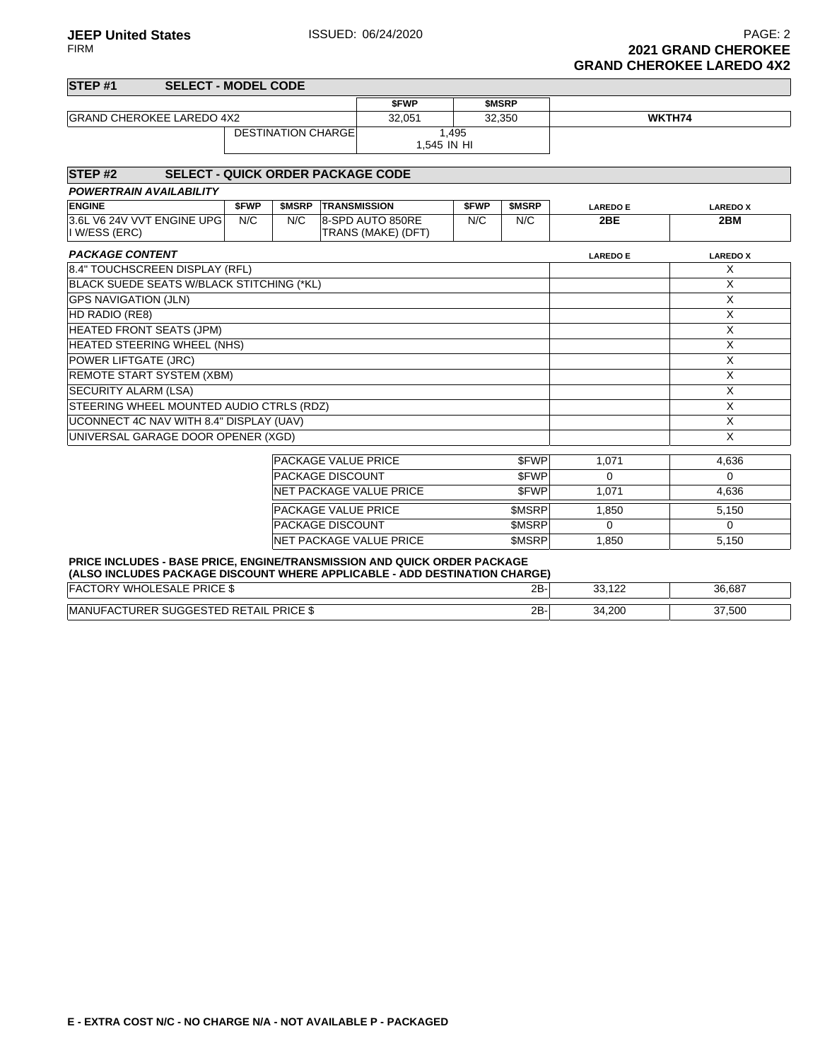**JEEP United States ISSUED: 06/24/2020** PAGE: 2<br>FIRM **PAGE: 2 2021 GRAND CHEROKEE GRAND CHEROKEE LAREDO 4X2**

| STEP #1                                     | <b>SELECT - MODEL CODE</b>               |             |                            |                     |                                        |             |              |                 |                 |
|---------------------------------------------|------------------------------------------|-------------|----------------------------|---------------------|----------------------------------------|-------------|--------------|-----------------|-----------------|
|                                             |                                          |             |                            |                     | <b>SFWP</b>                            |             | <b>SMSRP</b> |                 |                 |
| <b>GRAND CHEROKEE LAREDO 4X2</b>            |                                          |             | 32,051                     |                     | 32,350                                 |             | WKTH74       |                 |                 |
|                                             |                                          |             | <b>DESTINATION CHARGE</b>  |                     | 1.545 IN HI                            | 1,495       |              |                 |                 |
| STEP <sub>#2</sub>                          | <b>SELECT - QUICK ORDER PACKAGE CODE</b> |             |                            |                     |                                        |             |              |                 |                 |
| <b>POWERTRAIN AVAILABILITY</b>              |                                          |             |                            |                     |                                        |             |              |                 |                 |
| <b>ENGINE</b>                               |                                          | <b>SFWP</b> | \$MSRP                     | <b>TRANSMISSION</b> |                                        | <b>SFWP</b> | \$MSRP       | <b>LAREDO E</b> | <b>LAREDO X</b> |
| 3.6L V6 24V VVT ENGINE UPG<br>I W/ESS (ERC) |                                          | N/C         | N/C                        |                     | 8-SPD AUTO 850RE<br>TRANS (MAKE) (DFT) | N/C         | N/C          | 2BE             | 2BM             |
| <b>PACKAGE CONTENT</b>                      |                                          |             |                            |                     |                                        |             |              | <b>LAREDO E</b> | <b>LAREDO X</b> |
| 8.4" TOUCHSCREEN DISPLAY (RFL)              |                                          |             |                            |                     |                                        |             |              |                 | X               |
| BLACK SUEDE SEATS W/BLACK STITCHING (*KL)   |                                          |             |                            |                     |                                        |             |              |                 | X               |
| <b>GPS NAVIGATION (JLN)</b>                 |                                          |             |                            |                     | $\times$                               |             |              |                 |                 |
| HD RADIO (RE8)                              |                                          |             |                            |                     | $\times$                               |             |              |                 |                 |
| <b>HEATED FRONT SEATS (JPM)</b>             |                                          |             |                            |                     | X                                      |             |              |                 |                 |
| HEATED STEERING WHEEL (NHS)                 |                                          |             |                            |                     | $\times$                               |             |              |                 |                 |
| POWER LIFTGATE (JRC)                        |                                          |             |                            |                     |                                        |             |              |                 | X               |
| <b>REMOTE START SYSTEM (XBM)</b>            |                                          |             |                            |                     |                                        |             |              |                 | $\times$        |
| <b>SECURITY ALARM (LSA)</b>                 |                                          |             |                            |                     |                                        |             |              |                 | X               |
| STEERING WHEEL MOUNTED AUDIO CTRLS (RDZ)    |                                          |             |                            |                     |                                        |             |              |                 | X               |
| UCONNECT 4C NAV WITH 8.4" DISPLAY (UAV)     |                                          |             |                            |                     |                                        |             |              |                 | $\times$        |
| UNIVERSAL GARAGE DOOR OPENER (XGD)          |                                          |             |                            |                     |                                        |             |              |                 | $\times$        |
|                                             |                                          |             | <b>PACKAGE VALUE PRICE</b> |                     |                                        |             | \$FWP        | 1,071           | 4,636           |
|                                             |                                          |             | <b>PACKAGE DISCOUNT</b>    |                     |                                        |             | <b>SFWP</b>  | $\Omega$        | $\Omega$        |
|                                             |                                          |             |                            |                     | <b>NET PACKAGE VALUE PRICE</b>         |             | <b>SFWP</b>  | 1,071           | 4,636           |
|                                             |                                          |             | <b>PACKAGE VALUE PRICE</b> |                     |                                        |             | <b>SMSRP</b> | 1,850           | 5,150           |
|                                             |                                          |             | <b>PACKAGE DISCOUNT</b>    |                     |                                        |             | <b>SMSRP</b> | $\Omega$        | 0               |
|                                             |                                          |             |                            |                     | <b>NET PACKAGE VALUE PRICE</b>         |             | <b>SMSRP</b> | 1,850           | 5,150           |

**(ALSO INCLUDES PACKAGE DISCOUNT WHERE APPLICABLE - ADD DESTINATION CHARGE)**

| <b>PRICE \$</b><br>_<br>\\/I LI<br>' – ^<br>5A                                                                | 2B- | $\sqrt{2}$<br>$\sim$<br>ື<br>--- | 36.687 |
|---------------------------------------------------------------------------------------------------------------|-----|----------------------------------|--------|
| PRICE \$<br>$\ddot{\phantom{1}}$<br><b>MAN</b><br><b>IRFR</b><br>:I AIL<br>-AC<br>- ⊷<br>$\ddot{\phantom{0}}$ | 2B  | 4,200<br>34<br>- •               | 37,500 |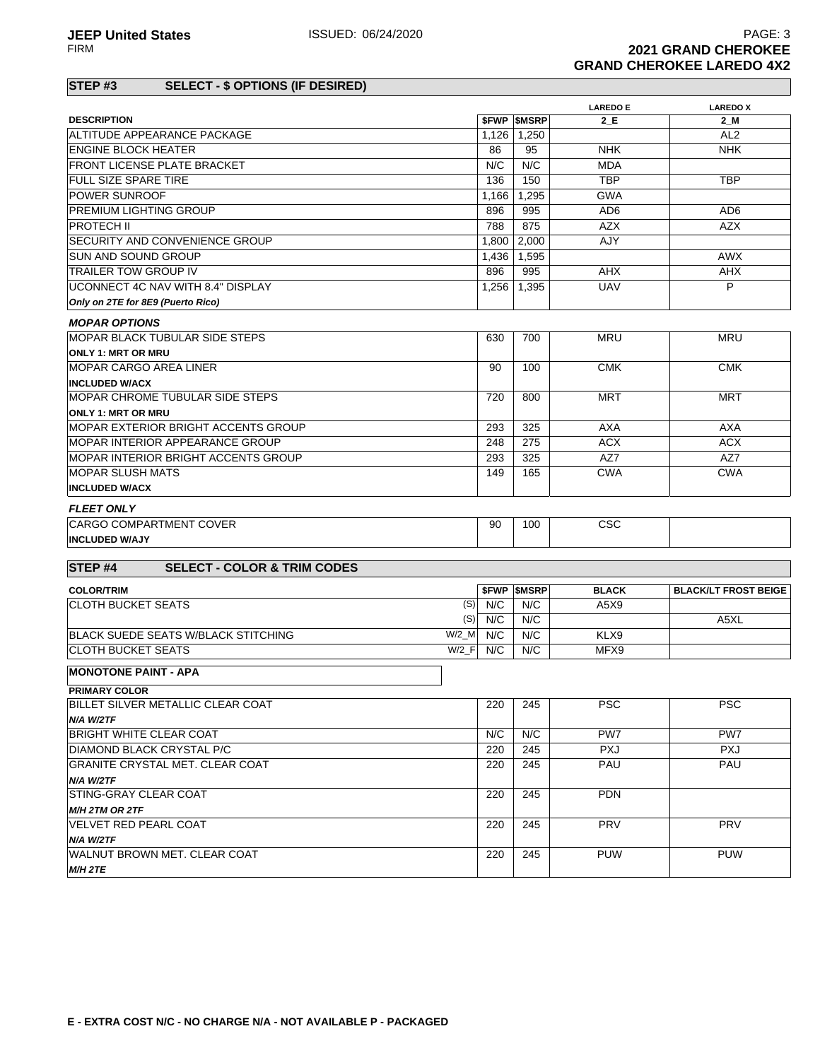### **STEP #3 SELECT - \$ OPTIONS (IF DESIRED)**

|                                                         |           |                          | <b>LAREDO E</b> | <b>LAREDOX</b>              |
|---------------------------------------------------------|-----------|--------------------------|-----------------|-----------------------------|
| <b>DESCRIPTION</b>                                      |           | <b><i>SFWP SMSRP</i></b> | 2 E             | 2 M                         |
| ALTITUDE APPEARANCE PACKAGE                             | 1,126     | 1,250                    |                 | AL <sub>2</sub>             |
| ENGINE BLOCK HEATER                                     | 86        | 95                       | <b>NHK</b>      | <b>NHK</b>                  |
| <b>FRONT LICENSE PLATE BRACKET</b>                      | N/C       | N/C                      | <b>MDA</b>      |                             |
| <b>FULL SIZE SPARE TIRE</b>                             | 136       | 150                      | <b>TBP</b>      | <b>TBP</b>                  |
| <b>POWER SUNROOF</b>                                    | 1,166     | 1,295                    | <b>GWA</b>      |                             |
| <b>PREMIUM LIGHTING GROUP</b>                           | 896       | 995                      | AD <sub>6</sub> | AD <sub>6</sub>             |
| IPROTECH II                                             | 788       | 875                      | <b>AZX</b>      | <b>AZX</b>                  |
| SECURITY AND CONVENIENCE GROUP                          | 1,800     | 2,000                    | AJY             |                             |
| <b>SUN AND SOUND GROUP</b>                              | 1,436     | 1,595                    |                 | <b>AWX</b>                  |
| <b>TRAILER TOW GROUP IV</b>                             | 896       | 995                      | <b>AHX</b>      | <b>AHX</b>                  |
| UCONNECT 4C NAV WITH 8.4" DISPLAY                       | 1.256     | 1,395                    | <b>UAV</b>      | P                           |
| Only on 2TE for 8E9 (Puerto Rico)                       |           |                          |                 |                             |
| <b>MOPAR OPTIONS</b>                                    |           |                          |                 |                             |
| IMOPAR BLACK TUBULAR SIDE STEPS                         | 630       | 700                      | <b>MRU</b>      | <b>MRU</b>                  |
| <b>ONLY 1: MRT OR MRU</b>                               |           |                          |                 |                             |
| <b>MOPAR CARGO AREA LINER</b>                           | 90        | 100                      | <b>CMK</b>      | <b>CMK</b>                  |
| <b>INCLUDED W/ACX</b>                                   |           |                          |                 |                             |
| MOPAR CHROME TUBULAR SIDE STEPS                         | 720       | 800                      | MRT             | MRT                         |
| <b>ONLY 1: MRT OR MRU</b>                               |           |                          |                 |                             |
| MOPAR EXTERIOR BRIGHT ACCENTS GROUP                     | 293       | 325                      | <b>AXA</b>      | <b>AXA</b>                  |
| MOPAR INTERIOR APPEARANCE GROUP                         | 248       | 275                      | <b>ACX</b>      | <b>ACX</b>                  |
| MOPAR INTERIOR BRIGHT ACCENTS GROUP                     | 293       | 325                      | AZ7             | AZ7                         |
| <b>IMOPAR SLUSH MATS</b>                                | 149       | 165                      | <b>CWA</b>      | <b>CWA</b>                  |
| <b>INCLUDED W/ACX</b>                                   |           |                          |                 |                             |
| <b>FLEET ONLY</b>                                       |           |                          |                 |                             |
| <b>CARGO COMPARTMENT COVER</b>                          | 90        | 100                      | CSC             |                             |
| <b>INCLUDED W/AJY</b>                                   |           |                          |                 |                             |
|                                                         |           |                          |                 |                             |
| <b>STEP#4</b><br><b>SELECT - COLOR &amp; TRIM CODES</b> |           |                          |                 |                             |
| <b>COLOR/TRIM</b>                                       |           | <b><i>SFWP SMSRP</i></b> | <b>BLACK</b>    | <b>BLACK/LT FROST BEIGE</b> |
| ICLOTH BUCKET SEATS                                     | $(S)$ N/C | N/C                      | A5X9            |                             |
|                                                         | $(S)$ N/C | N/C                      |                 | A5XL                        |
| BLACK SUEDE SEATS W/BLACK STITCHING<br>$W/2$ M          | N/C       | N/C                      | KLX9            |                             |
| $W/2$ <sub>F</sub><br> CLOTH BUCKET SEATS               | N/C       | N/C                      | MFX9            |                             |
| <b>MONOTONE PAINT - APA</b>                             |           |                          |                 |                             |
| <b>PRIMARY COLOR</b>                                    |           |                          |                 |                             |
| BILLET SILVER METALLIC CLEAR COAT                       | 220       | 245                      | <b>PSC</b>      | <b>PSC</b>                  |
| N/A W/2TF                                               |           |                          |                 |                             |
| <b>BRIGHT WHITE CLEAR COAT</b>                          | N/C       | N/C                      | PW7             | PW7                         |
| DIAMOND BLACK CRYSTAL P/C                               | 220       | 245                      | <b>PXJ</b>      | <b>PXJ</b>                  |
| <b>GRANITE CRYSTAL MET. CLEAR COAT</b>                  | 220       | 245                      | PAU             | PAU                         |
| N/A W/2TF                                               |           |                          |                 |                             |
| STING-GRAY CLEAR COAT                                   | 220       | 245                      | <b>PDN</b>      |                             |
| M/H 2TM OR 2TF                                          |           |                          |                 |                             |
| <b>VELVET RED PEARL COAT</b>                            | 220       | 245                      | <b>PRV</b>      | PRV                         |
| N/A W/2TF                                               |           |                          |                 |                             |
| WALNUT BROWN MET. CLEAR COAT                            | 220       | 245                      | <b>PUW</b>      | <b>PUW</b>                  |
| M/H 2TE                                                 |           |                          |                 |                             |
|                                                         |           |                          |                 |                             |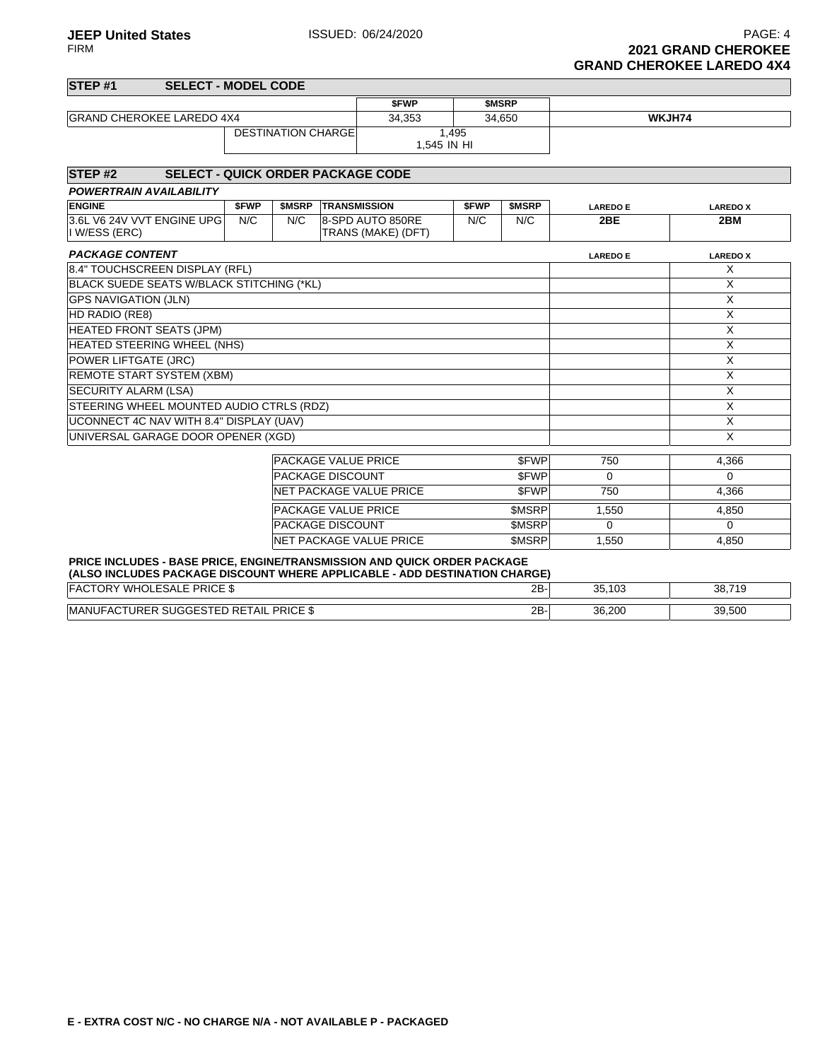**JEEP United States ISSUED: 06/24/2020 PAGE: 4 PAGE: 4 PAGE: 4** FIRM **2021 GRAND CHEROKEE GRAND CHEROKEE LAREDO 4X4**

#### **STEP #1 SELECT - MODEL CODE \$FWP \$MSRP** GRAND CHEROKEE LAREDO 4X4 34,353 34,650 WKJH74 DESTINATION CHARGE 1,495 1,545 IN HI **STEP #2 SELECT - QUICK ORDER PACKAGE CODE POWERTRAIN AVAILABILITY ENGINE \$FWP \$MSRP TRANSMISSION \$FWP \$MSRP LAREDO E LAREDO X** 3.6L V6 24V VVT ENGINE UPG I W/ESS (ERC) N/C N/C 8-SPD AUTO 850RE TRANS (MAKE) (DFT) N/C N/C **2BE 2BM PACKAGE CONTENT LAREDO X LAREDO X LAREDO X LAREDO X LAREDO X LAREDO X LAREDO X LAREDO X** 8.4" TOUCHSCREEN DISPLAY (RFL) X BLACK SUEDE SEATS W/BLACK STITCHING (\*KL) X GPS NAVIGATION (JLN) X HD RADIO (RE8) X HEATED FRONT SEATS (JPM) X HEATED STEERING WHEEL (NHS) NOTED SEE THE SEE THE SEE THE SEE THE SEE THE SEE THE SEE THE SEE THE SEE THE SEE THE SEE THE SEE THE SEE THE SEE THE SEE THE SEE THE SEE THE SEE THE SEE THE SEE THE SEE THE SEE THE SEE THE SEE POWER LIFTGATE (JRC) X REMOTE START SYSTEM (XBM) X X SECURITY ALARM (LSA) X STEERING WHEEL MOUNTED AUDIO CTRLS (RDZ) NAMED AND STEERING WHEEL MOUNTED AUDIO CTRLS (RDZ) UCONNECT 4C NAV WITH 8.4" DISPLAY (UAV) X X UNIVERSAL GARAGE DOOR OPENER (XGD) X

| <b>PACKAGE VALUE PRICE</b>      | \$FWP        | 750   | 4.366 |
|---------------------------------|--------------|-------|-------|
| <b>PACKAGE DISCOUNT</b>         | <b>SFWP</b>  |       |       |
| <b>INET PACKAGE VALUE PRICE</b> | <b>SFWP</b>  | 750   | 4.366 |
| <b>PACKAGE VALUE PRICE</b>      | <b>SMSRP</b> | 1.550 | 4.850 |
| <b>PACKAGE DISCOUNT</b>         | <b>SMSRP</b> |       |       |
| <b>INET PACKAGE VALUE PRICE</b> | <b>SMSRP</b> | 1.550 | 4.850 |
|                                 |              |       |       |

#### **PRICE INCLUDES - BASE PRICE, ENGINE/TRANSMISSION AND QUICK ORDER PACKAGE (ALSO INCLUDES PACKAGE DISCOUNT WHERE APPLICABLE - ADD DESTINATION CHARGE)**

| <b>PRICE \$</b><br><b>WH</b><br>'י<br>⊢SA<br>ີ                     | 2B | 25.422<br><b>JJ.IUJ</b> | 38.710<br><u>ູບບ</u><br>. . |
|--------------------------------------------------------------------|----|-------------------------|-----------------------------|
| <b>PRICE S</b><br><b>MA</b><br>∆ Nii<br>TAIL I<br>41 L<br>(¬⊫<br>◝ | 2B | 36,200                  | <b>30 500</b><br>ວອ,ວບບ     |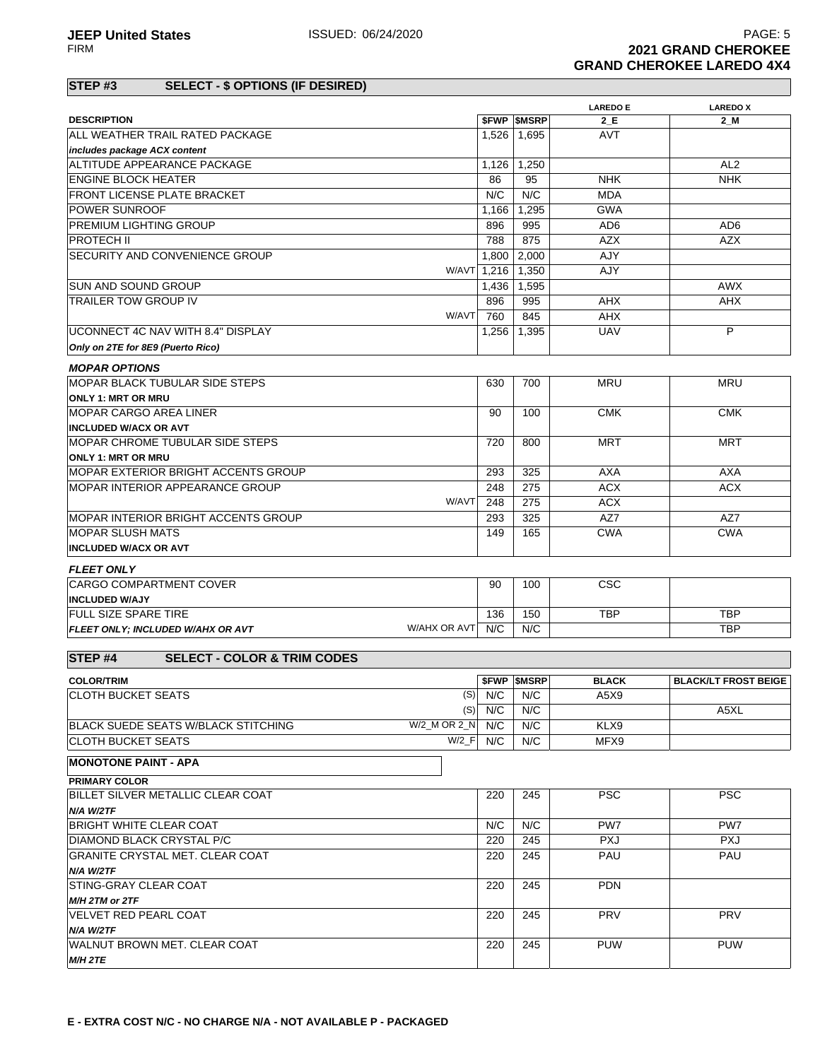### **STEP #3 SELECT - \$ OPTIONS (IF DESIRED)**

|                                                              |           |                                 | <b>LAREDO E</b>      | <b>LAREDOX</b>              |
|--------------------------------------------------------------|-----------|---------------------------------|----------------------|-----------------------------|
| <b>DESCRIPTION</b>                                           |           | <b><i>SFWP SMSRP</i></b>        | 2 E                  | 2 M                         |
| ALL WEATHER TRAIL RATED PACKAGE                              | 1,526     | 1,695                           | <b>AVT</b>           |                             |
| includes package ACX content                                 |           |                                 |                      |                             |
| ALTITUDE APPEARANCE PACKAGE                                  | 1,126     | 1,250                           |                      | AL <sub>2</sub>             |
| <b>ENGINE BLOCK HEATER</b>                                   | 86        | 95                              | <b>NHK</b>           | <b>NHK</b>                  |
| <b>FRONT LICENSE PLATE BRACKET</b>                           | N/C       | N/C                             | <b>MDA</b>           |                             |
| <b>POWER SUNROOF</b>                                         | 1,166     | 1,295                           | <b>GWA</b>           |                             |
| <b>PREMIUM LIGHTING GROUP</b>                                | 896       | 995                             | AD <sub>6</sub>      | AD <sub>6</sub>             |
| <b>PROTECH II</b>                                            | 788       | 875                             | <b>AZX</b>           | <b>AZX</b>                  |
| <b>SECURITY AND CONVENIENCE GROUP</b>                        | 1,800     | 2,000                           | AJY                  |                             |
| W/AVT 1,216                                                  |           | 1,350                           | AJY                  |                             |
| <b>SUN AND SOUND GROUP</b>                                   | 1,436     | 1,595                           |                      | <b>AWX</b>                  |
| <b>TRAILER TOW GROUP IV</b>                                  | 896       | 995                             | <b>AHX</b>           | <b>AHX</b>                  |
| W/AVT                                                        | 760       | 845                             | AHX                  |                             |
| UCONNECT 4C NAV WITH 8.4" DISPLAY                            | 1,256     | 1,395                           | <b>UAV</b>           | P                           |
| Only on 2TE for 8E9 (Puerto Rico)                            |           |                                 |                      |                             |
| <b>MOPAR OPTIONS</b>                                         |           |                                 |                      |                             |
| <b>MOPAR BLACK TUBULAR SIDE STEPS</b>                        | 630       | 700                             | <b>MRU</b>           | <b>MRU</b>                  |
| <b>ONLY 1: MRT OR MRU</b>                                    |           |                                 |                      |                             |
| <b>MOPAR CARGO AREA LINER</b>                                | 90        | 100                             | <b>CMK</b>           | <b>CMK</b>                  |
| <b>INCLUDED W/ACX OR AVT</b>                                 |           |                                 |                      |                             |
| MOPAR CHROME TUBULAR SIDE STEPS                              | 720       | 800                             | <b>MRT</b>           | <b>MRT</b>                  |
| <b>ONLY 1: MRT OR MRU</b>                                    |           |                                 |                      |                             |
| <b>IMOPAR EXTERIOR BRIGHT ACCENTS GROUP</b>                  | 293       | 325                             | <b>AXA</b>           | <b>AXA</b>                  |
| <b>MOPAR INTERIOR APPEARANCE GROUP</b>                       | 248       | 275                             | <b>ACX</b>           | <b>ACX</b>                  |
| W/AVT                                                        | 248       | 275                             | <b>ACX</b>           |                             |
| IMOPAR INTERIOR BRIGHT ACCENTS GROUP                         | 293       | 325                             | AZ7                  | AZ7                         |
| <b>MOPAR SLUSH MATS</b>                                      | 149       | 165                             | <b>CWA</b>           | <b>CWA</b>                  |
| <b>INCLUDED W/ACX OR AVT</b>                                 |           |                                 |                      |                             |
| <b>FLEET ONLY</b>                                            |           |                                 |                      |                             |
| <b>CARGO COMPARTMENT COVER</b>                               | 90        | 100                             | <b>CSC</b>           |                             |
| <b>INCLUDED W/AJY</b>                                        |           |                                 |                      |                             |
| <b>FULL SIZE SPARE TIRE</b>                                  | 136       | 150                             | <b>TBP</b>           | <b>TBP</b>                  |
| W/AHX OR AVT<br>FLEET ONLY; INCLUDED W/AHX OR AVT            | N/C       | N/C                             |                      | <b>TBP</b>                  |
|                                                              |           |                                 |                      |                             |
| STEP <sub>#4</sub><br><b>SELECT - COLOR &amp; TRIM CODES</b> |           |                                 |                      |                             |
|                                                              |           |                                 |                      |                             |
| <b>COLOR/TRIM</b><br><b>CLOTH BUCKET SEATS</b>               | $(S)$ N/C | <b><i>SFWP SMSRP</i></b><br>N/C | <b>BLACK</b><br>A5X9 | <b>BLACK/LT FROST BEIGE</b> |
| (S)                                                          | N/C       | N/C                             |                      | A5XL                        |
| W/2_M OR 2_N<br>BLACK SUEDE SEATS W/BLACK STITCHING          | N/C       | N/C                             | KLX9                 |                             |
| $W/2$ <sub>_F</sub><br>ICLOTH BUCKET SEATS                   | N/C       | N/C                             | MFX9                 |                             |
|                                                              |           |                                 |                      |                             |
| <b>MONOTONE PAINT - APA</b>                                  |           |                                 |                      |                             |
| <b>PRIMARY COLOR</b>                                         |           |                                 |                      |                             |
| BILLET SILVER METALLIC CLEAR COAT                            | 220       | 245                             | <b>PSC</b>           | <b>PSC</b>                  |
| N/A W/2TF                                                    |           |                                 |                      |                             |
| <b>BRIGHT WHITE CLEAR COAT</b>                               | N/C       | N/C                             | PW7                  | PW7                         |
| DIAMOND BLACK CRYSTAL P/C                                    | 220       | 245                             | <b>PXJ</b>           | <b>PXJ</b>                  |
| GRANITE CRYSTAL MET. CLEAR COAT                              | 220       | 245                             | PAU                  | PAU                         |
| N/A W/2TF                                                    |           |                                 |                      |                             |
| STING-GRAY CLEAR COAT                                        | 220       | 245                             | <b>PDN</b>           |                             |
| M/H 2TM or 2TF                                               |           |                                 |                      |                             |
| IVELVET RED PEARL COAT                                       | 220       | 245                             | <b>PRV</b>           | <b>PRV</b>                  |
| N/A W/2TF                                                    |           |                                 |                      |                             |
| WALNUT BROWN MET. CLEAR COAT                                 | 220       | 245                             | <b>PUW</b>           | PUW                         |
| M/H 2TE                                                      |           |                                 |                      |                             |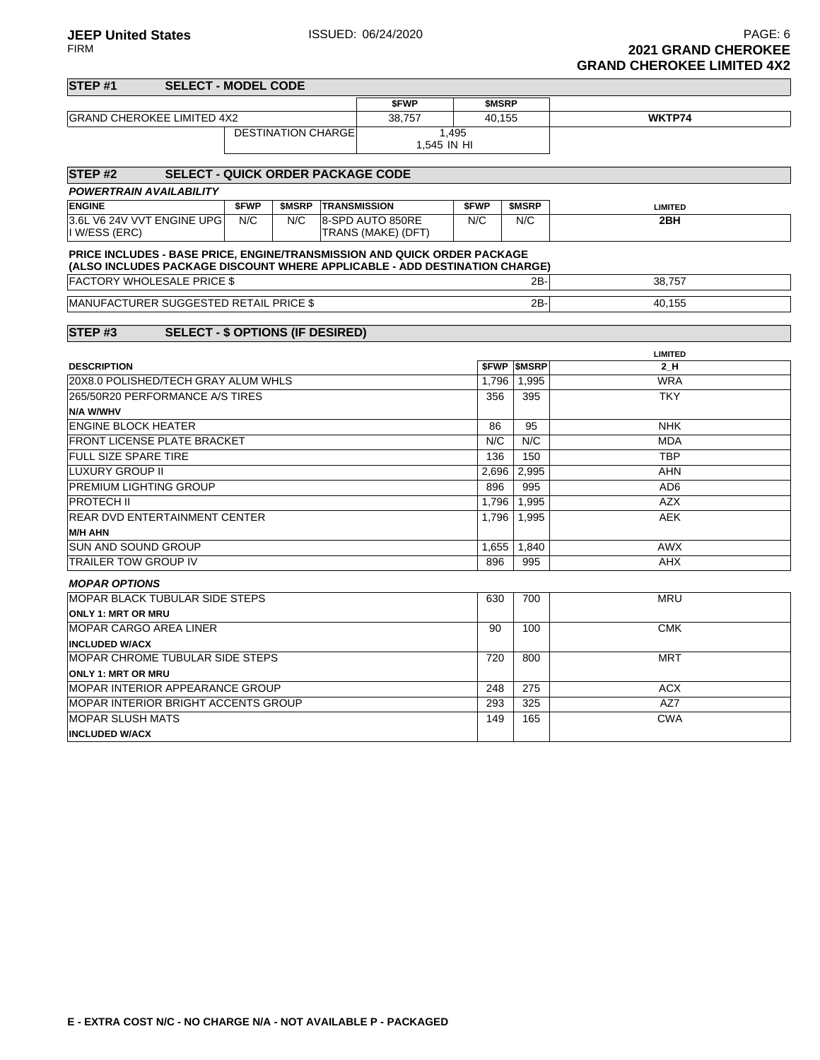MOPAR SLUSH MATS **INCLUDED W/ACX**

#### **STEP #1 SELECT - MODEL CODE \$FWP \$MSRP GRAND CHEROKEE LIMITED 4X2** 38,757 40,155 **WKTP74** DESTINATION CHARGE 1,495 1,545 IN HI **STEP #2 SELECT - QUICK ORDER PACKAGE CODE POWERTRAIN AVAILABILITY ENGINE \$FWP \$MSRP TRANSMISSION \$FWP \$MSRP LIMITED** 3.6L V6 24V VVT ENGINE UPG I W/ESS (ERC) N/C N/C 8-SPD AUTO 850RE TRANS (MAKE) (DFT) N/C N/C **2BH PRICE INCLUDES - BASE PRICE, ENGINE/TRANSMISSION AND QUICK ORDER PACKAGE (ALSO INCLUDES PACKAGE DISCOUNT WHERE APPLICABLE - ADD DESTINATION CHARGE)** FACTORY WHOLESALE PRICE \$ 2B- 38,757 MANUFACTURER SUGGESTED RETAIL PRICE \$ 2B- 2B- 40,155 **STEP #3 SELECT - \$ OPTIONS (IF DESIRED) LIMITED DESCRIPTION \$FWP \$MSRP 2\_H** 20X8.0 POLISHED/TECH GRAY ALUM WHLS 1,796 1,995 1,995 WRA 265/50R20 PERFORMANCE A/S TIRES **N/A W/WHV** 356 395 TKY ENGINE BLOCK HEATER NHK FRONT LICENSE PLATE BRACKET NEXT AND A RESERVE THE MODE OF A RESERVE THE MODE OF A RESERVE THE MODE OF A RESERVE THE MODE OF A RESERVE THE MODE OF A RESERVE THE MODE OF A RESERVE THE MODE OF A RESERVE THE MODE OF A RESERVE FULL SIZE SPARE TIRE **136 150 TBP** LUXURY GROUP II AHN PREMIUM LIGHTING GROUP 896 995 AD6 PROTECH II 1,796 1,995 AZX REAR DVD ENTERTAINMENT CENTER **M/H AHN** 1,796 1,995 AEK SUN AND SOUND GROUP **1,655** 1,840 TRAILER TOW GROUP IV **896 895 AHX MOPAR OPTIONS** MOPAR BLACK TUBULAR SIDE STEPS **ONLY 1: MRT OR MRU** 630 700 MRU MOPAR CARGO AREA LINER **INCLUDED W/ACX** 90 100 CMK MOPAR CHROME TUBULAR SIDE STEPS **ONLY 1: MRT OR MRU** 720 800 MRT MOPAR INTERIOR APPEARANCE GROUP 248 275 ACX

MOPAR INTERIOR BRIGHT ACCENTS GROUP 293 325 AZ7

149 165 CWA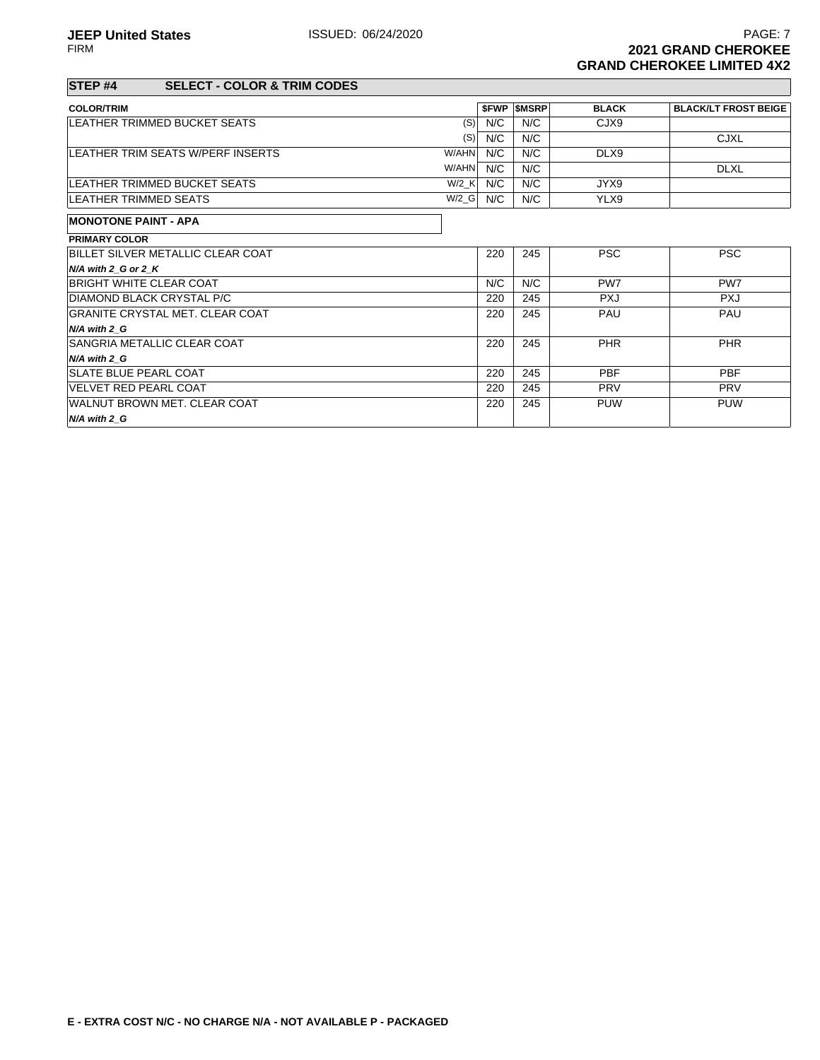220 245 PAU PAU

220 245 PHR PHR

220 245 PUW PUW

#### **STEP #4 SELECT - COLOR & TRIM CODES**

GRANITE CRYSTAL MET. CLEAR COAT

SANGRIA METALLIC CLEAR COAT

WALNUT BROWN MET. CLEAR COAT

**N/A with 2\_G**

**N/A with 2\_G**

**N/A with 2\_G**

| <b>COLOR/TRIM</b>                        |         |     | <b>SFWP SMSRP</b> | <b>BLACK</b>    | <b>BLACK/LT FROST BEIGE</b> |
|------------------------------------------|---------|-----|-------------------|-----------------|-----------------------------|
| <b>LEATHER TRIMMED BUCKET SEATS</b>      | (S)     | N/C | N/C               | CJX9            |                             |
|                                          | (S)     | N/C | N/C               |                 | <b>CJXL</b>                 |
| LEATHER TRIM SEATS W/PERF INSERTS        | W/AHN   | N/C | N/C               | DLX9            |                             |
|                                          | W/AHN   | N/C | N/C               |                 | <b>DLXL</b>                 |
| <b>LEATHER TRIMMED BUCKET SEATS</b>      | W/2 K   | N/C | N/C               | JYX9            |                             |
| LEATHER TRIMMED SEATS                    | $W/2_G$ | N/C | N/C               | YLX9            |                             |
| <b>MONOTONE PAINT - APA</b>              |         |     |                   |                 |                             |
| <b>PRIMARY COLOR</b>                     |         |     |                   |                 |                             |
| <b>BILLET SILVER METALLIC CLEAR COAT</b> |         | 220 | 245               | <b>PSC</b>      | <b>PSC</b>                  |
| $N/A$ with 2 G or 2 K                    |         |     |                   |                 |                             |
| <b>BRIGHT WHITE CLEAR COAT</b>           |         | N/C | N/C               | PW <sub>7</sub> | PW <sub>7</sub>             |

DIAMOND BLACK CRYSTAL P/C 220 245 PXJ PXJ

SLATE BLUE PEARL COAT **220** 245 PBF PBF PBF VELVET RED PEARL COAT 220 245 PRV PRV

|  |  | E - EXTRA COST N/C - NO CHARGE N/A - NOT AVAILABLE P - PACKAGED |  |
|--|--|-----------------------------------------------------------------|--|
|  |  |                                                                 |  |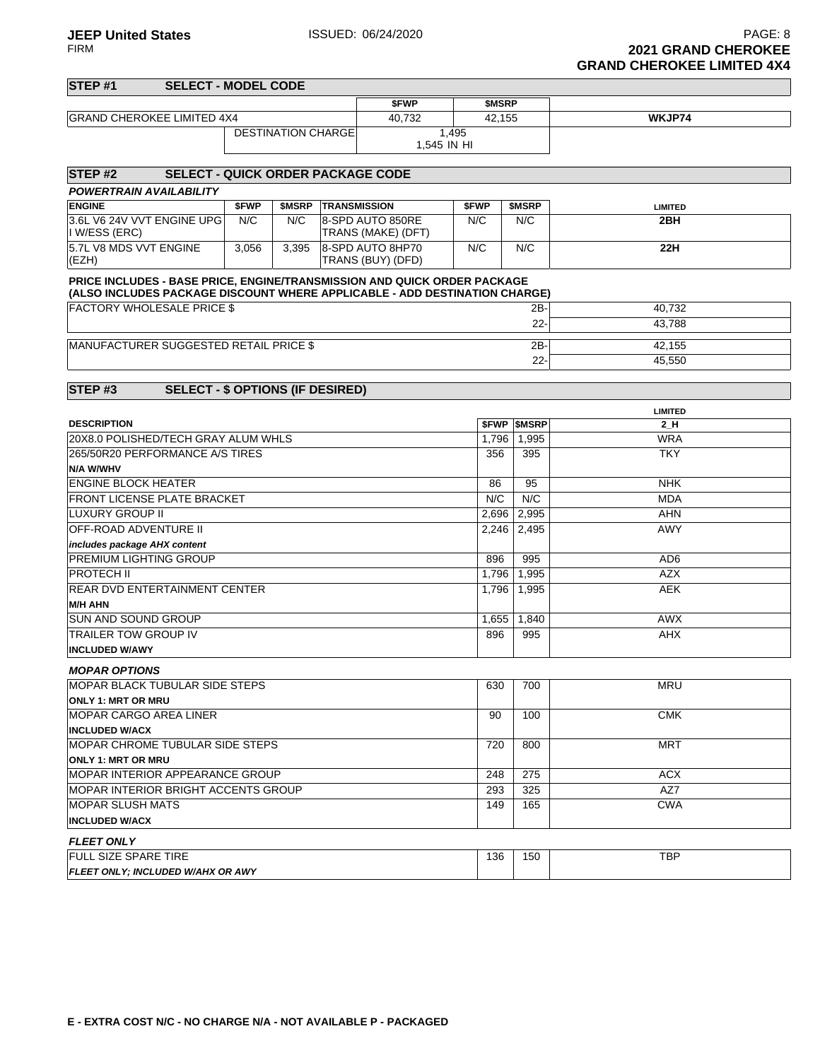# **STEP #1 SELECT - MODEL CODE \$FWP \$MSRP** GRAND CHEROKEE LIMITED 4X4 40,732 42,155 **WKJP74** DESTINATION CHARGE 1,495 1,545 IN HI **STEP #2 SELECT - QUICK ORDER PACKAGE CODE POWERTRAIN AVAILABILITY ENGINE \$FWP \$MSRP TRANSMISSION \$FWP \$MSRP LIMITED**

| <b>ENGINE</b>              | <b>SFWP</b> | <b>SMSRP</b> | <b>ITRANSMISSION</b>      | <b>SFWP</b> | <b>SMSRP</b> | LIMITED |
|----------------------------|-------------|--------------|---------------------------|-------------|--------------|---------|
| 3.6L V6 24V VVT ENGINE UPG | N/C         | N/C          | 8-SPD AUTO 850RE          | N/C         | N/C          | 2BH     |
| II W/ESS (ERC)             |             |              | <b>TRANS (MAKE) (DFT)</b> |             |              |         |
| 15.7L V8 MDS VVT ENGINE    | 3,056       | 3.395        | 8-SPD AUTO 8HP70          | N/C         | N/C          | 22H     |
| (EZH)                      |             |              | ITRANS (BUY) (DFD)        |             |              |         |

#### **PRICE INCLUDES - BASE PRICE, ENGINE/TRANSMISSION AND QUICK ORDER PACKAGE**

| (ALSO INCLUDES PACKAGE DISCOUNT WHERE APPLICABLE - ADD DESTINATION CHARGE) |        |        |  |  |  |  |
|----------------------------------------------------------------------------|--------|--------|--|--|--|--|
| <b>FACTORY WHOLESALE PRICE \$</b>                                          | $2B-1$ | 40.732 |  |  |  |  |
|                                                                            | $22 -$ | 43.788 |  |  |  |  |
| MANUFACTURER SUGGESTED RETAIL PRICE \$                                     | $2B-1$ | 42.155 |  |  |  |  |
|                                                                            |        |        |  |  |  |  |
|                                                                            | $22 -$ | 45.550 |  |  |  |  |

### **STEP #3 SELECT - \$ OPTIONS (IF DESIRED)**

|                                            | <b>LIMITED</b> |                   |                 |  |  |
|--------------------------------------------|----------------|-------------------|-----------------|--|--|
| <b>DESCRIPTION</b>                         |                | <b>SFWP SMSRP</b> | 2 H             |  |  |
| 20X8.0 POLISHED/TECH GRAY ALUM WHLS        | 1.796          | 1,995             | <b>WRA</b>      |  |  |
| 265/50R20 PERFORMANCE A/S TIRES            | 356            | 395               | <b>TKY</b>      |  |  |
| <b>N/A W/WHV</b>                           |                |                   |                 |  |  |
| <b>ENGINE BLOCK HEATER</b>                 | 86             | 95                | <b>NHK</b>      |  |  |
| <b>FRONT LICENSE PLATE BRACKET</b>         | N/C            | N/C               | <b>MDA</b>      |  |  |
| <b>LUXURY GROUP II</b>                     | 2,696          | 2,995             | <b>AHN</b>      |  |  |
| <b>OFF-ROAD ADVENTURE II</b>               | 2.246          | 2,495             | <b>AWY</b>      |  |  |
| includes package AHX content               |                |                   |                 |  |  |
| <b>PREMIUM LIGHTING GROUP</b>              | 896            | 995               | AD <sub>6</sub> |  |  |
| <b>PROTECH II</b>                          | 1,796          | 1.995             | <b>AZX</b>      |  |  |
| <b>REAR DVD ENTERTAINMENT CENTER</b>       | 1,796          | 1,995             | <b>AEK</b>      |  |  |
| <b>M/H AHN</b>                             |                |                   |                 |  |  |
| <b>SUN AND SOUND GROUP</b>                 | 1,655          | 1,840             | <b>AWX</b>      |  |  |
| <b>TRAILER TOW GROUP IV</b>                | 896            | 995               | <b>AHX</b>      |  |  |
| <b>INCLUDED W/AWY</b>                      |                |                   |                 |  |  |
| <b>MOPAR OPTIONS</b>                       |                |                   |                 |  |  |
| <b>MOPAR BLACK TUBULAR SIDE STEPS</b>      | 630            | 700               | <b>MRU</b>      |  |  |
| <b>ONLY 1: MRT OR MRU</b>                  |                |                   |                 |  |  |
| <b>MOPAR CARGO AREA LINER</b>              | 90             | 100               | <b>CMK</b>      |  |  |
| <b>INCLUDED W/ACX</b>                      |                |                   |                 |  |  |
| <b>IMOPAR CHROME TUBULAR SIDE STEPS</b>    | 720            | 800               | <b>MRT</b>      |  |  |
| <b>ONLY 1: MRT OR MRU</b>                  |                |                   |                 |  |  |
| <b>MOPAR INTERIOR APPEARANCE GROUP</b>     | 248            | 275               | <b>ACX</b>      |  |  |
| <b>MOPAR INTERIOR BRIGHT ACCENTS GROUP</b> | 293            | 325               | AZ7             |  |  |
| <b>MOPAR SLUSH MATS</b>                    | 149            | 165               | <b>CWA</b>      |  |  |
| <b>INCLUDED W/ACX</b>                      |                |                   |                 |  |  |
| <b>FLEET ONLY</b>                          |                |                   |                 |  |  |
| <b>FULL SIZE SPARE TIRE</b>                | 136            | 150               | <b>TBP</b>      |  |  |
| FLEET ONLY; INCLUDED W/AHX OR AWY          |                |                   |                 |  |  |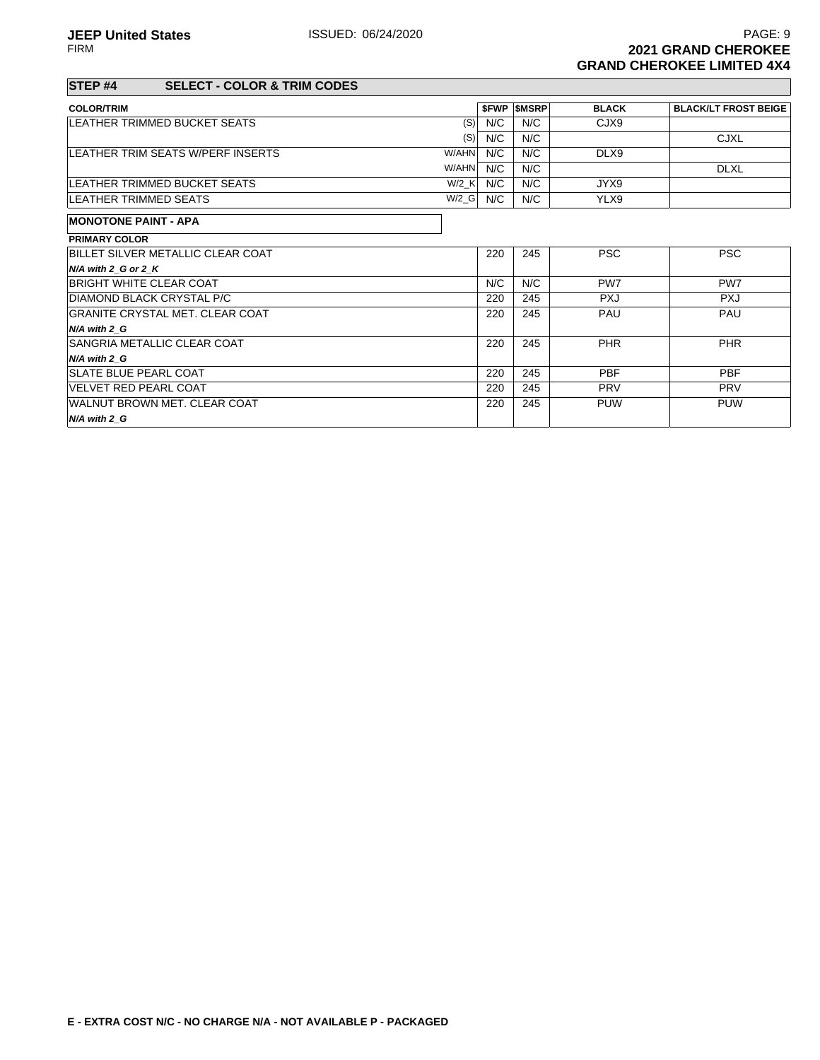220 245 PAU PAU

220 245 PHR PHR

220 245 PUW PUW

#### **STEP #4 SELECT - COLOR & TRIM CODES**

GRANITE CRYSTAL MET. CLEAR COAT

SANGRIA METALLIC CLEAR COAT

WALNUT BROWN MET. CLEAR COAT

**N/A with 2\_G**

**N/A with 2\_G**

**N/A with 2\_G**

| <b>COLOR/TRIM</b>                   |       |     | <b>SFWP SMSRP</b> | <b>BLACK</b>    | <b>BLACK/LT FROST BEIGE</b> |
|-------------------------------------|-------|-----|-------------------|-----------------|-----------------------------|
| LEATHER TRIMMED BUCKET SEATS        | (S)   | N/C | N/C               | CJX9            |                             |
|                                     | (S)   | N/C | N/C               |                 | <b>CJXL</b>                 |
| LEATHER TRIM SEATS W/PERF INSERTS   | W/AHN | N/C | N/C               | DLX9            |                             |
|                                     | W/AHN | N/C | N/C               |                 | <b>DLXL</b>                 |
| <b>LEATHER TRIMMED BUCKET SEATS</b> | W/2 K | N/C | N/C               | JYX9            |                             |
| LEATHER TRIMMED SEATS               | W/2 G | N/C | N/C               | YLX9            |                             |
| <b>MONOTONE PAINT - APA</b>         |       |     |                   |                 |                             |
| <b>PRIMARY COLOR</b>                |       |     |                   |                 |                             |
| BILLET SILVER METALLIC CLEAR COAT   |       | 220 | 245               | <b>PSC</b>      | <b>PSC</b>                  |
| $N/A$ with 2 G or 2 K               |       |     |                   |                 |                             |
| <b>BRIGHT WHITE CLEAR COAT</b>      |       | N/C | N/C               | PW <sub>7</sub> | PW <sub>7</sub>             |

DIAMOND BLACK CRYSTAL P/C 220 245 PXJ PXJ

SLATE BLUE PEARL COAT **220** 245 PBF PBF PBF VELVET RED PEARL COAT 220 245 PRV PRV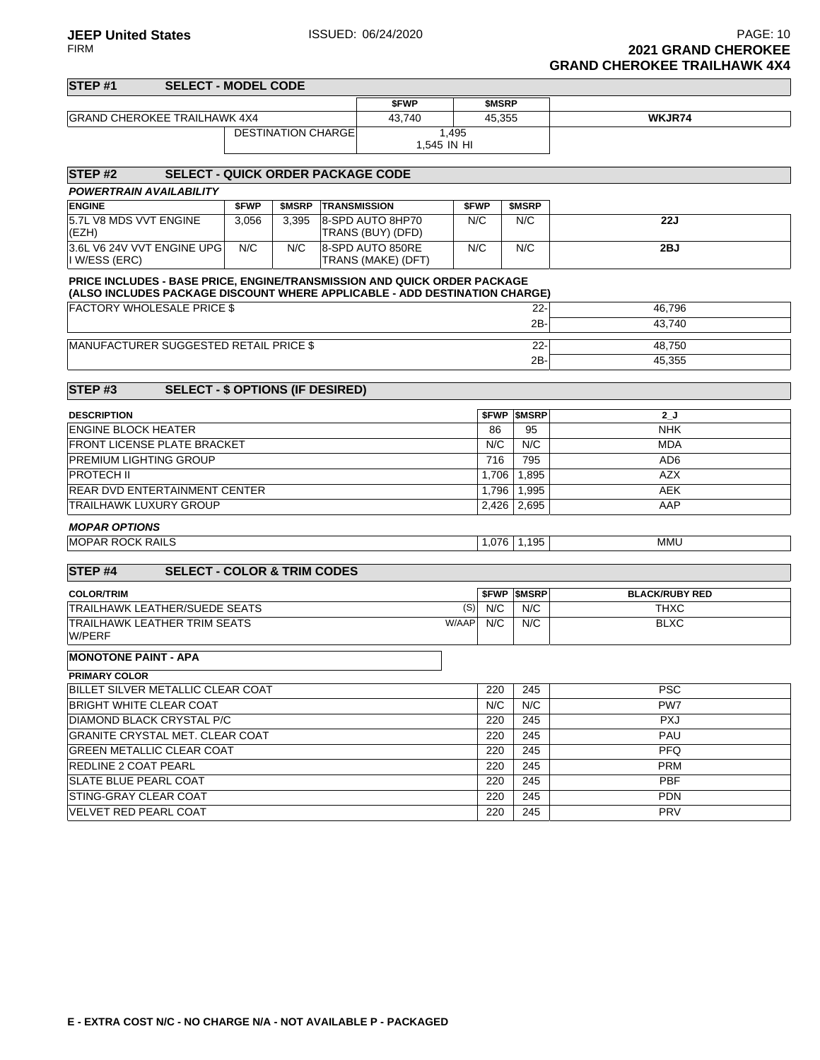| STEP <sub>#1</sub><br><b>SELECT - MODEL CODE</b>                                                                                                       |       |                           |                            |                                        |                      |             |                          |                       |
|--------------------------------------------------------------------------------------------------------------------------------------------------------|-------|---------------------------|----------------------------|----------------------------------------|----------------------|-------------|--------------------------|-----------------------|
|                                                                                                                                                        |       |                           |                            | \$FWP                                  |                      | \$MSRP      |                          |                       |
| <b>GRAND CHEROKEE TRAILHAWK 4X4</b>                                                                                                                    |       |                           |                            | 43,740                                 |                      | 45,355      |                          | WKJR74                |
|                                                                                                                                                        |       | <b>DESTINATION CHARGE</b> |                            |                                        | 1,495<br>1.545 IN HI |             |                          |                       |
| STEP <sub>#2</sub><br><b>SELECT - QUICK ORDER PACKAGE CODE</b>                                                                                         |       |                           |                            |                                        |                      |             |                          |                       |
| <b>POWERTRAIN AVAILABILITY</b>                                                                                                                         |       |                           |                            |                                        |                      |             |                          |                       |
| <b>ENGINE</b>                                                                                                                                          | \$FWP |                           | <b>\$MSRP TRANSMISSION</b> |                                        | \$FWP                |             | \$MSRP                   |                       |
| 5.7L V8 MDS VVT ENGINE<br>(EZH)                                                                                                                        | 3,056 | 3,395                     |                            | 8-SPD AUTO 8HP70<br>TRANS (BUY) (DFD)  | N/C                  |             | N/C                      | 22J                   |
| 3.6L V6 24V VVT ENGINE UPG<br>I W/ESS (ERC)                                                                                                            | N/C   | N/C                       |                            | 8-SPD AUTO 850RE<br>TRANS (MAKE) (DFT) | N/C                  |             | N/C                      | 2BJ                   |
| PRICE INCLUDES - BASE PRICE, ENGINE/TRANSMISSION AND QUICK ORDER PACKAGE<br>(ALSO INCLUDES PACKAGE DISCOUNT WHERE APPLICABLE - ADD DESTINATION CHARGE) |       |                           |                            |                                        |                      |             |                          |                       |
| <b>FACTORY WHOLESALE PRICE \$</b>                                                                                                                      |       |                           |                            |                                        |                      |             | $22 -$                   | 46,796                |
|                                                                                                                                                        |       |                           |                            |                                        |                      |             | 2B-                      | 43,740                |
| MANUFACTURER SUGGESTED RETAIL PRICE \$                                                                                                                 |       |                           |                            |                                        |                      | $22 -$      | 48,750                   |                       |
|                                                                                                                                                        |       |                           |                            |                                        |                      |             | 2B-                      | 45,355                |
|                                                                                                                                                        |       |                           |                            |                                        |                      |             |                          |                       |
| STEP <sub>#3</sub><br><b>SELECT - \$ OPTIONS (IF DESIRED)</b>                                                                                          |       |                           |                            |                                        |                      |             |                          |                       |
| <b>DESCRIPTION</b>                                                                                                                                     |       |                           |                            |                                        |                      | <b>SFWP</b> | <b>SMSRP</b>             | ل_2                   |
| <b>ENGINE BLOCK HEATER</b>                                                                                                                             |       |                           |                            |                                        |                      |             | 95                       | <b>NHK</b>            |
| <b>FRONT LICENSE PLATE BRACKET</b>                                                                                                                     |       |                           |                            |                                        |                      |             | N/C                      | <b>MDA</b>            |
| <b>PREMIUM LIGHTING GROUP</b>                                                                                                                          |       |                           |                            |                                        |                      |             | 795                      | AD <sub>6</sub>       |
| <b>PROTECH II</b>                                                                                                                                      |       |                           |                            |                                        |                      | 1,706       | 1,895                    | <b>AZX</b>            |
| REAR DVD ENTERTAINMENT CENTER                                                                                                                          |       |                           |                            |                                        |                      | 1,796       | 1,995                    | <b>AEK</b>            |
| <b>TRAILHAWK LUXURY GROUP</b>                                                                                                                          |       |                           |                            |                                        |                      | 2,426       | 2,695                    | AAP                   |
| <b>MOPAR OPTIONS</b>                                                                                                                                   |       |                           |                            |                                        |                      |             |                          |                       |
| <b>MOPAR ROCK RAILS</b>                                                                                                                                |       |                           |                            |                                        |                      | 1,076       | 1,195                    | <b>MMU</b>            |
|                                                                                                                                                        |       |                           |                            |                                        |                      |             |                          |                       |
| STEP <sub>#4</sub><br><b>SELECT - COLOR &amp; TRIM CODES</b>                                                                                           |       |                           |                            |                                        |                      |             |                          |                       |
| <b>COLOR/TRIM</b>                                                                                                                                      |       |                           |                            |                                        |                      |             | <b><i>SFWP SMSRP</i></b> | <b>BLACK/RUBY RED</b> |
| TRAILHAWK LEATHER/SUEDE SEATS                                                                                                                          |       |                           |                            |                                        | (S)                  | N/C         | N/C                      | <b>THXC</b>           |
| <b>TRAILHAWK LEATHER TRIM SEATS</b><br>W/PERF                                                                                                          |       |                           |                            |                                        | W/AAP                | N/C         | N/C                      | <b>BLXC</b>           |
| <b>MONOTONE PAINT - APA</b>                                                                                                                            |       |                           |                            |                                        |                      |             |                          |                       |
| <b>PRIMARY COLOR</b>                                                                                                                                   |       |                           |                            |                                        |                      |             |                          |                       |
| BILLET SILVER METALLIC CLEAR COAT                                                                                                                      |       |                           |                            |                                        |                      | 220         | 245                      | <b>PSC</b>            |
| BRIGHT WHITE CLEAR COAT                                                                                                                                |       |                           |                            |                                        |                      | N/C         | N/C                      | PW7                   |
| DIAMOND BLACK CRYSTAL P/C<br><b>GRANITE CRYSTAL MET. CLEAR COAT</b>                                                                                    |       |                           |                            |                                        |                      | 220<br>220  | 245<br>245               | <b>PXJ</b><br>PAU     |
| <b>GREEN METALLIC CLEAR COAT</b>                                                                                                                       |       |                           |                            |                                        |                      | 220         | 245                      | <b>PFQ</b>            |
| <b>REDLINE 2 COAT PEARL</b>                                                                                                                            |       |                           |                            |                                        |                      | 220         | 245                      | <b>PRM</b>            |
| <b>SLATE BLUE PEARL COAT</b>                                                                                                                           |       |                           |                            |                                        |                      | 220         | 245                      | <b>PBF</b>            |
| <b>STING-GRAY CLEAR COAT</b>                                                                                                                           |       |                           |                            |                                        |                      | 220         | 245                      | <b>PDN</b>            |
| VELVET RED PEARL COAT                                                                                                                                  |       |                           |                            |                                        |                      | 220         | 245                      | PRV                   |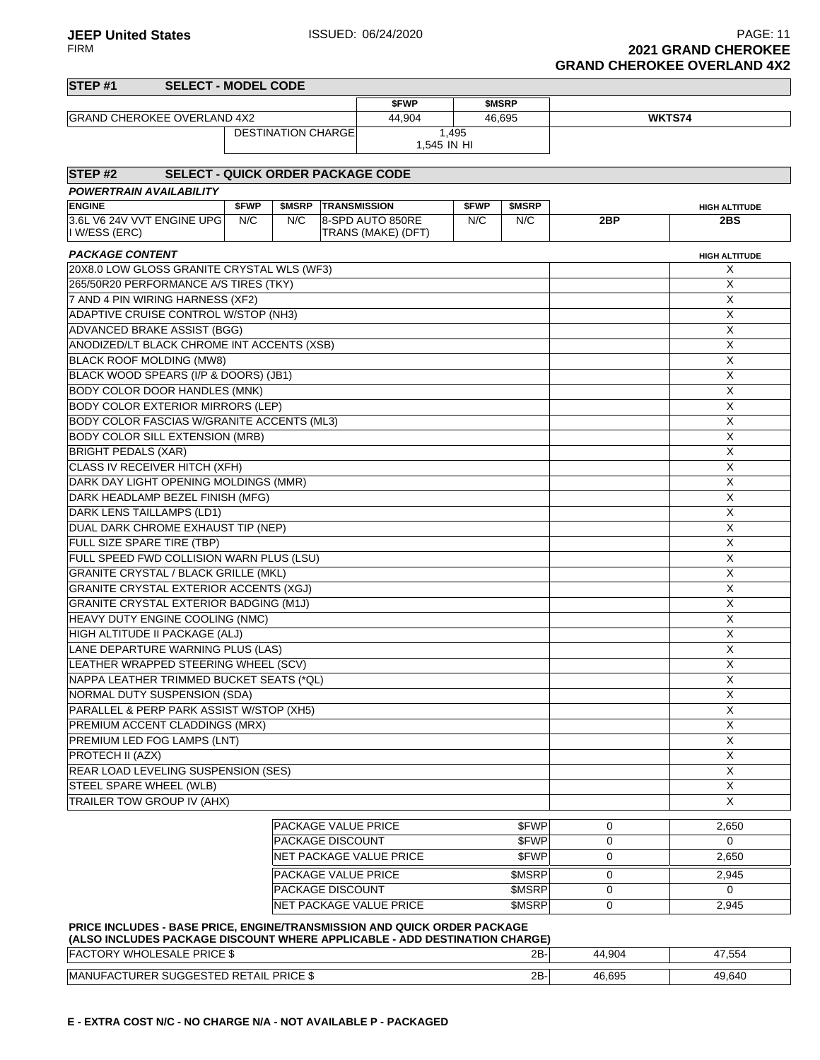**JEEP United States ISSUED: 06/24/2020 PAGE: 11** FIRM **2021 GRAND CHEROKEE GRAND CHEROKEE OVERLAND 4X2**

# **STEP #1 SELECT - MODEL CODE \$FWP \$MSRP** GRAND CHEROKEE OVERLAND 4X2 44,904 46,695 **WKTS74** DESTINATION CHARGE 1,495 1,545 IN HI **STEP #2 SELECT - QUICK ORDER PACKAGE CODE POWERTRAIN AVAILABILITY ENGINE \$FWP \$MSRP TRANSMISSION \$FWP \$MSRP HIGH ALTITUDE** 3.6L V6 24V VVT ENGINE UPG I W/ESS (ERC) N/C | N/C | 8-SPD AUTO 850RE TRANS (MAKE) (DFT) N/C N/C **2BP 2BS PACKAGE CONTENT HIGH ALTITUDE** 20X8.0 LOW GLOSS GRANITE CRYSTAL WLS (WF3) X 265/50R20 PERFORMANCE A/S TIRES (TKY) X 7 AND 4 PIN WIRING HARNESS (XF2) X ADAPTIVE CRUISE CONTROL W/STOP (NH3) X X ADVANCED BRAKE ASSIST (BGG) X ANODIZED/LT BLACK CHROME INT ACCENTS (XSB) X BLACK ROOF MOLDING (MW8) X BLACK WOOD SPEARS (I/P & DOORS) (JB1) X BODY COLOR DOOR HANDLES (MNK) NOTIFIED AND THE SERVICE OF STATE OF STATE OF STATE OF STATE OF STATE OF STATE OF STATE OF STATE OF STATE OF STATE OF STATE OF STATE OF STATE OF STATE OF STATE OF STATE OF STATE OF STATE OF ST BODY COLOR EXTERIOR MIRRORS (LEP)  $\begin{array}{ccc} \times \end{array}$ BODY COLOR FASCIAS W/GRANITE ACCENTS (ML3) X BODY COLOR SILL EXTENSION (MRB) NORTH SERVER THAT ISSUES AND THE SERVER THAT ISSUES AND THE SERVER THAT ISSUES BRIGHT PEDALS (XAR) X

| <b>CLASS IV RECEIVER HITCH (XFH)</b>          |                            |              |             | X     |
|-----------------------------------------------|----------------------------|--------------|-------------|-------|
| DARK DAY LIGHT OPENING MOLDINGS (MMR)         |                            |              |             | X     |
| DARK HEADLAMP BEZEL FINISH (MFG)              |                            |              |             | X     |
| DARK LENS TAILLAMPS (LD1)                     |                            |              |             | X     |
| DUAL DARK CHROME EXHAUST TIP (NEP)            |                            |              |             | X     |
| FULL SIZE SPARE TIRE (TBP)                    | X                          |              |             |       |
| FULL SPEED FWD COLLISION WARN PLUS (LSU)      | X                          |              |             |       |
| <b>GRANITE CRYSTAL / BLACK GRILLE (MKL)</b>   | X                          |              |             |       |
| GRANITE CRYSTAL EXTERIOR ACCENTS (XGJ)        | X                          |              |             |       |
| <b>GRANITE CRYSTAL EXTERIOR BADGING (M1J)</b> | X                          |              |             |       |
| HEAVY DUTY ENGINE COOLING (NMC)               | X                          |              |             |       |
| HIGH ALTITUDE II PACKAGE (ALJ)                | X                          |              |             |       |
| LANE DEPARTURE WARNING PLUS (LAS)             | X                          |              |             |       |
| LEATHER WRAPPED STEERING WHEEL (SCV)          | X                          |              |             |       |
| NAPPA LEATHER TRIMMED BUCKET SEATS (*QL)      |                            |              |             | X     |
| NORMAL DUTY SUSPENSION (SDA)                  |                            |              |             | X     |
| PARALLEL & PERP PARK ASSIST W/STOP (XH5)      |                            |              |             | X     |
| PREMIUM ACCENT CLADDINGS (MRX)                |                            |              |             | X     |
| PREMIUM LED FOG LAMPS (LNT)                   |                            |              |             | X     |
| PROTECH II (AZX)                              |                            |              |             | X     |
| REAR LOAD LEVELING SUSPENSION (SES)           |                            |              |             | X     |
| STEEL SPARE WHEEL (WLB)                       |                            |              |             | X     |
| TRAILER TOW GROUP IV (AHX)                    |                            |              |             | X     |
|                                               | <b>PACKAGE VALUE PRICE</b> | <b>SFWP</b>  | $\Omega$    | 2,650 |
|                                               | <b>PACKAGE DISCOUNT</b>    | \$FWP        |             | 0     |
|                                               |                            |              | $\mathbf 0$ |       |
|                                               | NET PACKAGE VALUE PRICE    | <b>SFWP</b>  | $\Omega$    | 2.650 |
|                                               | <b>PACKAGE VALUE PRICE</b> | <b>SMSRP</b> | $\Omega$    | 2.945 |

### **PRICE INCLUDES - BASE PRICE, ENGINE/TRANSMISSION AND QUICK ORDER PACKAGE (ALSO INCLUDES PACKAGE DISCOUNT WHERE APPLICABLE - ADD DESTINATION CHARGE)**

| <b>PRICE \$</b><br>-<br>we<br>IL Δ<br>10LESALE                           | 2B | 4,904<br>44 | 17.52<br>20C, I |
|--------------------------------------------------------------------------|----|-------------|-----------------|
| <b>PRICE</b><br>TAIL.<br><b>IMANI</b><br><b>IRER</b><br>۰Δ٢<br>$\cdot$ . | 2B | 46,695      | 49,640          |

PACKAGE DISCOUNT **\$MSRP** 0 0 0 0 NET PACKAGE VALUE PRICE  $$M\$   $0$   $2,945$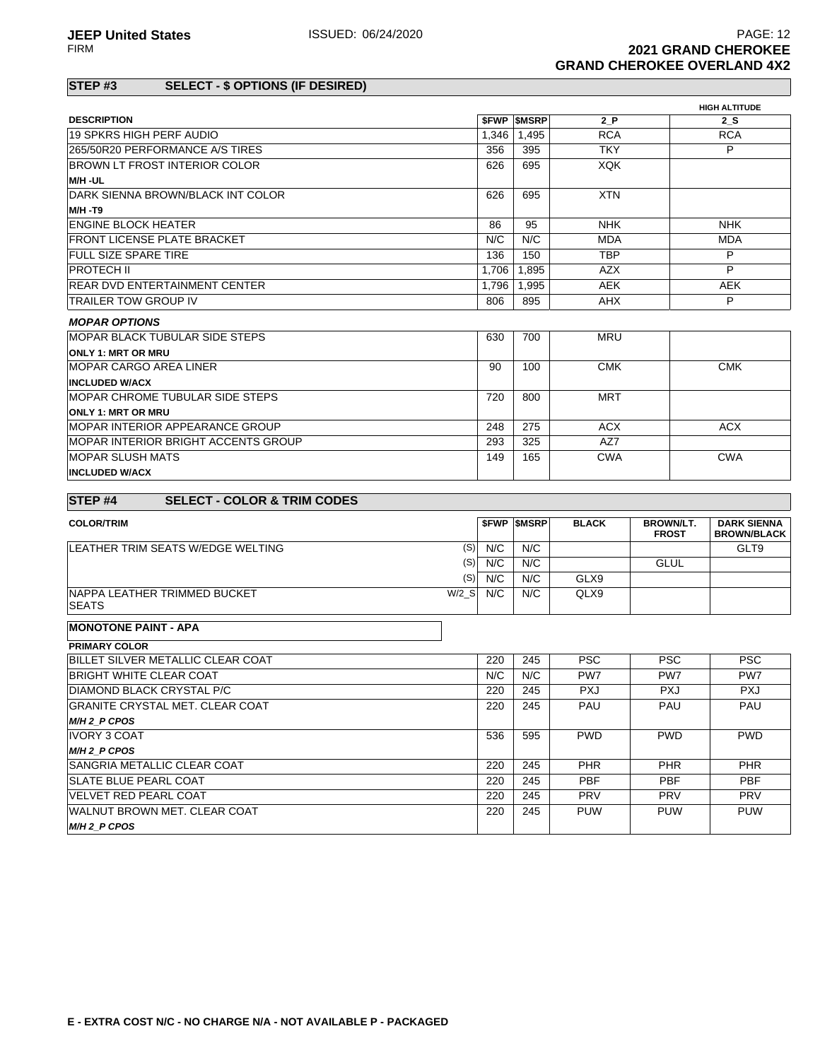# **STEP #3 SELECT - \$ OPTIONS (IF DESIRED)**

|                                                              |         |       |                          |              |                  | <b>HIGH ALTITUDE</b> |
|--------------------------------------------------------------|---------|-------|--------------------------|--------------|------------------|----------------------|
| <b>DESCRIPTION</b>                                           |         |       | <b><i>SFWP SMSRP</i></b> | 2 P          |                  | 2 S                  |
| 19 SPKRS HIGH PERF AUDIO                                     |         | 1,346 | 1,495                    | <b>RCA</b>   |                  | <b>RCA</b>           |
| 265/50R20 PERFORMANCE A/S TIRES                              |         | 356   | 395                      | <b>TKY</b>   |                  | P                    |
| BROWN LT FROST INTERIOR COLOR                                |         | 626   | 695                      | <b>XQK</b>   |                  |                      |
| M/H-UL                                                       |         |       |                          |              |                  |                      |
| DARK SIENNA BROWN/BLACK INT COLOR                            |         | 626   | 695                      | <b>XTN</b>   |                  |                      |
| <b>M/H -T9</b>                                               |         |       |                          |              |                  |                      |
| ENGINE BLOCK HEATER                                          |         | 86    | 95                       | <b>NHK</b>   |                  | <b>NHK</b>           |
| <b>FRONT LICENSE PLATE BRACKET</b>                           |         | N/C   | N/C                      | <b>MDA</b>   |                  | <b>MDA</b>           |
| FULL SIZE SPARE TIRE                                         |         | 136   | 150                      | <b>TBP</b>   |                  | P                    |
| <b>PROTECH II</b>                                            |         | 1,706 | 1,895                    | AZX          |                  | P                    |
| <b>REAR DVD ENTERTAINMENT CENTER</b>                         |         | 1,796 | 1,995                    | <b>AEK</b>   |                  | <b>AEK</b>           |
| <b>TRAILER TOW GROUP IV</b>                                  |         | 806   | 895                      | <b>AHX</b>   |                  | P                    |
| <b>MOPAR OPTIONS</b>                                         |         |       |                          |              |                  |                      |
| MOPAR BLACK TUBULAR SIDE STEPS                               |         | 630   | 700                      | <b>MRU</b>   |                  |                      |
| <b>ONLY 1: MRT OR MRU</b>                                    |         |       |                          |              |                  |                      |
| <b>MOPAR CARGO AREA LINER</b>                                |         | 90    | 100                      | <b>CMK</b>   |                  | <b>CMK</b>           |
| <b>INCLUDED W/ACX</b>                                        |         |       |                          |              |                  |                      |
| <b>MOPAR CHROME TUBULAR SIDE STEPS</b>                       |         | 720   | 800                      | <b>MRT</b>   |                  |                      |
| <b>ONLY 1: MRT OR MRU</b>                                    |         |       |                          |              |                  |                      |
| <b>MOPAR INTERIOR APPEARANCE GROUP</b>                       |         | 248   | 275                      | <b>ACX</b>   |                  | <b>ACX</b>           |
| MOPAR INTERIOR BRIGHT ACCENTS GROUP                          |         | 293   | 325                      | AZ7          |                  |                      |
| <b>MOPAR SLUSH MATS</b>                                      |         | 149   | 165                      | <b>CWA</b>   |                  | <b>CWA</b>           |
| <b>INCLUDED W/ACX</b>                                        |         |       |                          |              |                  |                      |
| <b>SELECT - COLOR &amp; TRIM CODES</b><br>STEP <sub>#4</sub> |         |       |                          |              |                  |                      |
| <b>COLOR/TRIM</b>                                            |         |       | <b><i>SFWP SMSRP</i></b> | <b>BLACK</b> | <b>BROWN/LT.</b> | <b>DARK SIENNA</b>   |
|                                                              |         |       |                          |              | <b>FROST</b>     | <b>BROWN/BLACK</b>   |
| LEATHER TRIM SEATS W/EDGE WELTING                            | (S)     | N/C   | N/C                      |              |                  | GLT9                 |
|                                                              | (S)     | N/C   | N/C                      |              | <b>GLUL</b>      |                      |
|                                                              | (S)     | N/C   | N/C                      | GLX9         |                  |                      |
| NAPPA LEATHER TRIMMED BUCKET<br><b>SEATS</b>                 | $W/2_S$ | N/C   | N/C                      | QLX9         |                  |                      |
|                                                              |         |       |                          |              |                  |                      |
| <b>MONOTONE PAINT - APA</b>                                  |         |       |                          |              |                  |                      |
| <b>PRIMARY COLOR</b>                                         |         |       |                          |              |                  |                      |
| BILLET SILVER METALLIC CLEAR COAT                            |         | 220   | 245                      | <b>PSC</b>   | <b>PSC</b>       | <b>PSC</b>           |
| <b>BRIGHT WHITE CLEAR COAT</b>                               |         | N/C   | N/C                      | PW7          | PW7              | PW7                  |
| DIAMOND BLACK CRYSTAL P/C                                    |         | 220   | 245                      | <b>PXJ</b>   | <b>PXJ</b>       | <b>PXJ</b>           |
| <b>GRANITE CRYSTAL MET. CLEAR COAT</b>                       |         | 220   | 245                      | PAU          | PAU              | PAU                  |
| M/H <sub>2</sub> P CPOS                                      |         |       |                          |              |                  |                      |
| <b>IVORY 3 COAT</b>                                          |         | 536   | 595                      | <b>PWD</b>   | <b>PWD</b>       | <b>PWD</b>           |
| M/H 2_P CPOS                                                 |         |       |                          |              |                  |                      |
| SANGRIA METALLIC CLEAR COAT                                  |         | 220   | 245                      | PHR.         | PHR.             | <b>PHR</b>           |
| <b>SLATE BLUE PEARL COAT</b>                                 |         | 220   | 245                      | <b>PBF</b>   | <b>PBF</b>       | PBF                  |
| VELVET RED PEARL COAT                                        |         | 220   | 245                      | <b>PRV</b>   | <b>PRV</b>       | <b>PRV</b>           |
| WALNUT BROWN MET. CLEAR COAT                                 |         | 220   | 245                      | <b>PUW</b>   | <b>PUW</b>       | <b>PUW</b>           |
| M/H 2_P CPOS                                                 |         |       |                          |              |                  |                      |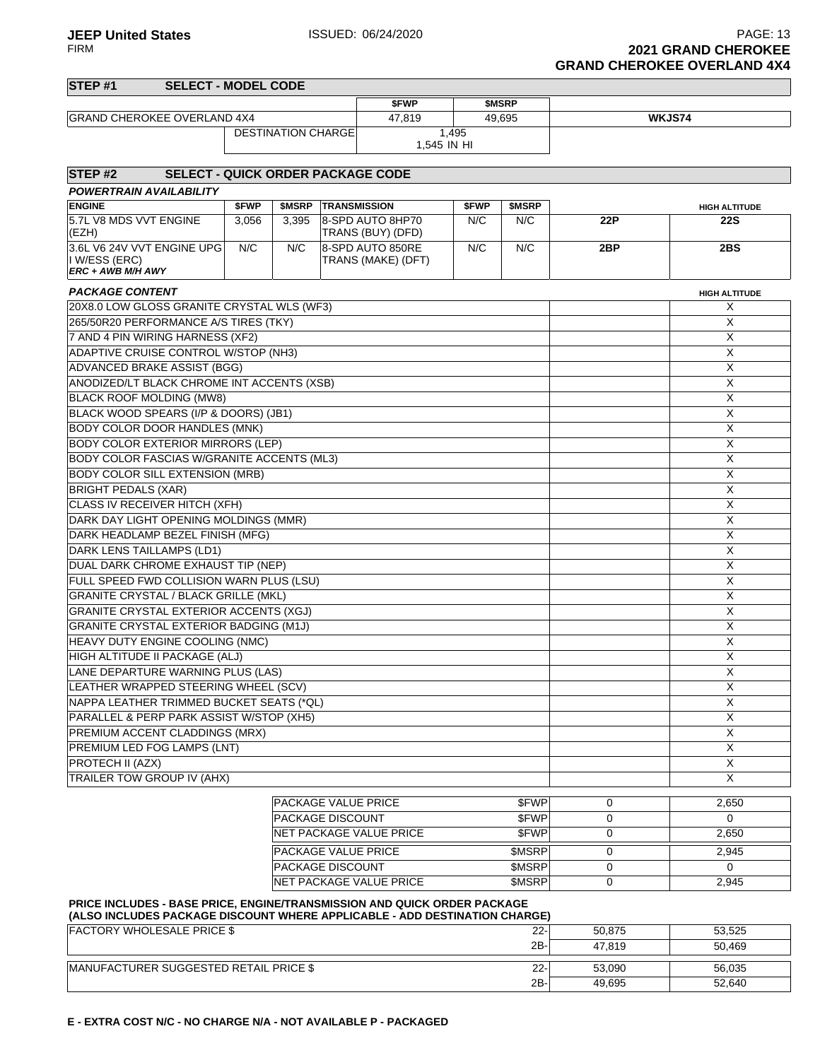PAGE: 13<br>FIRM **PAGE: 13**<br>**2021 GRAND CHEROKEE 2021 GRAND CHEROKEE GRAND CHEROKEE OVERLAND 4X4**

2B- 49,695 52,640

| STEP <sub>#1</sub><br><b>SELECT - MODEL CODE</b>                                                                |       |                            |                                        |       |              |        |                      |
|-----------------------------------------------------------------------------------------------------------------|-------|----------------------------|----------------------------------------|-------|--------------|--------|----------------------|
|                                                                                                                 |       |                            | \$FWP                                  |       | <b>SMSRP</b> |        |                      |
| <b>GRAND CHEROKEE OVERLAND 4X4</b>                                                                              |       |                            | 47,819                                 |       | 49,695       |        | WKJS74               |
|                                                                                                                 |       | <b>DESTINATION CHARGE</b>  |                                        | 1,495 |              |        |                      |
|                                                                                                                 |       |                            | 1,545 IN HI                            |       |              |        |                      |
| STEP <sub>#2</sub><br><b>SELECT - QUICK ORDER PACKAGE CODE</b>                                                  |       |                            |                                        |       |              |        |                      |
| <b>POWERTRAIN AVAILABILITY</b>                                                                                  |       |                            |                                        |       |              |        |                      |
| <b>ENGINE</b>                                                                                                   | \$FWP | \$MSRP                     | <b>TRANSMISSION</b>                    | \$FWP | \$MSRP       |        | <b>HIGH ALTITUDE</b> |
| 5.7L V8 MDS VVT ENGINE<br>(EZH)                                                                                 | 3,056 | 3,395                      | 8-SPD AUTO 8HP70<br>TRANS (BUY) (DFD)  | N/C   | N/C          | 22P    | <b>22S</b>           |
| 3.6L V6 24V VVT ENGINE UPG<br>I W/ESS (ERC)                                                                     | N/C   | N/C                        | 8-SPD AUTO 850RE<br>TRANS (MAKE) (DFT) | N/C   | N/C          | 2BP    | 2BS                  |
| ERC + AWB M/H AWY                                                                                               |       |                            |                                        |       |              |        |                      |
| <b>PACKAGE CONTENT</b>                                                                                          |       |                            |                                        |       |              |        | <b>HIGH ALTITUDE</b> |
| 20X8.0 LOW GLOSS GRANITE CRYSTAL WLS (WF3)                                                                      |       |                            |                                        |       |              |        | X                    |
| 265/50R20 PERFORMANCE A/S TIRES (TKY)                                                                           |       |                            |                                        |       |              |        | Χ                    |
| 7 AND 4 PIN WIRING HARNESS (XF2)                                                                                |       |                            |                                        |       |              |        | X                    |
| ADAPTIVE CRUISE CONTROL W/STOP (NH3)                                                                            |       |                            |                                        |       |              |        | X                    |
| ADVANCED BRAKE ASSIST (BGG)                                                                                     |       |                            |                                        |       |              |        | X                    |
| ANODIZED/LT BLACK CHROME INT ACCENTS (XSB)                                                                      |       |                            |                                        |       |              |        | X                    |
| <b>BLACK ROOF MOLDING (MW8)</b>                                                                                 |       |                            |                                        |       |              |        | X                    |
| BLACK WOOD SPEARS (I/P & DOORS) (JB1)                                                                           |       |                            |                                        |       |              |        | X                    |
| <b>BODY COLOR DOOR HANDLES (MNK)</b>                                                                            |       |                            |                                        |       |              |        | X                    |
| <b>BODY COLOR EXTERIOR MIRRORS (LEP)</b>                                                                        |       |                            |                                        |       |              |        | X                    |
| BODY COLOR FASCIAS W/GRANITE ACCENTS (ML3)                                                                      |       |                            |                                        |       |              |        | X                    |
| <b>BODY COLOR SILL EXTENSION (MRB)</b>                                                                          |       |                            |                                        |       |              |        | X                    |
| <b>BRIGHT PEDALS (XAR)</b>                                                                                      |       |                            |                                        |       |              |        | X                    |
| CLASS IV RECEIVER HITCH (XFH)                                                                                   | X     |                            |                                        |       |              |        |                      |
| DARK DAY LIGHT OPENING MOLDINGS (MMR)                                                                           | X     |                            |                                        |       |              |        |                      |
| DARK HEADLAMP BEZEL FINISH (MFG)                                                                                |       |                            |                                        |       |              |        | X                    |
| DARK LENS TAILLAMPS (LD1)                                                                                       |       |                            |                                        |       |              |        | X                    |
| DUAL DARK CHROME EXHAUST TIP (NEP)                                                                              |       |                            |                                        |       |              |        | X                    |
| FULL SPEED FWD COLLISION WARN PLUS (LSU)                                                                        |       |                            |                                        |       |              |        | $\mathsf X$          |
| <b>GRANITE CRYSTAL / BLACK GRILLE (MKL)</b>                                                                     |       |                            |                                        |       |              |        | X                    |
| GRANITE CRYSTAL EXTERIOR ACCENTS (XGJ)                                                                          |       |                            |                                        |       |              |        | X                    |
| GRANITE CRYSTAL EXTERIOR BADGING (M1J)                                                                          |       |                            |                                        |       |              |        | X                    |
| HEAVY DUTY ENGINE COOLING (NMC)                                                                                 |       |                            |                                        |       |              |        | X                    |
| HIGH ALTITUDE II PACKAGE (ALJ)                                                                                  |       |                            |                                        |       |              |        | X                    |
| LANE DEPARTURE WARNING PLUS (LAS)                                                                               |       |                            |                                        |       |              |        | X                    |
| LEATHER WRAPPED STEERING WHEEL (SCV)                                                                            |       |                            |                                        |       |              |        | X                    |
| NAPPA LEATHER TRIMMED BUCKET SEATS (*QL)                                                                        |       |                            |                                        |       |              |        | $\overline{X}$       |
| PARALLEL & PERP PARK ASSIST W/STOP (XH5)                                                                        |       |                            |                                        |       |              |        | X<br>X               |
| PREMIUM ACCENT CLADDINGS (MRX)<br>PREMIUM LED FOG LAMPS (LNT)                                                   |       |                            |                                        |       |              |        | X                    |
| PROTECH II (AZX)                                                                                                |       |                            |                                        |       |              |        | X                    |
| TRAILER TOW GROUP IV (AHX)                                                                                      |       |                            |                                        |       |              |        | X                    |
|                                                                                                                 |       | <b>PACKAGE VALUE PRICE</b> |                                        |       | \$FWP        | 0      | 2,650                |
|                                                                                                                 |       | <b>PACKAGE DISCOUNT</b>    |                                        |       | \$FWP        | 0      | $\Omega$             |
|                                                                                                                 |       |                            | NET PACKAGE VALUE PRICE                |       | <b>SFWP</b>  | 0      | 2,650                |
|                                                                                                                 |       | PACKAGE VALUE PRICE        |                                        |       | \$MSRP       | 0      | 2,945                |
|                                                                                                                 |       | <b>PACKAGE DISCOUNT</b>    |                                        |       | \$MSRP       | 0      | $\Omega$             |
|                                                                                                                 |       |                            | NET PACKAGE VALUE PRICE                |       | \$MSRP       | 0      | 2,945                |
| PRICE INCLUDES - BASE PRICE, ENGINE/TRANSMISSION AND QUICK ORDER PACKAGE                                        |       |                            |                                        |       |              |        |                      |
| (ALSO INCLUDES PACKAGE DISCOUNT WHERE APPLICABLE - ADD DESTINATION CHARGE)<br><b>FACTORY WHOLESALE PRICE \$</b> |       |                            |                                        |       | $22 -$       | 50,875 | 53,525               |
|                                                                                                                 |       |                            |                                        |       | 2B-          | 47,819 | 50,469               |
| MANUFACTURER SUGGESTED RETAIL PRICE \$                                                                          |       |                            |                                        |       | $22 -$       | 53,090 | 56,035               |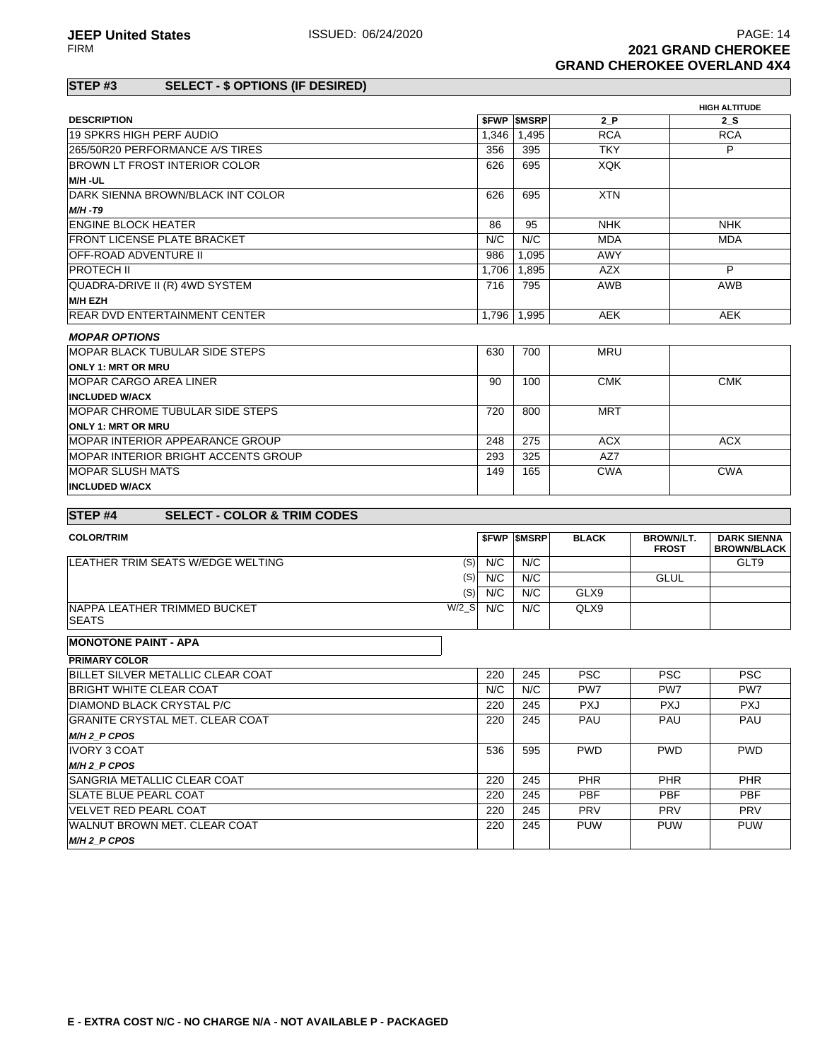# **STEP #3 SELECT - \$ OPTIONS (IF DESIRED)**

|                                                              |         |       |                   |              |                  | <b>HIGH ALTITUDE</b> |  |
|--------------------------------------------------------------|---------|-------|-------------------|--------------|------------------|----------------------|--|
| <b>DESCRIPTION</b>                                           |         |       | <b>SFWP SMSRP</b> | 2P           |                  | 2 S                  |  |
| 19 SPKRS HIGH PERF AUDIO                                     |         | 1.346 | 1,495             | <b>RCA</b>   |                  | <b>RCA</b>           |  |
| 265/50R20 PERFORMANCE A/S TIRES                              |         | 356   | 395               | <b>TKY</b>   |                  | P                    |  |
| <b>BROWN LT FROST INTERIOR COLOR</b>                         |         | 626   | 695               | <b>XQK</b>   |                  |                      |  |
| M/H-UL                                                       |         |       |                   |              |                  |                      |  |
| DARK SIENNA BROWN/BLACK INT COLOR                            |         | 626   | 695               | <b>XTN</b>   |                  |                      |  |
| $M/H - T9$                                                   |         |       |                   |              |                  |                      |  |
| <b>ENGINE BLOCK HEATER</b>                                   |         | 86    | 95                | <b>NHK</b>   |                  | <b>NHK</b>           |  |
| FRONT LICENSE PLATE BRACKET                                  |         | N/C   | N/C               | <b>MDA</b>   |                  | <b>MDA</b>           |  |
| <b>OFF-ROAD ADVENTURE II</b>                                 |         | 986   | 1.095             | AWY          |                  |                      |  |
| <b>PROTECH II</b>                                            |         | 1,706 | 1,895             | <b>AZX</b>   |                  | P                    |  |
| QUADRA-DRIVE II (R) 4WD SYSTEM                               |         | 716   | 795               | <b>AWB</b>   |                  | AWB                  |  |
| <b>M/H EZH</b>                                               |         |       |                   |              |                  |                      |  |
| <b>REAR DVD ENTERTAINMENT CENTER</b>                         |         | 1.796 | 1.995             | <b>AEK</b>   |                  | <b>AEK</b>           |  |
| <b>MOPAR OPTIONS</b>                                         |         |       |                   |              |                  |                      |  |
| <b>MOPAR BLACK TUBULAR SIDE STEPS</b>                        |         | 630   | 700               | <b>MRU</b>   |                  |                      |  |
| <b>ONLY 1: MRT OR MRU</b>                                    |         |       |                   |              |                  |                      |  |
| <b>MOPAR CARGO AREA LINER</b>                                |         | 90    | 100               | <b>CMK</b>   |                  | <b>CMK</b>           |  |
| <b>INCLUDED W/ACX</b>                                        |         |       |                   |              |                  |                      |  |
| <b>IMOPAR CHROME TUBULAR SIDE STEPS</b>                      |         | 720   | 800               | <b>MRT</b>   |                  |                      |  |
| <b>ONLY 1: MRT OR MRU</b>                                    |         |       |                   |              |                  |                      |  |
| <b>MOPAR INTERIOR APPEARANCE GROUP</b>                       |         | 248   | 275               | <b>ACX</b>   |                  | <b>ACX</b>           |  |
| MOPAR INTERIOR BRIGHT ACCENTS GROUP                          |         | 293   | 325               | AZ7          |                  |                      |  |
| <b>MOPAR SLUSH MATS</b>                                      |         | 149   | 165               | <b>CWA</b>   |                  | <b>CWA</b>           |  |
| <b>INCLUDED W/ACX</b>                                        |         |       |                   |              |                  |                      |  |
|                                                              |         |       |                   |              |                  |                      |  |
| <b>SELECT - COLOR &amp; TRIM CODES</b><br>STEP <sub>#4</sub> |         |       |                   |              |                  |                      |  |
| <b>COLOR/TRIM</b>                                            |         |       | <b>SFWP SMSRP</b> | <b>BLACK</b> | <b>BROWN/LT.</b> | <b>DARK SIENNA</b>   |  |
|                                                              |         |       |                   |              | <b>FROST</b>     | <b>BROWN/BLACK</b>   |  |
| LEATHER TRIM SEATS W/EDGE WELTING                            | (S)     | N/C   | N/C               |              | GLT9             |                      |  |
|                                                              | (S)     | N/C   | N/C               |              | <b>GLUL</b>      |                      |  |
|                                                              | (S)     | N/C   | N/C               | GLX9         |                  |                      |  |
| <b>INAPPA LEATHER TRIMMED BUCKET</b><br><b>SEATS</b>         | $W/2$ S | N/C   | N/C               | QLX9         |                  |                      |  |

#### **MONOTONE PAINT - APA**

| <b>PRIMARY COLOR</b>                   |     |     |                 |            |            |
|----------------------------------------|-----|-----|-----------------|------------|------------|
| BILLET SILVER METALLIC CLEAR COAT      | 220 | 245 | <b>PSC</b>      | <b>PSC</b> | <b>PSC</b> |
| <b>BRIGHT WHITE CLEAR COAT</b>         | N/C | N/C | PW <sub>7</sub> | PW7        | PW7        |
| DIAMOND BLACK CRYSTAL P/C              | 220 | 245 | <b>PXJ</b>      | <b>PXJ</b> | <b>PXJ</b> |
| <b>GRANITE CRYSTAL MET. CLEAR COAT</b> | 220 | 245 | <b>PAU</b>      | PAU        | <b>PAU</b> |
| M/H 2 P CPOS                           |     |     |                 |            |            |
| IVORY 3 COAT                           | 536 | 595 | <b>PWD</b>      | <b>PWD</b> | <b>PWD</b> |
| M/H 2 P CPOS                           |     |     |                 |            |            |
| <b>SANGRIA METALLIC CLEAR COAT</b>     | 220 | 245 | <b>PHR</b>      | <b>PHR</b> | <b>PHR</b> |
| <b>SLATE BLUE PEARL COAT</b>           | 220 | 245 | <b>PBF</b>      | <b>PBF</b> | <b>PBF</b> |
| <b>IVELVET RED PEARL COAT</b>          | 220 | 245 | <b>PRV</b>      | <b>PRV</b> | <b>PRV</b> |
| <b>IWALNUT BROWN MET. CLEAR COAT</b>   | 220 | 245 | <b>PUW</b>      | <b>PUW</b> | <b>PUW</b> |
| M/H <sub>2</sub> P CPOS                |     |     |                 |            |            |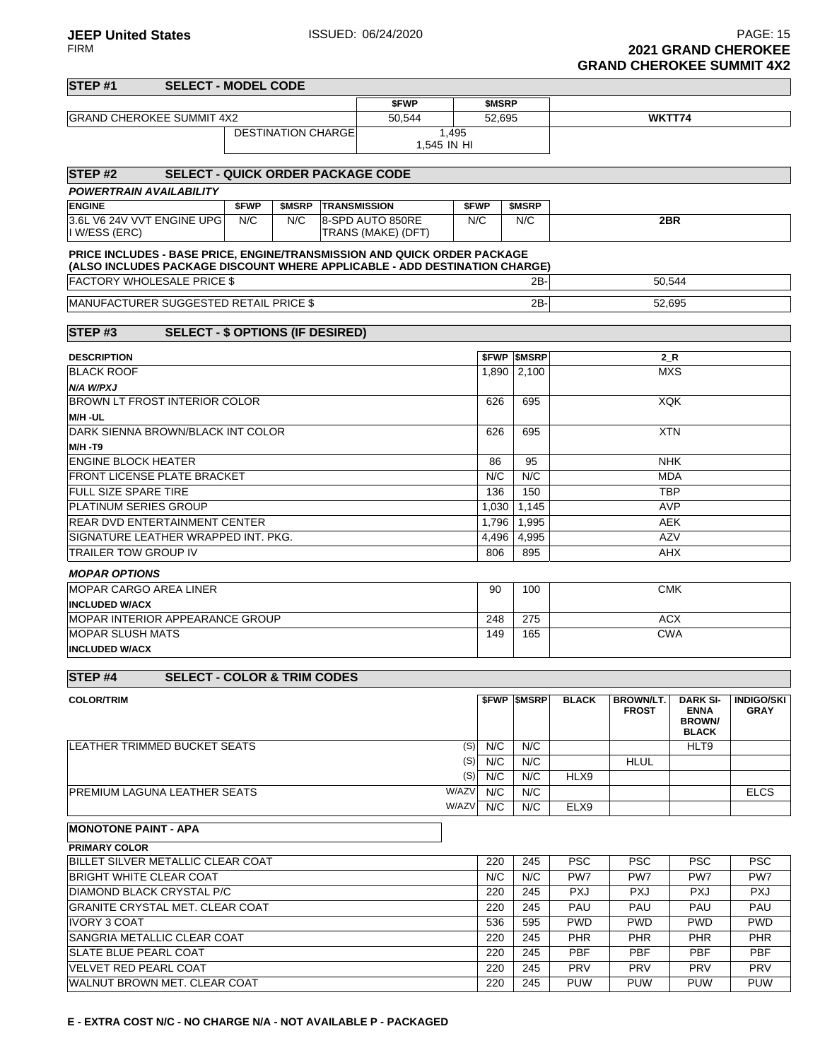| STEP <sub>#1</sub>                                                                                                                                     | <b>SELECT - MODEL CODE</b>               |              |                                   |  |                    |             |        |                          |              |                  |                                              |                   |
|--------------------------------------------------------------------------------------------------------------------------------------------------------|------------------------------------------|--------------|-----------------------------------|--|--------------------|-------------|--------|--------------------------|--------------|------------------|----------------------------------------------|-------------------|
|                                                                                                                                                        |                                          |              |                                   |  | \$FWP              |             | \$MSRP |                          |              |                  |                                              |                   |
| <b>GRAND CHEROKEE SUMMIT 4X2</b>                                                                                                                       |                                          |              |                                   |  | 50,544             |             | 52,695 |                          |              | WKTT74           |                                              |                   |
|                                                                                                                                                        |                                          |              | <b>DESTINATION CHARGE</b>         |  |                    | 1,495       |        |                          |              |                  |                                              |                   |
|                                                                                                                                                        |                                          |              |                                   |  |                    | 1,545 IN HI |        |                          |              |                  |                                              |                   |
| STEP <sub>#2</sub>                                                                                                                                     | <b>SELECT - QUICK ORDER PACKAGE CODE</b> |              |                                   |  |                    |             |        |                          |              |                  |                                              |                   |
| <b>POWERTRAIN AVAILABILITY</b>                                                                                                                         |                                          |              |                                   |  |                    |             |        |                          |              |                  |                                              |                   |
| <b>ENGINE</b><br>3.6L V6 24V VVT ENGINE UPG                                                                                                            |                                          | \$FWP<br>N/C | <b>\$MSRP TRANSMISSION</b><br>N/C |  | 8-SPD AUTO 850RE   | \$FWP       | N/C    | \$MSRP<br>N/C            |              | 2BR              |                                              |                   |
| I W/ESS (ERC)                                                                                                                                          |                                          |              |                                   |  | TRANS (MAKE) (DFT) |             |        |                          |              |                  |                                              |                   |
| PRICE INCLUDES - BASE PRICE, ENGINE/TRANSMISSION AND QUICK ORDER PACKAGE<br>(ALSO INCLUDES PACKAGE DISCOUNT WHERE APPLICABLE - ADD DESTINATION CHARGE) |                                          |              |                                   |  |                    |             |        |                          |              |                  |                                              |                   |
| <b>FACTORY WHOLESALE PRICE \$</b>                                                                                                                      |                                          |              |                                   |  |                    |             |        | 2B-                      |              | 50,544           |                                              |                   |
| MANUFACTURER SUGGESTED RETAIL PRICE \$                                                                                                                 |                                          |              |                                   |  |                    |             |        | 2B-                      |              | 52,695           |                                              |                   |
| STEP <sub>#3</sub>                                                                                                                                     | <b>SELECT - \$ OPTIONS (IF DESIRED)</b>  |              |                                   |  |                    |             |        |                          |              |                  |                                              |                   |
| <b>DESCRIPTION</b>                                                                                                                                     |                                          |              |                                   |  |                    |             |        | <b>\$FWP \$MSRP</b>      |              | $2_R$            |                                              |                   |
| <b>BLACK ROOF</b>                                                                                                                                      |                                          |              |                                   |  |                    |             |        | 1,890 2,100              |              | <b>MXS</b>       |                                              |                   |
| N/A W/PXJ                                                                                                                                              |                                          |              |                                   |  |                    |             |        |                          |              |                  |                                              |                   |
| <b>BROWN LT FROST INTERIOR COLOR</b>                                                                                                                   |                                          |              |                                   |  |                    |             | 626    | 695                      |              | XQK              |                                              |                   |
| M/H-UL<br>DARK SIENNA BROWN/BLACK INT COLOR                                                                                                            |                                          |              |                                   |  |                    |             | 626    | 695                      |              | <b>XTN</b>       |                                              |                   |
| <b>M/H -T9</b>                                                                                                                                         |                                          |              |                                   |  |                    |             |        |                          |              |                  |                                              |                   |
| <b>ENGINE BLOCK HEATER</b>                                                                                                                             |                                          |              |                                   |  |                    |             | 86     | 95                       |              | <b>NHK</b>       |                                              |                   |
| <b>FRONT LICENSE PLATE BRACKET</b>                                                                                                                     |                                          |              |                                   |  |                    |             | N/C    | N/C                      |              | <b>MDA</b>       |                                              |                   |
| <b>FULL SIZE SPARE TIRE</b>                                                                                                                            |                                          |              |                                   |  |                    |             |        | 150                      |              | <b>TBP</b>       |                                              |                   |
| <b>PLATINUM SERIES GROUP</b>                                                                                                                           |                                          |              |                                   |  |                    |             | 1,030  | 1,145                    |              | <b>AVP</b>       |                                              |                   |
| <b>REAR DVD ENTERTAINMENT CENTER</b>                                                                                                                   |                                          |              |                                   |  |                    |             | 1,796  | 1,995                    |              | <b>AEK</b>       |                                              |                   |
| SIGNATURE LEATHER WRAPPED INT. PKG.                                                                                                                    |                                          |              |                                   |  |                    |             | 4,496  | 4,995                    |              | <b>AZV</b>       |                                              |                   |
| TRAILER TOW GROUP IV                                                                                                                                   |                                          |              |                                   |  |                    |             | 806    | 895                      |              | <b>AHX</b>       |                                              |                   |
| <b>MOPAR OPTIONS</b>                                                                                                                                   |                                          |              |                                   |  |                    |             |        |                          |              |                  |                                              |                   |
| <b>MOPAR CARGO AREA LINER</b>                                                                                                                          |                                          |              |                                   |  |                    |             | 90     | 100                      | <b>CMK</b>   |                  |                                              |                   |
| <b>INCLUDED W/ACX</b><br>MOPAR INTERIOR APPEARANCE GROUP                                                                                               |                                          |              |                                   |  |                    |             | 248    | 275                      |              | <b>ACX</b>       |                                              |                   |
| <b>MOPAR SLUSH MATS</b>                                                                                                                                |                                          |              |                                   |  |                    |             | 149    | 165                      |              | <b>CWA</b>       |                                              |                   |
| <b>INCLUDED W/ACX</b>                                                                                                                                  |                                          |              |                                   |  |                    |             |        |                          |              |                  |                                              |                   |
| STEP #4                                                                                                                                                | <b>SELECT - COLOR &amp; TRIM CODES</b>   |              |                                   |  |                    |             |        |                          |              |                  |                                              |                   |
| <b>COLOR/TRIM</b>                                                                                                                                      |                                          |              |                                   |  |                    |             |        | <b><i>SFWP SMSRP</i></b> | <b>BLACK</b> | <b>BROWN/LT.</b> | <b>DARK SI-</b>                              | <b>INDIGO/SKI</b> |
|                                                                                                                                                        |                                          |              |                                   |  |                    |             |        |                          |              | <b>FROST</b>     | <b>ENNA</b><br><b>BROWN/</b><br><b>BLACK</b> | <b>GRAY</b>       |
| LEATHER TRIMMED BUCKET SEATS                                                                                                                           |                                          |              |                                   |  |                    | (S)         | N/C    | N/C                      |              |                  | HLT9                                         |                   |
|                                                                                                                                                        |                                          |              |                                   |  |                    | (S)         | N/C    | N/C                      |              | <b>HLUL</b>      |                                              |                   |
|                                                                                                                                                        |                                          |              |                                   |  |                    | (S)         | N/C    | N/C                      | HLX9         |                  |                                              |                   |
| <b>PREMIUM LAGUNA LEATHER SEATS</b>                                                                                                                    |                                          |              |                                   |  |                    | W/AZV       | N/C    | N/C                      |              |                  |                                              | <b>ELCS</b>       |
|                                                                                                                                                        |                                          |              |                                   |  |                    | W/AZV       | N/C    | $N/\overline{C}$         | ELX9         |                  |                                              |                   |
| <b>MONOTONE PAINT - APA</b>                                                                                                                            |                                          |              |                                   |  |                    |             |        |                          |              |                  |                                              |                   |
| <b>PRIMARY COLOR</b><br>BILLET SILVER METALLIC CLEAR COAT                                                                                              |                                          |              |                                   |  |                    |             | 220    | 245                      | <b>PSC</b>   | <b>PSC</b>       | <b>PSC</b>                                   | <b>PSC</b>        |
| BRIGHT WHITE CLEAR COAT                                                                                                                                |                                          |              |                                   |  |                    |             | N/C    | N/C                      | PW7          | PW7              | PW7                                          | PW7               |
| <b>DIAMOND BLACK CRYSTAL P/C</b>                                                                                                                       |                                          |              |                                   |  |                    |             | 220    | 245                      | <b>PXJ</b>   | <b>PXJ</b>       | <b>PXJ</b>                                   | <b>PXJ</b>        |
| <b>GRANITE CRYSTAL MET. CLEAR COAT</b>                                                                                                                 |                                          |              |                                   |  |                    |             | 220    | 245                      | PAU          | PAU              | PAU                                          | PAU               |
| <b>IVORY 3 COAT</b>                                                                                                                                    |                                          |              |                                   |  |                    |             | 536    | 595                      | <b>PWD</b>   | <b>PWD</b>       | <b>PWD</b>                                   | <b>PWD</b>        |
| SANGRIA METALLIC CLEAR COAT                                                                                                                            |                                          |              |                                   |  |                    |             | 220    | 245                      | <b>PHR</b>   | <b>PHR</b>       | <b>PHR</b>                                   | <b>PHR</b>        |
| <b>SLATE BLUE PEARL COAT</b>                                                                                                                           |                                          |              |                                   |  |                    |             | 220    | 245                      | PBF          | PBF              | <b>PBF</b>                                   | <b>PBF</b>        |
| VELVET RED PEARL COAT                                                                                                                                  |                                          |              |                                   |  |                    |             | 220    | 245                      | <b>PRV</b>   | <b>PRV</b>       | <b>PRV</b>                                   | <b>PRV</b>        |

WALNUT BROWN MET. CLEAR COAT **220 245 PUW PUW PUW PUW PUW**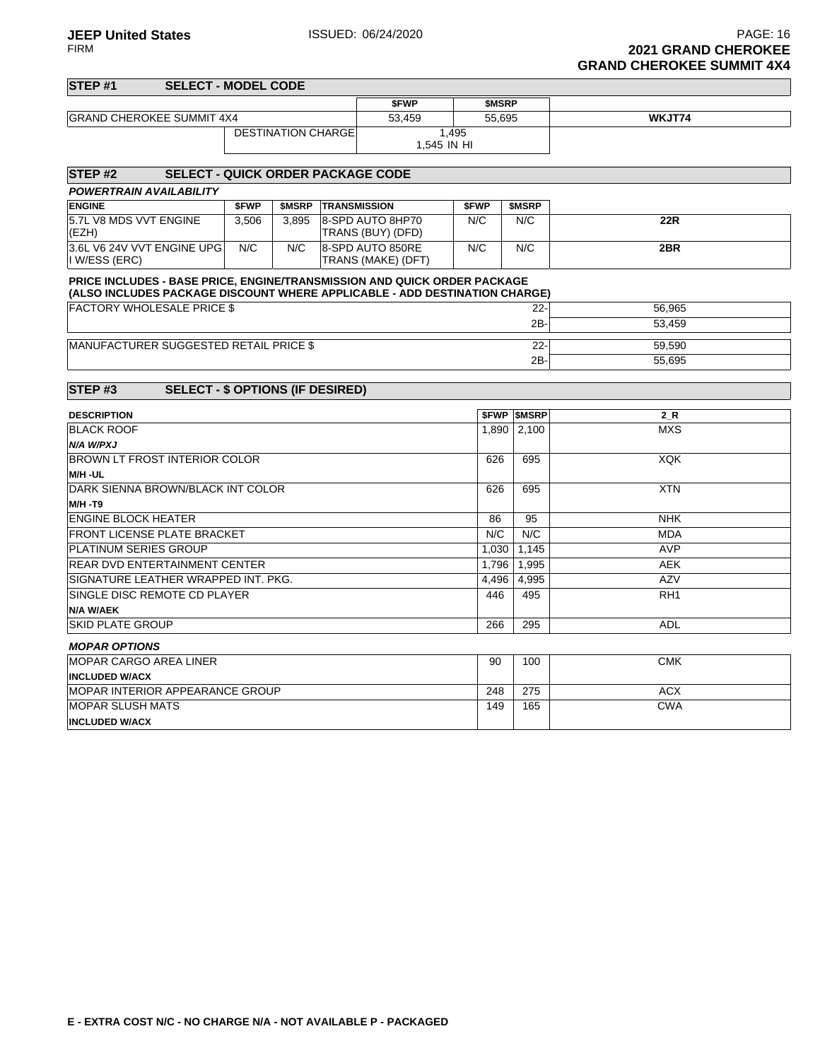**INCLUDED W/ACX**

| STEP #1                                                                                                                                                | <b>SELECT - MODEL CODE</b>               |       |                           |                     |                                        |              |                          |                 |
|--------------------------------------------------------------------------------------------------------------------------------------------------------|------------------------------------------|-------|---------------------------|---------------------|----------------------------------------|--------------|--------------------------|-----------------|
|                                                                                                                                                        |                                          |       |                           |                     | <b>SFWP</b>                            | <b>SMSRP</b> |                          |                 |
| <b>GRAND CHEROKEE SUMMIT 4X4</b>                                                                                                                       |                                          |       |                           |                     | 53,459                                 |              | 55,695                   | WKJT74          |
|                                                                                                                                                        |                                          |       | <b>DESTINATION CHARGE</b> |                     | 1,545 IN HI                            | 1,495        |                          |                 |
| STEP <sub>#2</sub>                                                                                                                                     | <b>SELECT - QUICK ORDER PACKAGE CODE</b> |       |                           |                     |                                        |              |                          |                 |
| POWERTRAIN AVAILABILITY                                                                                                                                |                                          |       |                           |                     |                                        |              |                          |                 |
| <b>ENGINE</b>                                                                                                                                          |                                          | \$FWP | \$MSRP                    | <b>TRANSMISSION</b> |                                        | <b>SFWP</b>  | \$MSRP                   |                 |
| 5.7L V8 MDS VVT ENGINE<br>(EZH)                                                                                                                        |                                          | 3,506 | 3.895                     |                     | 8-SPD AUTO 8HP70<br>TRANS (BUY) (DFD)  | N/C          | N/C                      | <b>22R</b>      |
| 3.6L V6 24V VVT ENGINE UPG<br>I W/ESS (ERC)                                                                                                            |                                          | N/C   | N/C                       |                     | 8-SPD AUTO 850RE<br>TRANS (MAKE) (DFT) | N/C          | N/C                      | 2BR             |
| PRICE INCLUDES - BASE PRICE, ENGINE/TRANSMISSION AND QUICK ORDER PACKAGE<br>(ALSO INCLUDES PACKAGE DISCOUNT WHERE APPLICABLE - ADD DESTINATION CHARGE) |                                          |       |                           |                     |                                        |              |                          |                 |
| <b>FACTORY WHOLESALE PRICE \$</b>                                                                                                                      |                                          |       |                           |                     |                                        |              | $22 -$                   | 56,965          |
|                                                                                                                                                        |                                          |       |                           |                     | 2B-                                    | 53,459       |                          |                 |
|                                                                                                                                                        |                                          |       |                           |                     |                                        |              |                          |                 |
| MANUFACTURER SUGGESTED RETAIL PRICE \$                                                                                                                 |                                          |       |                           |                     |                                        |              | $22 -$                   | 59,590          |
|                                                                                                                                                        |                                          |       |                           | $2B -$              | 55,695                                 |              |                          |                 |
|                                                                                                                                                        |                                          |       |                           |                     |                                        |              |                          |                 |
| STEP#3                                                                                                                                                 | <b>SELECT - \$ OPTIONS (IF DESIRED)</b>  |       |                           |                     |                                        |              |                          |                 |
| <b>DESCRIPTION</b>                                                                                                                                     |                                          |       |                           |                     |                                        |              | <b><i>SFWP SMSRP</i></b> | $2_R$           |
| BLACK ROOF                                                                                                                                             |                                          |       |                           |                     |                                        | 1,890        | 2,100                    | <b>MXS</b>      |
| N/A W/PXJ                                                                                                                                              |                                          |       |                           |                     |                                        |              |                          |                 |
| BROWN LT FROST INTERIOR COLOR                                                                                                                          |                                          |       |                           |                     |                                        | 626          | 695                      | <b>XQK</b>      |
| <b>M/H -UL</b>                                                                                                                                         |                                          |       |                           |                     |                                        |              |                          |                 |
| DARK SIENNA BROWN/BLACK INT COLOR                                                                                                                      |                                          |       |                           |                     |                                        | 626          | 695                      | <b>XTN</b>      |
| M/H -T9                                                                                                                                                |                                          |       |                           |                     |                                        |              |                          |                 |
| <b>ENGINE BLOCK HEATER</b>                                                                                                                             |                                          |       |                           |                     |                                        | 86           | 95                       | <b>NHK</b>      |
| <b>FRONT LICENSE PLATE BRACKET</b>                                                                                                                     |                                          |       |                           |                     |                                        | N/C          | N/C                      | <b>MDA</b>      |
| PLATINUM SERIES GROUP                                                                                                                                  |                                          |       |                           |                     |                                        | 1,030        | 1,145                    | <b>AVP</b>      |
| REAR DVD ENTERTAINMENT CENTER                                                                                                                          |                                          |       |                           |                     |                                        | 1,796        | 1,995                    | AEK             |
| SIGNATURE LEATHER WRAPPED INT. PKG.                                                                                                                    |                                          |       |                           |                     |                                        | 4,496        | 4,995                    | AZV             |
| SINGLE DISC REMOTE CD PLAYER                                                                                                                           |                                          |       |                           |                     |                                        | 446          | 495                      | RH <sub>1</sub> |
| N/A W/AEK                                                                                                                                              |                                          |       |                           |                     |                                        |              |                          |                 |
| <b>SKID PLATE GROUP</b>                                                                                                                                |                                          |       |                           |                     |                                        | 266          | 295                      | <b>ADL</b>      |
| <b>MOPAR OPTIONS</b>                                                                                                                                   |                                          |       |                           |                     |                                        |              |                          |                 |
| <b>MOPAR CARGO AREA LINER</b>                                                                                                                          |                                          |       |                           |                     |                                        | 90           | 100                      | <b>CMK</b>      |
| <b>INCLUDED W/ACX</b>                                                                                                                                  |                                          |       |                           |                     |                                        |              |                          |                 |
| MOPAR INTERIOR APPEARANCE GROUP                                                                                                                        |                                          |       |                           |                     |                                        | 248          | 275                      | <b>ACX</b>      |
| <b>MOPAR SLUSH MATS</b>                                                                                                                                |                                          |       |                           |                     |                                        | 149          | 165                      | <b>CWA</b>      |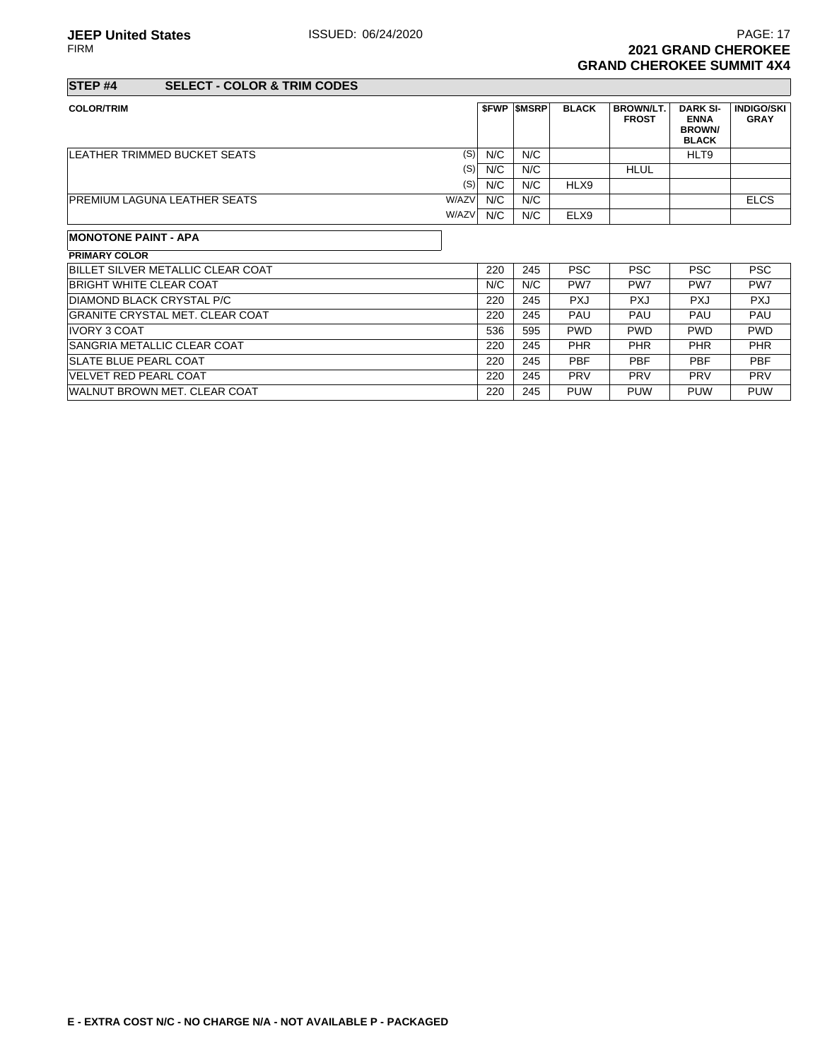**JEEP United States ISSUED: 06/24/2020** PAGE: 17<br>FIRM **PAGE: 17 2021 GRAND CHEROKEE GRAND CHEROKEE SUMMIT 4X4**

## **STEP #4 SELECT - COLOR & TRIM CODES**

| <b>COLOR/TRIM</b>                            | <b>SFWP</b> | <b>SMSRP</b> | <b>BLACK</b> | <b>BROWN/LT.</b><br><b>FROST</b> | <b>DARK SI-</b><br><b>ENNA</b><br><b>BROWN</b><br><b>BLACK</b> | <b>INDIGO/SKI</b><br><b>GRAY</b> |
|----------------------------------------------|-------------|--------------|--------------|----------------------------------|----------------------------------------------------------------|----------------------------------|
| (S)<br>LEATHER TRIMMED BUCKET SEATS          | N/C         | N/C          |              |                                  | HLT9                                                           |                                  |
| (S)                                          | N/C         | N/C          |              | <b>HLUL</b>                      |                                                                |                                  |
| (S)                                          | N/C         | N/C          | HLX9         |                                  |                                                                |                                  |
| W/AZV<br><b>PREMIUM LAGUNA LEATHER SEATS</b> | N/C         | N/C          |              |                                  |                                                                | <b>ELCS</b>                      |
| W/AZV                                        | N/C         | N/C          | ELX9         |                                  |                                                                |                                  |

#### **MONOTONE PAINT - APA**

| <b>PRIMARY COLOR</b>                     |     |     |                 |            |                 |            |
|------------------------------------------|-----|-----|-----------------|------------|-----------------|------------|
| <b>BILLET SILVER METALLIC CLEAR COAT</b> | 220 | 245 | <b>PSC</b>      | <b>PSC</b> | <b>PSC</b>      | <b>PSC</b> |
| BRIGHT WHITE CLEAR COAT                  | N/C | N/C | PW <sub>7</sub> | PW7        | PW <sub>7</sub> | PW7        |
| DIAMOND BLACK CRYSTAL P/C                | 220 | 245 | <b>PXJ</b>      | <b>PXJ</b> | <b>PXJ</b>      | <b>PXJ</b> |
| <b>GRANITE CRYSTAL MET. CLEAR COAT</b>   | 220 | 245 | PAU             | PAU        | PAU             | PAU        |
| <b>IVORY 3 COAT</b>                      | 536 | 595 | <b>PWD</b>      | <b>PWD</b> | <b>PWD</b>      | <b>PWD</b> |
| <b>SANGRIA METALLIC CLEAR COAT</b>       | 220 | 245 | <b>PHR</b>      | PHR        | PHR             | <b>PHR</b> |
| <b>SLATE BLUE PEARL COAT</b>             | 220 | 245 | <b>PBF</b>      | <b>PBF</b> | PBF             | <b>PBF</b> |
| <b>VELVET RED PEARL COAT</b>             | 220 | 245 | <b>PRV</b>      | <b>PRV</b> | <b>PRV</b>      | <b>PRV</b> |
| <b>IWALNUT BROWN MET. CLEAR COAT</b>     | 220 | 245 | <b>PUW</b>      | <b>PUW</b> | <b>PUW</b>      | <b>PUW</b> |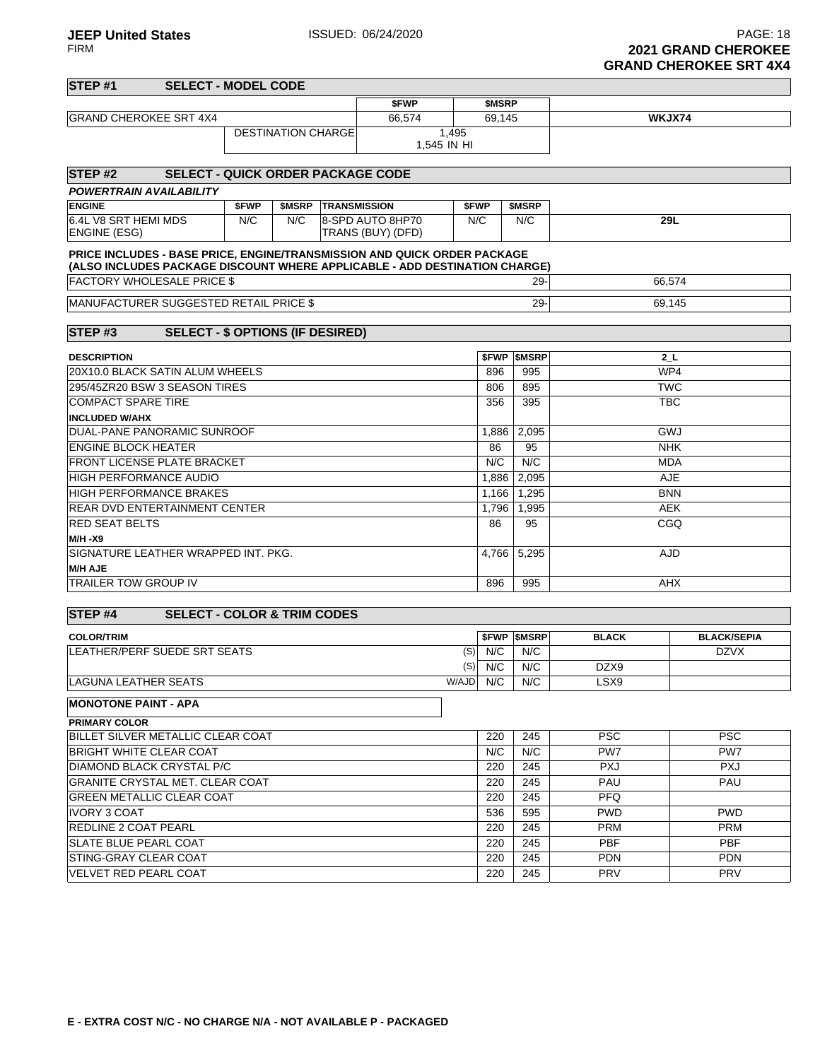|                                             |                                                                                                                                                        |       |                           |                            |                                       |                      |           |                          |              | ONAND GHLNORLL ON FA <del>T</del> |
|---------------------------------------------|--------------------------------------------------------------------------------------------------------------------------------------------------------|-------|---------------------------|----------------------------|---------------------------------------|----------------------|-----------|--------------------------|--------------|-----------------------------------|
| STEP <sub>#1</sub>                          | <b>SELECT - MODEL CODE</b>                                                                                                                             |       |                           |                            |                                       |                      |           |                          |              |                                   |
|                                             |                                                                                                                                                        |       |                           |                            | \$FWP                                 |                      | \$MSRP    |                          |              |                                   |
| <b>GRAND CHEROKEE SRT 4X4</b>               |                                                                                                                                                        |       |                           |                            | 66,574                                |                      | 69,145    |                          |              | WKJX74                            |
|                                             |                                                                                                                                                        |       | <b>DESTINATION CHARGE</b> |                            |                                       | 1,495<br>1,545 IN HI |           |                          |              |                                   |
|                                             |                                                                                                                                                        |       |                           |                            |                                       |                      |           |                          |              |                                   |
| STEP <sub>#2</sub>                          | <b>SELECT - QUICK ORDER PACKAGE CODE</b>                                                                                                               |       |                           |                            |                                       |                      |           |                          |              |                                   |
|                                             | <b>POWERTRAIN AVAILABILITY</b>                                                                                                                         |       |                           |                            |                                       |                      |           |                          |              |                                   |
| <b>ENGINE</b>                               |                                                                                                                                                        | \$FWP |                           | <b>\$MSRP TRANSMISSION</b> |                                       | \$FWP                |           | \$MSRP                   |              |                                   |
| 6.4L V8 SRT HEMI MDS<br><b>ENGINE (ESG)</b> |                                                                                                                                                        | N/C   | N/C                       |                            | 8-SPD AUTO 8HP70<br>TRANS (BUY) (DFD) | N/C                  |           | N/C                      |              | 29L                               |
|                                             | PRICE INCLUDES - BASE PRICE, ENGINE/TRANSMISSION AND QUICK ORDER PACKAGE<br>(ALSO INCLUDES PACKAGE DISCOUNT WHERE APPLICABLE - ADD DESTINATION CHARGE) |       |                           |                            |                                       |                      |           |                          |              |                                   |
|                                             | <b>FACTORY WHOLESALE PRICE \$</b>                                                                                                                      |       |                           |                            |                                       |                      |           | $29 -$                   |              | 66,574                            |
|                                             | MANUFACTURER SUGGESTED RETAIL PRICE \$                                                                                                                 |       |                           |                            |                                       |                      |           | $29 -$                   |              | 69,145                            |
| STEP#3                                      | <b>SELECT - \$ OPTIONS (IF DESIRED)</b>                                                                                                                |       |                           |                            |                                       |                      |           |                          |              |                                   |
| <b>DESCRIPTION</b>                          |                                                                                                                                                        |       |                           |                            |                                       |                      |           | <b>SFWP SMSRP</b>        |              | 2 L                               |
|                                             | 20X10.0 BLACK SATIN ALUM WHEELS                                                                                                                        |       |                           |                            |                                       |                      | 896       | 995                      |              | WP4                               |
|                                             | 295/45ZR20 BSW 3 SEASON TIRES                                                                                                                          |       |                           |                            |                                       |                      | 806       | 895                      |              | <b>TWC</b>                        |
| <b>COMPACT SPARE TIRE</b>                   |                                                                                                                                                        |       |                           |                            |                                       |                      | 356       | 395                      |              | <b>TBC</b>                        |
| <b>INCLUDED W/AHX</b>                       |                                                                                                                                                        |       |                           |                            |                                       |                      |           |                          |              |                                   |
|                                             | DUAL-PANE PANORAMIC SUNROOF                                                                                                                            |       |                           |                            |                                       |                      | 1,886     | 2,095                    |              | GWJ                               |
| <b>ENGINE BLOCK HEATER</b>                  |                                                                                                                                                        |       |                           |                            |                                       |                      | 86        | 95                       |              | <b>NHK</b>                        |
|                                             | <b>FRONT LICENSE PLATE BRACKET</b>                                                                                                                     |       |                           |                            |                                       |                      | N/C       | N/C                      |              | <b>MDA</b>                        |
| <b>HIGH PERFORMANCE AUDIO</b>               |                                                                                                                                                        |       |                           |                            |                                       |                      | 1,886     | 2,095                    |              | <b>AJE</b>                        |
|                                             | <b>HIGH PERFORMANCE BRAKES</b>                                                                                                                         |       |                           |                            |                                       |                      | 1,166     | 1.295                    |              | <b>BNN</b>                        |
|                                             | <b>REAR DVD ENTERTAINMENT CENTER</b>                                                                                                                   |       |                           |                            |                                       |                      | 1,796     | 1,995                    |              | <b>AEK</b>                        |
| <b>RED SEAT BELTS</b>                       |                                                                                                                                                        |       |                           |                            |                                       |                      | 86        | 95                       |              | CGQ                               |
| <b>M/H-X9</b>                               |                                                                                                                                                        |       |                           |                            |                                       |                      |           |                          |              |                                   |
|                                             | SIGNATURE LEATHER WRAPPED INT. PKG.                                                                                                                    |       |                           |                            |                                       |                      | 4,766     | 5,295                    |              | <b>AJD</b>                        |
| <b>M/H AJE</b>                              |                                                                                                                                                        |       |                           |                            |                                       |                      |           |                          |              |                                   |
| <b>TRAILER TOW GROUP IV</b>                 |                                                                                                                                                        |       |                           |                            |                                       |                      | 896       | 995                      |              | <b>AHX</b>                        |
| STEP <sub>#4</sub>                          | <b>SELECT - COLOR &amp; TRIM CODES</b>                                                                                                                 |       |                           |                            |                                       |                      |           |                          |              |                                   |
| <b>COLOR/TRIM</b>                           |                                                                                                                                                        |       |                           |                            |                                       |                      |           | <b><i>SFWP SMSRP</i></b> | <b>BLACK</b> | <b>BLACK/SEPIA</b>                |
|                                             | LEATHER/PERF SUEDE SRT SEATS                                                                                                                           |       |                           |                            |                                       |                      | $(S)$ N/C | N/C                      |              | <b>DZVX</b>                       |
|                                             |                                                                                                                                                        |       |                           |                            |                                       |                      | $(S)$ N/C | N/C                      | DZX9         |                                   |
| <b>LAGUNA LEATHER SEATS</b>                 |                                                                                                                                                        |       |                           |                            |                                       | W/AJD                | N/C       | N/C                      | LSX9         |                                   |
| <b>MONOTONE PAINT - APA</b>                 |                                                                                                                                                        |       |                           |                            |                                       |                      |           |                          |              |                                   |
| <b>PRIMARY COLOR</b>                        |                                                                                                                                                        |       |                           |                            |                                       |                      |           |                          |              |                                   |
|                                             | BILLET SILVER METALLIC CLEAR COAT                                                                                                                      |       |                           |                            |                                       |                      | 220       | 245                      | <b>PSC</b>   | <b>PSC</b>                        |
|                                             | <b>BRIGHT WHITE CLEAR COAT</b>                                                                                                                         |       |                           |                            |                                       |                      | N/C       | N/C                      | PW7          | PW7                               |
|                                             | DIAMOND BLACK CRYSTAL P/C                                                                                                                              |       |                           |                            |                                       |                      | 220       | 245                      | <b>PXJ</b>   | <b>PXJ</b>                        |
|                                             | <b>GRANITE CRYSTAL MET. CLEAR COAT</b>                                                                                                                 |       |                           |                            |                                       |                      | 220       | 245                      | PAU          | PAU                               |
|                                             | <b>GREEN METALLIC CLEAR COAT</b>                                                                                                                       |       |                           |                            |                                       |                      | 220       | 245                      | <b>PFQ</b>   |                                   |
| <b>IVORY 3 COAT</b>                         |                                                                                                                                                        |       |                           |                            |                                       |                      | 536       | 595                      | <b>PWD</b>   | <b>PWD</b>                        |
| <b>REDLINE 2 COAT PEARL</b>                 |                                                                                                                                                        |       |                           |                            |                                       |                      | 220       | 245                      | <b>PRM</b>   | <b>PRM</b>                        |

SLATE BLUE PEARL COAT PBF PURITIES AND RESEARCH AND RESEARCH PARTICLE IN A PARTICLE IN PARTICLE IN PRINT PRINT STING-GRAY CLEAR COAT 220 245 PDN PDN VELVET RED PEARL COAT 220 245 PRV PRV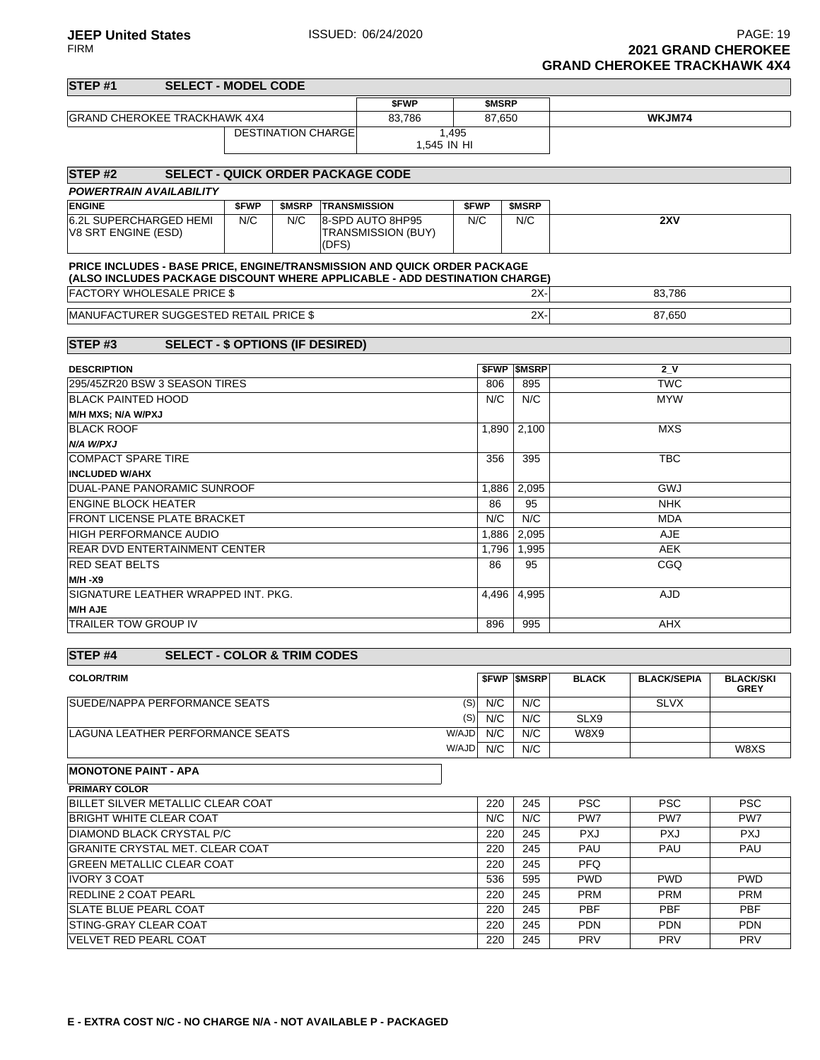| STEP <sub>#1</sub>                                                         | <b>SELECT - MODEL CODE</b>               |       |                            |       |                           |             |           |                          |             |                                                 |             |
|----------------------------------------------------------------------------|------------------------------------------|-------|----------------------------|-------|---------------------------|-------------|-----------|--------------------------|-------------|-------------------------------------------------|-------------|
|                                                                            |                                          |       |                            |       | \$FWP                     |             | \$MSRP    |                          |             |                                                 |             |
| <b>GRAND CHEROKEE TRACKHAWK 4X4</b>                                        |                                          |       |                            |       | 83,786                    |             | 87,650    |                          |             | WKJM74                                          |             |
|                                                                            |                                          |       | <b>DESTINATION CHARGE</b>  |       |                           | 1,495       |           |                          |             |                                                 |             |
|                                                                            |                                          |       |                            |       |                           | 1,545 IN HI |           |                          |             |                                                 |             |
|                                                                            |                                          |       |                            |       |                           |             |           |                          |             |                                                 |             |
| <b>STEP #2</b>                                                             | <b>SELECT - QUICK ORDER PACKAGE CODE</b> |       |                            |       |                           |             |           |                          |             |                                                 |             |
| POWERTRAIN AVAILABILITY                                                    |                                          |       |                            |       |                           |             |           |                          |             |                                                 |             |
| <b>ENGINE</b>                                                              |                                          | \$FWP | <b>\$MSRP TRANSMISSION</b> |       |                           | \$FWP       |           | \$MSRP                   |             |                                                 |             |
| 6.2L SUPERCHARGED HEMI                                                     |                                          | N/C   | N/C                        |       | 8-SPD AUTO 8HP95          | N/C         |           | N/C                      |             | 2XV                                             |             |
| V8 SRT ENGINE (ESD)                                                        |                                          |       |                            |       | <b>TRANSMISSION (BUY)</b> |             |           |                          |             |                                                 |             |
|                                                                            |                                          |       |                            | (DFS) |                           |             |           |                          |             |                                                 |             |
| PRICE INCLUDES - BASE PRICE, ENGINE/TRANSMISSION AND QUICK ORDER PACKAGE   |                                          |       |                            |       |                           |             |           |                          |             |                                                 |             |
| (ALSO INCLUDES PACKAGE DISCOUNT WHERE APPLICABLE - ADD DESTINATION CHARGE) |                                          |       |                            |       |                           |             |           |                          |             |                                                 |             |
| <b>FACTORY WHOLESALE PRICE \$</b>                                          |                                          |       |                            |       |                           |             |           | 2X-                      |             | 83,786                                          |             |
| MANUFACTURER SUGGESTED RETAIL PRICE \$                                     |                                          |       |                            |       |                           |             |           | $2X -$                   |             | 87,650                                          |             |
|                                                                            |                                          |       |                            |       |                           |             |           |                          |             |                                                 |             |
| STEP#3                                                                     | <b>SELECT - \$ OPTIONS (IF DESIRED)</b>  |       |                            |       |                           |             |           |                          |             |                                                 |             |
|                                                                            |                                          |       |                            |       |                           |             |           |                          |             |                                                 |             |
| <b>DESCRIPTION</b>                                                         |                                          |       |                            |       |                           |             |           | <b><i>SFWP SMSRP</i></b> |             | 2N                                              |             |
| 295/45ZR20 BSW 3 SEASON TIRES                                              |                                          |       |                            |       |                           |             | 806       | 895                      |             | <b>TWC</b>                                      |             |
| <b>BLACK PAINTED HOOD</b>                                                  |                                          |       |                            |       |                           |             | N/C       | N/C                      |             | <b>MYW</b>                                      |             |
| M/H MXS; N/A W/PXJ                                                         |                                          |       |                            |       |                           |             |           |                          |             |                                                 |             |
| <b>BLACK ROOF</b>                                                          |                                          |       |                            |       |                           |             | 1,890     | 2,100                    |             | <b>MXS</b>                                      |             |
| N/A W/PXJ                                                                  |                                          |       |                            |       |                           |             |           |                          |             |                                                 |             |
| <b>COMPACT SPARE TIRE</b>                                                  |                                          |       |                            |       |                           |             | 356       | 395                      |             | <b>TBC</b>                                      |             |
| <b>INCLUDED W/AHX</b>                                                      |                                          |       |                            |       |                           |             |           |                          |             |                                                 |             |
| DUAL-PANE PANORAMIC SUNROOF                                                |                                          |       |                            |       |                           |             | 1,886     | 2,095                    |             | GWJ                                             |             |
| <b>ENGINE BLOCK HEATER</b>                                                 |                                          |       |                            |       |                           |             | 86        | 95                       |             | <b>NHK</b>                                      |             |
| FRONT LICENSE PLATE BRACKET                                                |                                          |       |                            |       |                           |             | N/C       | N/C                      |             | <b>MDA</b>                                      |             |
| HIGH PERFORMANCE AUDIO                                                     |                                          |       |                            |       |                           |             | 1,886     | 2,095                    |             | AJE                                             |             |
| REAR DVD ENTERTAINMENT CENTER                                              |                                          |       |                            |       |                           |             | 1,796     | 1,995                    |             | <b>AEK</b>                                      |             |
| <b>RED SEAT BELTS</b>                                                      |                                          |       |                            |       |                           |             | 86        | 95                       |             | CGQ                                             |             |
| M/H -X9                                                                    |                                          |       |                            |       |                           |             |           |                          |             |                                                 |             |
| SIGNATURE LEATHER WRAPPED INT. PKG.                                        |                                          |       |                            |       |                           |             | 4,496     | 4,995                    |             | AJD                                             |             |
| <b>M/H AJE</b>                                                             |                                          |       |                            |       |                           |             |           |                          |             |                                                 |             |
| <b>TRAILER TOW GROUP IV</b>                                                |                                          |       |                            |       |                           |             | 896       | 995                      |             | AHX                                             |             |
|                                                                            |                                          |       |                            |       |                           |             |           |                          |             |                                                 |             |
| STEP <sub>#4</sub>                                                         | <b>SELECT - COLOR &amp; TRIM CODES</b>   |       |                            |       |                           |             |           |                          |             |                                                 |             |
| <b>COLOR/TRIM</b>                                                          |                                          |       |                            |       |                           |             |           |                          |             | <b>\$FWP \$MSRP BLACK BLACK/SEPIA BLACK/SKI</b> |             |
|                                                                            |                                          |       |                            |       |                           |             |           |                          |             |                                                 | <b>GREY</b> |
| SUEDE/NAPPA PERFORMANCE SEATS                                              |                                          |       |                            |       |                           |             | $(S)$ N/C | N/C                      |             | <b>SLVX</b>                                     |             |
|                                                                            |                                          |       |                            |       |                           | (S)         | N/C       | N/C                      | SLX9        |                                                 |             |
| LAGUNA LEATHER PERFORMANCE SEATS                                           |                                          |       |                            |       |                           | W/AJD       | N/C       | N/C                      | <b>W8X9</b> |                                                 |             |
|                                                                            |                                          |       |                            |       |                           | W/AJD       | N/C       | N/C                      |             |                                                 | W8XS        |
| <b>MONOTONE PAINT - APA</b>                                                |                                          |       |                            |       |                           |             |           |                          |             |                                                 |             |
|                                                                            |                                          |       |                            |       |                           |             |           |                          |             |                                                 |             |
| <b>PRIMARY COLOR</b><br>BILLET SILVER METALLIC CLEAR COAT                  |                                          |       |                            |       |                           |             | 220       | 245                      | <b>PSC</b>  | <b>PSC</b>                                      | <b>PSC</b>  |
| <b>BRIGHT WHITE CLEAR COAT</b>                                             |                                          |       |                            |       |                           |             | N/C       | N/C                      | PW7         | PW7                                             | PW7         |
|                                                                            |                                          |       |                            |       |                           |             |           |                          |             |                                                 |             |
| DIAMOND BLACK CRYSTAL P/C                                                  |                                          |       |                            |       |                           |             | 220       | 245                      | <b>PXJ</b>  | <b>PXJ</b><br>PAU                               | <b>PXJ</b>  |
| GRANITE CRYSTAL MET. CLEAR COAT                                            |                                          |       |                            |       |                           |             | 220       | 245                      | PAU         |                                                 | PAU         |
| GREEN METALLIC CLEAR COAT                                                  |                                          |       |                            |       |                           |             | 220       | 245                      | <b>PFQ</b>  |                                                 |             |
| IVORY 3 COAT                                                               |                                          |       |                            |       |                           |             | 536       | 595                      | <b>PWD</b>  | <b>PWD</b>                                      | <b>PWD</b>  |
| REDLINE 2 COAT PEARL                                                       |                                          |       |                            |       |                           |             | 220       | 245                      | <b>PRM</b>  | <b>PRM</b>                                      | <b>PRM</b>  |
| SLATE BLUE PEARL COAT                                                      |                                          |       |                            |       |                           |             | 220       | 245                      | <b>PBF</b>  | <b>PBF</b>                                      | <b>PBF</b>  |
| STING-GRAY CLEAR COAT                                                      |                                          |       |                            |       |                           |             | 220       | 245                      | <b>PDN</b>  | <b>PDN</b>                                      | <b>PDN</b>  |
| VELVET RED PEARL COAT                                                      |                                          |       |                            |       |                           |             | 220       | 245                      | <b>PRV</b>  | PRV                                             | PRV         |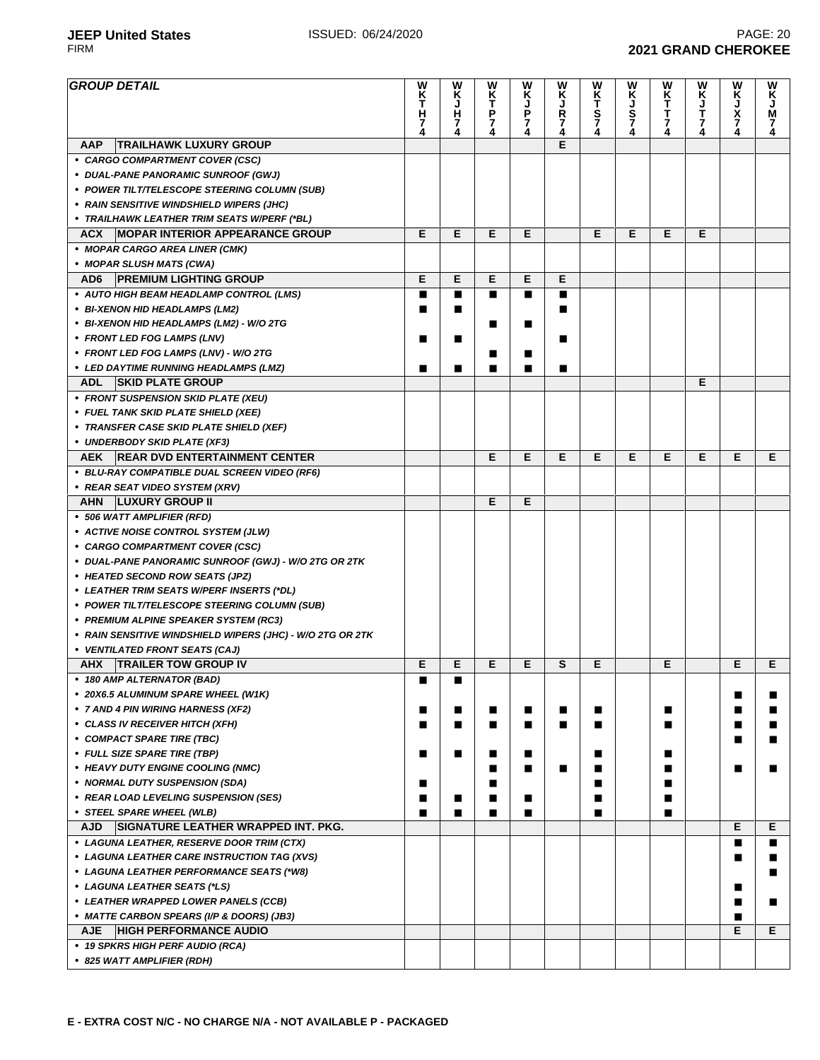**2021 GRAND CHEROKEE** 

# **JEEP United States ISSUED: 06/24/2020 PAGE: 20 PAGE: 20 PAGE: 20 PAGE: 20 PAGE: 20 PAGE: 20 PAGE: 20 PAGE: 20 PAGE: 20 PAGE: 20 PAGE: 20 PAGE: 20 PAGE: 20 PAGE: 20 PAGE: 20 PAGE: 2021 GRA**

| <b>GROUP DETAIL</b>                                                                   | W<br>$\frac{\mathsf{K}}{\mathsf{T}}$<br>н<br>7<br>4 | W<br>Ķ<br>J<br>$\frac{H}{7}$ | W<br>$\frac{\mathsf{K}}{\mathsf{T}}$<br>$\frac{P}{7}$ | W<br>K<br>J<br>P<br>7<br>4 | W<br>ĸ<br>Ŗ<br>7<br>4 | w<br>KT<br>S74 | W<br>K<br>J<br>S<br>7<br>4 | WK<br>T<br>T<br>7<br>4 | W<br>K<br>J<br>T<br>7 | W<br>Ķ<br>J<br>X<br>7<br>4 | W<br>Κ<br>J<br>M<br>7<br>4 |
|---------------------------------------------------------------------------------------|-----------------------------------------------------|------------------------------|-------------------------------------------------------|----------------------------|-----------------------|----------------|----------------------------|------------------------|-----------------------|----------------------------|----------------------------|
| <b>TRAILHAWK LUXURY GROUP</b><br><b>AAP</b>                                           |                                                     |                              |                                                       |                            | Е                     |                |                            |                        |                       |                            |                            |
| • CARGO COMPARTMENT COVER (CSC)                                                       |                                                     |                              |                                                       |                            |                       |                |                            |                        |                       |                            |                            |
| • DUAL-PANE PANORAMIC SUNROOF (GWJ)                                                   |                                                     |                              |                                                       |                            |                       |                |                            |                        |                       |                            |                            |
| • POWER TILT/TELESCOPE STEERING COLUMN (SUB)                                          |                                                     |                              |                                                       |                            |                       |                |                            |                        |                       |                            |                            |
| • RAIN SENSITIVE WINDSHIELD WIPERS (JHC)                                              |                                                     |                              |                                                       |                            |                       |                |                            |                        |                       |                            |                            |
| • TRAILHAWK LEATHER TRIM SEATS W/PERF (*BL)                                           |                                                     |                              |                                                       |                            |                       |                |                            |                        |                       |                            |                            |
| <b>MOPAR INTERIOR APPEARANCE GROUP</b><br><b>ACX</b>                                  | Е                                                   | Е                            | Е                                                     | Е                          |                       | Е              | Е                          | Е                      | E                     |                            |                            |
| • MOPAR CARGO AREA LINER (CMK)<br>• MOPAR SLUSH MATS (CWA)                            |                                                     |                              |                                                       |                            |                       |                |                            |                        |                       |                            |                            |
| <b>PREMIUM LIGHTING GROUP</b><br>AD6                                                  | Е                                                   | Е                            | Е                                                     | Е                          | Е                     |                |                            |                        |                       |                            |                            |
| • AUTO HIGH BEAM HEADLAMP CONTROL (LMS)                                               | п                                                   | ∎                            |                                                       | п                          | п                     |                |                            |                        |                       |                            |                            |
| • BI-XENON HID HEADLAMPS (LM2)                                                        | ■                                                   | ■                            |                                                       |                            | ■                     |                |                            |                        |                       |                            |                            |
| • BI-XENON HID HEADLAMPS (LM2) - W/O 2TG                                              |                                                     |                              |                                                       | ■                          |                       |                |                            |                        |                       |                            |                            |
| • FRONT LED FOG LAMPS (LNV)                                                           | п                                                   | ■                            |                                                       |                            | п                     |                |                            |                        |                       |                            |                            |
| • FRONT LED FOG LAMPS (LNV) - W/O 2TG                                                 |                                                     |                              |                                                       | п                          |                       |                |                            |                        |                       |                            |                            |
| • LED DAYTIME RUNNING HEADLAMPS (LMZ)                                                 | ■                                                   | ∎                            |                                                       | ■                          | п                     |                |                            |                        |                       |                            |                            |
| <b>ADL</b><br><b>SKID PLATE GROUP</b>                                                 |                                                     |                              |                                                       |                            |                       |                |                            |                        | Е                     |                            |                            |
| • FRONT SUSPENSION SKID PLATE (XEU)                                                   |                                                     |                              |                                                       |                            |                       |                |                            |                        |                       |                            |                            |
| • FUEL TANK SKID PLATE SHIELD (XEE)                                                   |                                                     |                              |                                                       |                            |                       |                |                            |                        |                       |                            |                            |
| • TRANSFER CASE SKID PLATE SHIELD (XEF)                                               |                                                     |                              |                                                       |                            |                       |                |                            |                        |                       |                            |                            |
| • UNDERBODY SKID PLATE (XF3)                                                          |                                                     |                              |                                                       |                            |                       |                |                            |                        |                       |                            |                            |
| AEK REAR DVD ENTERTAINMENT CENTER                                                     |                                                     |                              | E                                                     | E                          | Е                     | Е              | Е                          | Е                      | Е                     | Е                          | Е                          |
| • BLU-RAY COMPATIBLE DUAL SCREEN VIDEO (RF6)                                          |                                                     |                              |                                                       |                            |                       |                |                            |                        |                       |                            |                            |
| • REAR SEAT VIDEO SYSTEM (XRV)                                                        |                                                     |                              |                                                       |                            |                       |                |                            |                        |                       |                            |                            |
| <b>LUXURY GROUP II</b><br>AHN                                                         |                                                     |                              | E                                                     | Е                          |                       |                |                            |                        |                       |                            |                            |
| • 506 WATT AMPLIFIER (RFD)                                                            |                                                     |                              |                                                       |                            |                       |                |                            |                        |                       |                            |                            |
| • ACTIVE NOISE CONTROL SYSTEM (JLW)                                                   |                                                     |                              |                                                       |                            |                       |                |                            |                        |                       |                            |                            |
| • CARGO COMPARTMENT COVER (CSC)                                                       |                                                     |                              |                                                       |                            |                       |                |                            |                        |                       |                            |                            |
| • DUAL-PANE PANORAMIC SUNROOF (GWJ) - W/O 2TG OR 2TK                                  |                                                     |                              |                                                       |                            |                       |                |                            |                        |                       |                            |                            |
| • HEATED SECOND ROW SEATS (JPZ)                                                       |                                                     |                              |                                                       |                            |                       |                |                            |                        |                       |                            |                            |
| • LEATHER TRIM SEATS W/PERF INSERTS (*DL)                                             |                                                     |                              |                                                       |                            |                       |                |                            |                        |                       |                            |                            |
| • POWER TILT/TELESCOPE STEERING COLUMN (SUB)<br>• PREMIUM ALPINE SPEAKER SYSTEM (RC3) |                                                     |                              |                                                       |                            |                       |                |                            |                        |                       |                            |                            |
| • RAIN SENSITIVE WINDSHIELD WIPERS (JHC) - W/O 2TG OR 2TK                             |                                                     |                              |                                                       |                            |                       |                |                            |                        |                       |                            |                            |
| • VENTILATED FRONT SEATS (CAJ)                                                        |                                                     |                              |                                                       |                            |                       |                |                            |                        |                       |                            |                            |
| <b>TRAILER TOW GROUP IV</b><br><b>AHX</b>                                             | E                                                   | E                            | Е                                                     | Е                          | S                     | Е              |                            | Е                      |                       | Е                          | Е                          |
| • 180 AMP ALTERNATOR (BAD)                                                            | ▃                                                   |                              |                                                       |                            |                       |                |                            |                        |                       |                            |                            |
| • 20X6.5 ALUMINUM SPARE WHEEL (W1K)                                                   |                                                     |                              |                                                       |                            |                       |                |                            |                        |                       | п                          | ■                          |
| • 7 AND 4 PIN WIRING HARNESS (XF2)                                                    | п                                                   |                              | ■                                                     | п                          | п                     | П              |                            | П                      |                       | п                          | ■                          |
| • CLASS IV RECEIVER HITCH (XFH)                                                       | п                                                   | ■                            | ■                                                     | п                          | П                     | ■              |                            | П                      |                       | ∎                          | ■                          |
| • COMPACT SPARE TIRE (TBC)                                                            |                                                     |                              |                                                       |                            |                       |                |                            |                        |                       | п                          | п                          |
| • FULL SIZE SPARE TIRE (TBP)                                                          | п                                                   | ∎                            | ■                                                     |                            |                       | П              |                            | ■                      |                       |                            |                            |
| • HEAVY DUTY ENGINE COOLING (NMC)                                                     |                                                     |                              |                                                       | ■                          | п                     | ■              |                            |                        |                       |                            | ■                          |
| • NORMAL DUTY SUSPENSION (SDA)                                                        | ■                                                   |                              |                                                       |                            |                       |                |                            | ■                      |                       |                            |                            |
| • REAR LOAD LEVELING SUSPENSION (SES)                                                 | п                                                   | ■                            |                                                       |                            |                       | ■              |                            | ■                      |                       |                            |                            |
| • STEEL SPARE WHEEL (WLB)                                                             | п                                                   | ■                            | ■                                                     | п                          |                       | ■              |                            | П                      |                       |                            |                            |
| <b>SIGNATURE LEATHER WRAPPED INT. PKG.</b><br><b>AJD</b>                              |                                                     |                              |                                                       |                            |                       |                |                            |                        |                       | Е                          | Е                          |
| • LAGUNA LEATHER, RESERVE DOOR TRIM (CTX)                                             |                                                     |                              |                                                       |                            |                       |                |                            |                        |                       | П                          | п                          |
| • LAGUNA LEATHER CARE INSTRUCTION TAG (XVS)                                           |                                                     |                              |                                                       |                            |                       |                |                            |                        |                       | ш                          | п                          |
| • LAGUNA LEATHER PERFORMANCE SEATS (*W8)                                              |                                                     |                              |                                                       |                            |                       |                |                            |                        |                       |                            | ■                          |
| • LAGUNA LEATHER SEATS (*LS)                                                          |                                                     |                              |                                                       |                            |                       |                |                            |                        |                       | п                          |                            |
| • LEATHER WRAPPED LOWER PANELS (CCB)                                                  |                                                     |                              |                                                       |                            |                       |                |                            |                        |                       | ■                          | п                          |
| • MATTE CARBON SPEARS (I/P & DOORS) (JB3)                                             |                                                     |                              |                                                       |                            |                       |                |                            |                        |                       | ■                          |                            |
| <b>HIGH PERFORMANCE AUDIO</b><br><b>AJE</b>                                           |                                                     |                              |                                                       |                            |                       |                |                            |                        |                       | Е                          | Е                          |
| • 19 SPKRS HIGH PERF AUDIO (RCA)                                                      |                                                     |                              |                                                       |                            |                       |                |                            |                        |                       |                            |                            |
| • 825 WATT AMPLIFIER (RDH)                                                            |                                                     |                              |                                                       |                            |                       |                |                            |                        |                       |                            |                            |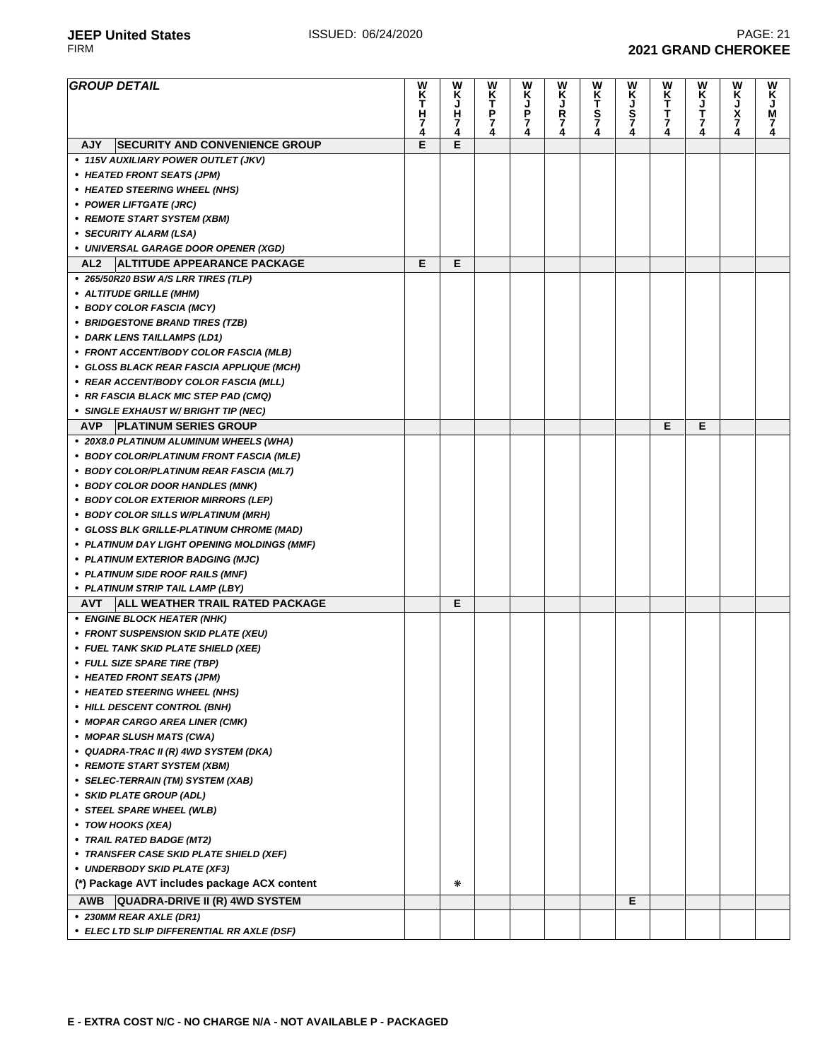**JEEP United States ISSUED: 06/24/2020 PAGE: 21 PAGE: 21 PAGE: 21 PAGE: 21 PAGE: 21 PAGE: 21 PAGE: 21 PAGE: 21 PAGE: 21 PAGE: 21 PAGE: 21 PAGE: 21 PAGE: 21 PAGE: 21 PIRM 2021 GRAND CHEROKEE** 

| <b>GROUP DETAIL</b>                                               | w<br>K<br>T   | W<br>Κ | W        | <b>WKJP74</b> | W<br>Ķ             | W<br>K<br>T   | W         | WK<br>TTT74 | WKJT74 | W<br>Ķ      | W<br>Ķ        |
|-------------------------------------------------------------------|---------------|--------|----------|---------------|--------------------|---------------|-----------|-------------|--------|-------------|---------------|
|                                                                   | н             | J<br>н | KT<br>P7 |               |                    |               | KJ<br>S74 |             |        | J<br>X<br>Z | M             |
|                                                                   | $\frac{7}{4}$ | 7<br>4 | 4        |               | <b>R</b><br>7<br>4 | $\frac{5}{7}$ |           |             |        |             | $\frac{7}{4}$ |
| <b>SECURITY AND CONVENIENCE GROUP</b><br><b>AJY</b>               | E             | E      |          |               |                    |               |           |             |        |             |               |
| • 115V AUXILIARY POWER OUTLET (JKV)                               |               |        |          |               |                    |               |           |             |        |             |               |
| • HEATED FRONT SEATS (JPM)                                        |               |        |          |               |                    |               |           |             |        |             |               |
| • HEATED STEERING WHEEL (NHS)                                     |               |        |          |               |                    |               |           |             |        |             |               |
| • POWER LIFTGATE (JRC)                                            |               |        |          |               |                    |               |           |             |        |             |               |
| • REMOTE START SYSTEM (XBM)                                       |               |        |          |               |                    |               |           |             |        |             |               |
| • SECURITY ALARM (LSA)                                            |               |        |          |               |                    |               |           |             |        |             |               |
| • UNIVERSAL GARAGE DOOR OPENER (XGD)                              |               |        |          |               |                    |               |           |             |        |             |               |
| <b>ALTITUDE APPEARANCE PACKAGE</b><br>AL2                         | Е             | Е      |          |               |                    |               |           |             |        |             |               |
| • 265/50R20 BSW A/S LRR TIRES (TLP)                               |               |        |          |               |                    |               |           |             |        |             |               |
| • ALTITUDE GRILLE (MHM)                                           |               |        |          |               |                    |               |           |             |        |             |               |
| • BODY COLOR FASCIA (MCY)                                         |               |        |          |               |                    |               |           |             |        |             |               |
| • BRIDGESTONE BRAND TIRES (TZB)                                   |               |        |          |               |                    |               |           |             |        |             |               |
| • DARK LENS TAILLAMPS (LD1)                                       |               |        |          |               |                    |               |           |             |        |             |               |
| • FRONT ACCENT/BODY COLOR FASCIA (MLB)                            |               |        |          |               |                    |               |           |             |        |             |               |
| • GLOSS BLACK REAR FASCIA APPLIQUE (MCH)                          |               |        |          |               |                    |               |           |             |        |             |               |
| • REAR ACCENT/BODY COLOR FASCIA (MLL)                             |               |        |          |               |                    |               |           |             |        |             |               |
| • RR FASCIA BLACK MIC STEP PAD (CMQ)                              |               |        |          |               |                    |               |           |             |        |             |               |
| • SINGLE EXHAUST W/ BRIGHT TIP (NEC)                              |               |        |          |               |                    |               |           |             |        |             |               |
| AVP.<br><b>PLATINUM SERIES GROUP</b>                              |               |        |          |               |                    |               |           | E           | E      |             |               |
| • 20X8.0 PLATINUM ALUMINUM WHEELS (WHA)                           |               |        |          |               |                    |               |           |             |        |             |               |
| • BODY COLOR/PLATINUM FRONT FASCIA (MLE)                          |               |        |          |               |                    |               |           |             |        |             |               |
| • BODY COLOR/PLATINUM REAR FASCIA (ML7)                           |               |        |          |               |                    |               |           |             |        |             |               |
| • BODY COLOR DOOR HANDLES (MNK)                                   |               |        |          |               |                    |               |           |             |        |             |               |
| • BODY COLOR EXTERIOR MIRRORS (LEP)                               |               |        |          |               |                    |               |           |             |        |             |               |
| • BODY COLOR SILLS W/PLATINUM (MRH)                               |               |        |          |               |                    |               |           |             |        |             |               |
| • GLOSS BLK GRILLE-PLATINUM CHROME (MAD)                          |               |        |          |               |                    |               |           |             |        |             |               |
| • PLATINUM DAY LIGHT OPENING MOLDINGS (MMF)                       |               |        |          |               |                    |               |           |             |        |             |               |
| • PLATINUM EXTERIOR BADGING (MJC)                                 |               |        |          |               |                    |               |           |             |        |             |               |
| • PLATINUM SIDE ROOF RAILS (MNF)                                  |               |        |          |               |                    |               |           |             |        |             |               |
| • PLATINUM STRIP TAIL LAMP (LBY)                                  |               |        |          |               |                    |               |           |             |        |             |               |
| <b>ALL WEATHER TRAIL RATED PACKAGE</b><br><b>AVT</b>              |               | Е      |          |               |                    |               |           |             |        |             |               |
| • ENGINE BLOCK HEATER (NHK)                                       |               |        |          |               |                    |               |           |             |        |             |               |
| • FRONT SUSPENSION SKID PLATE (XEU)                               |               |        |          |               |                    |               |           |             |        |             |               |
| • FUEL TANK SKID PLATE SHIELD (XEE)                               |               |        |          |               |                    |               |           |             |        |             |               |
| • FULL SIZE SPARE TIRE (TBP)                                      |               |        |          |               |                    |               |           |             |        |             |               |
| • HEATED FRONT SEATS (JPM)                                        |               |        |          |               |                    |               |           |             |        |             |               |
| • HEATED STEERING WHEEL (NHS)                                     |               |        |          |               |                    |               |           |             |        |             |               |
| • HILL DESCENT CONTROL (BNH)                                      |               |        |          |               |                    |               |           |             |        |             |               |
| • MOPAR CARGO AREA LINER (CMK)                                    |               |        |          |               |                    |               |           |             |        |             |               |
| • MOPAR SLUSH MATS (CWA)<br>• QUADRA-TRAC II (R) 4WD SYSTEM (DKA) |               |        |          |               |                    |               |           |             |        |             |               |
| • REMOTE START SYSTEM (XBM)                                       |               |        |          |               |                    |               |           |             |        |             |               |
| • SELEC-TERRAIN (TM) SYSTEM (XAB)                                 |               |        |          |               |                    |               |           |             |        |             |               |
| • SKID PLATE GROUP (ADL)                                          |               |        |          |               |                    |               |           |             |        |             |               |
| • STEEL SPARE WHEEL (WLB)                                         |               |        |          |               |                    |               |           |             |        |             |               |
| • TOW HOOKS (XEA)                                                 |               |        |          |               |                    |               |           |             |        |             |               |
| • TRAIL RATED BADGE (MT2)                                         |               |        |          |               |                    |               |           |             |        |             |               |
| • TRANSFER CASE SKID PLATE SHIELD (XEF)                           |               |        |          |               |                    |               |           |             |        |             |               |
| • UNDERBODY SKID PLATE (XF3)                                      |               |        |          |               |                    |               |           |             |        |             |               |
| (*) Package AVT includes package ACX content                      |               | ∗      |          |               |                    |               |           |             |        |             |               |
| <b>QUADRA-DRIVE II (R) 4WD SYSTEM</b><br>AWB                      |               |        |          |               |                    |               | Е         |             |        |             |               |
| • 230MM REAR AXLE (DR1)                                           |               |        |          |               |                    |               |           |             |        |             |               |
| • ELEC LTD SLIP DIFFERENTIAL RR AXLE (DSF)                        |               |        |          |               |                    |               |           |             |        |             |               |
|                                                                   |               |        |          |               |                    |               |           |             |        |             |               |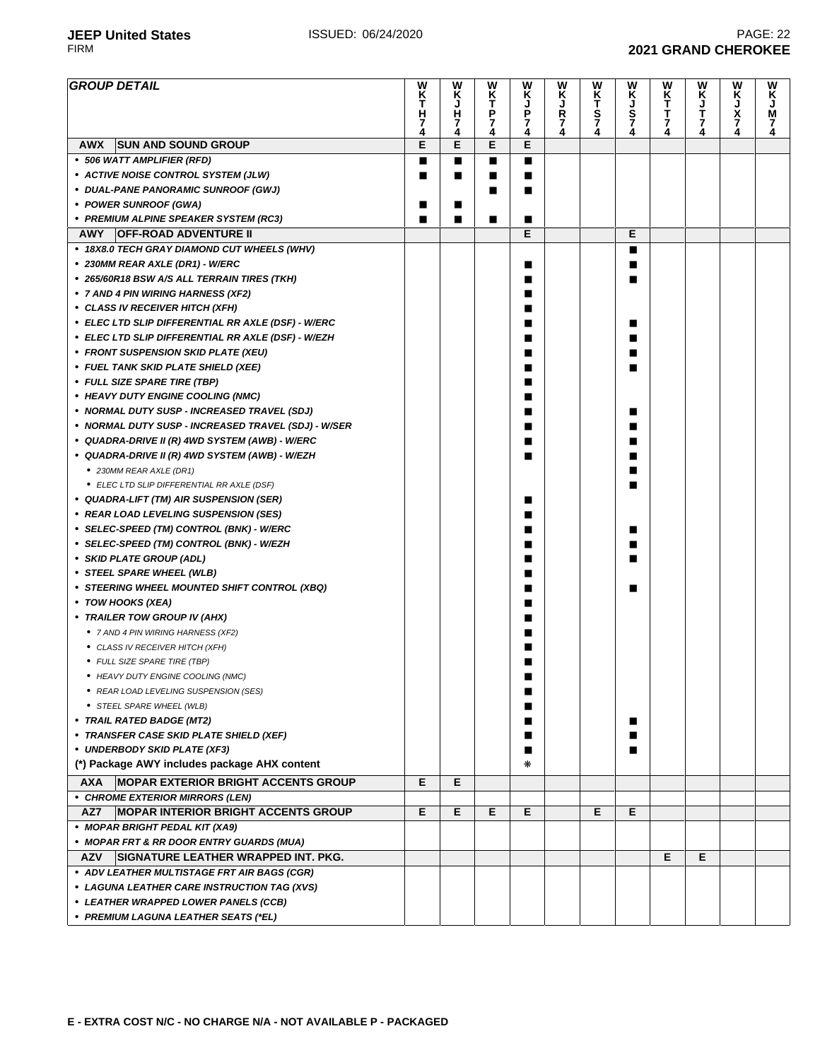| <b>GROUP DETAIL</b>                                      | W<br>K<br>T<br>H<br>7 | W<br>Ķ<br>J<br>н<br>7 | W<br>K<br>T<br>P<br>7 | W<br>Ķ<br>J<br>P<br>7 | w<br>Ķ<br>$\frac{R}{7}$ | W<br>KT<br>S7 | W<br>K<br>J<br>Š<br>7 | W<br>K<br>T<br>т<br>$\overline{7}$ | W<br>K<br>J<br>T<br>7 | W<br>K<br>J<br>X<br>7 | W<br>K<br>J<br>M<br>7 |
|----------------------------------------------------------|-----------------------|-----------------------|-----------------------|-----------------------|-------------------------|---------------|-----------------------|------------------------------------|-----------------------|-----------------------|-----------------------|
|                                                          | 4<br>E                | 4<br>E                | 4<br>Е                | 4<br>E                | 4                       | 4             | 4                     | 4                                  |                       | 4                     | 4                     |
| AWX<br><b>SUN AND SOUND GROUP</b>                        |                       |                       |                       |                       |                         |               |                       |                                    |                       |                       |                       |
| • 506 WATT AMPLIFIER (RFD)                               | П                     | ■                     | п                     | ■                     |                         |               |                       |                                    |                       |                       |                       |
| • ACTIVE NOISE CONTROL SYSTEM (JLW)                      | П                     | ■                     | ■                     | ■                     |                         |               |                       |                                    |                       |                       |                       |
| • DUAL-PANE PANORAMIC SUNROOF (GWJ)                      |                       |                       | ■                     | ■                     |                         |               |                       |                                    |                       |                       |                       |
| • POWER SUNROOF (GWA)                                    | ■                     | ■                     |                       |                       |                         |               |                       |                                    |                       |                       |                       |
| • PREMIUM ALPINE SPEAKER SYSTEM (RC3)                    | ■                     | ■                     | ■                     | ■                     |                         |               |                       |                                    |                       |                       |                       |
| <b>OFF-ROAD ADVENTURE II</b><br>AWY                      |                       |                       |                       | Е                     |                         |               | Е                     |                                    |                       |                       |                       |
| • 18X8.0 TECH GRAY DIAMOND CUT WHEELS (WHV)              |                       |                       |                       |                       |                         |               | ■                     |                                    |                       |                       |                       |
| • 230MM REAR AXLE (DR1) - W/ERC                          |                       |                       |                       | ■                     |                         |               |                       |                                    |                       |                       |                       |
| • 265/60R18 BSW A/S ALL TERRAIN TIRES (TKH)              |                       |                       |                       | ■                     |                         |               |                       |                                    |                       |                       |                       |
| • 7 AND 4 PIN WIRING HARNESS (XF2)                       |                       |                       |                       | ■                     |                         |               |                       |                                    |                       |                       |                       |
| • CLASS IV RECEIVER HITCH (XFH)                          |                       |                       |                       |                       |                         |               |                       |                                    |                       |                       |                       |
| • ELEC LTD SLIP DIFFERENTIAL RR AXLE (DSF) - W/ERC       |                       |                       |                       |                       |                         |               |                       |                                    |                       |                       |                       |
| • ELEC LTD SLIP DIFFERENTIAL RR AXLE (DSF) - W/EZH       |                       |                       |                       |                       |                         |               |                       |                                    |                       |                       |                       |
| • FRONT SUSPENSION SKID PLATE (XEU)                      |                       |                       |                       |                       |                         |               |                       |                                    |                       |                       |                       |
| • FUEL TANK SKID PLATE SHIELD (XEE)                      |                       |                       |                       | ■                     |                         |               |                       |                                    |                       |                       |                       |
| • FULL SIZE SPARE TIRE (TBP)                             |                       |                       |                       | ■                     |                         |               |                       |                                    |                       |                       |                       |
| • HEAVY DUTY ENGINE COOLING (NMC)                        |                       |                       |                       | ٠                     |                         |               |                       |                                    |                       |                       |                       |
| • NORMAL DUTY SUSP - INCREASED TRAVEL (SDJ)              |                       |                       |                       |                       |                         |               |                       |                                    |                       |                       |                       |
| • NORMAL DUTY SUSP - INCREASED TRAVEL (SDJ) - W/SER      |                       |                       |                       |                       |                         |               |                       |                                    |                       |                       |                       |
| • QUADRA-DRIVE II (R) 4WD SYSTEM (AWB) - W/ERC           |                       |                       |                       |                       |                         |               |                       |                                    |                       |                       |                       |
|                                                          |                       |                       |                       |                       |                         |               |                       |                                    |                       |                       |                       |
| • QUADRA-DRIVE II (R) 4WD SYSTEM (AWB) - W/EZH           |                       |                       |                       |                       |                         |               |                       |                                    |                       |                       |                       |
| • 230MM REAR AXLE (DR1)                                  |                       |                       |                       |                       |                         |               |                       |                                    |                       |                       |                       |
| • ELEC LTD SLIP DIFFERENTIAL RR AXLE (DSF)               |                       |                       |                       |                       |                         |               |                       |                                    |                       |                       |                       |
| • QUADRA-LIFT (TM) AIR SUSPENSION (SER)                  |                       |                       |                       | ш                     |                         |               |                       |                                    |                       |                       |                       |
| • REAR LOAD LEVELING SUSPENSION (SES)                    |                       |                       |                       |                       |                         |               |                       |                                    |                       |                       |                       |
| • SELEC-SPEED (TM) CONTROL (BNK) - W/ERC                 |                       |                       |                       |                       |                         |               | ■                     |                                    |                       |                       |                       |
| • SELEC-SPEED (TM) CONTROL (BNK) - W/EZH                 |                       |                       |                       |                       |                         |               |                       |                                    |                       |                       |                       |
| • SKID PLATE GROUP (ADL)                                 |                       |                       |                       |                       |                         |               |                       |                                    |                       |                       |                       |
| • STEEL SPARE WHEEL (WLB)                                |                       |                       |                       |                       |                         |               |                       |                                    |                       |                       |                       |
| • STEERING WHEEL MOUNTED SHIFT CONTROL (XBQ)             |                       |                       |                       |                       |                         |               |                       |                                    |                       |                       |                       |
| • TOW HOOKS (XEA)                                        |                       |                       |                       |                       |                         |               |                       |                                    |                       |                       |                       |
| • TRAILER TOW GROUP IV (AHX)                             |                       |                       |                       |                       |                         |               |                       |                                    |                       |                       |                       |
| • 7 AND 4 PIN WIRING HARNESS (XF2)                       |                       |                       |                       |                       |                         |               |                       |                                    |                       |                       |                       |
| • CLASS IV RECEIVER HITCH (XFH)                          |                       |                       |                       |                       |                         |               |                       |                                    |                       |                       |                       |
| • FULL SIZE SPARE TIRE (TBP)                             |                       |                       |                       |                       |                         |               |                       |                                    |                       |                       |                       |
| • HEAVY DUTY ENGINE COOLING (NMC)                        |                       |                       |                       |                       |                         |               |                       |                                    |                       |                       |                       |
| • REAR LOAD LEVELING SUSPENSION (SES)                    |                       |                       |                       | ■                     |                         |               |                       |                                    |                       |                       |                       |
| • STEEL SPARE WHEEL (WLB)                                |                       |                       |                       | ■                     |                         |               |                       |                                    |                       |                       |                       |
| • TRAIL RATED BADGE (MT2)                                |                       |                       |                       | ■                     |                         |               | ■                     |                                    |                       |                       |                       |
| • TRANSFER CASE SKID PLATE SHIELD (XEF)                  |                       |                       |                       | ■                     |                         |               | ■                     |                                    |                       |                       |                       |
| • UNDERBODY SKID PLATE (XF3)                             |                       |                       |                       | ■                     |                         |               | ■                     |                                    |                       |                       |                       |
| (*) Package AWY includes package AHX content             |                       |                       |                       | ⋇                     |                         |               |                       |                                    |                       |                       |                       |
| <b>AXA</b><br><b>MOPAR EXTERIOR BRIGHT ACCENTS GROUP</b> | Е                     | Е                     |                       |                       |                         |               |                       |                                    |                       |                       |                       |
| • CHROME EXTERIOR MIRRORS (LEN)                          |                       |                       |                       |                       |                         |               |                       |                                    |                       |                       |                       |
| <b>MOPAR INTERIOR BRIGHT ACCENTS GROUP</b><br>AZ7        | Е                     | Е                     | Е                     | Е                     |                         | Е             | Е                     |                                    |                       |                       |                       |
| • MOPAR BRIGHT PEDAL KIT (XA9)                           |                       |                       |                       |                       |                         |               |                       |                                    |                       |                       |                       |
| • MOPAR FRT & RR DOOR ENTRY GUARDS (MUA)                 |                       |                       |                       |                       |                         |               |                       |                                    |                       |                       |                       |
| <b>AZV</b><br>SIGNATURE LEATHER WRAPPED INT. PKG.        |                       |                       |                       |                       |                         |               |                       | Е                                  | Е                     |                       |                       |
| • ADV LEATHER MULTISTAGE FRT AIR BAGS (CGR)              |                       |                       |                       |                       |                         |               |                       |                                    |                       |                       |                       |
| • LAGUNA LEATHER CARE INSTRUCTION TAG (XVS)              |                       |                       |                       |                       |                         |               |                       |                                    |                       |                       |                       |
| • LEATHER WRAPPED LOWER PANELS (CCB)                     |                       |                       |                       |                       |                         |               |                       |                                    |                       |                       |                       |
| • PREMIUM LAGUNA LEATHER SEATS (*EL)                     |                       |                       |                       |                       |                         |               |                       |                                    |                       |                       |                       |
|                                                          |                       |                       |                       |                       |                         |               |                       |                                    |                       |                       |                       |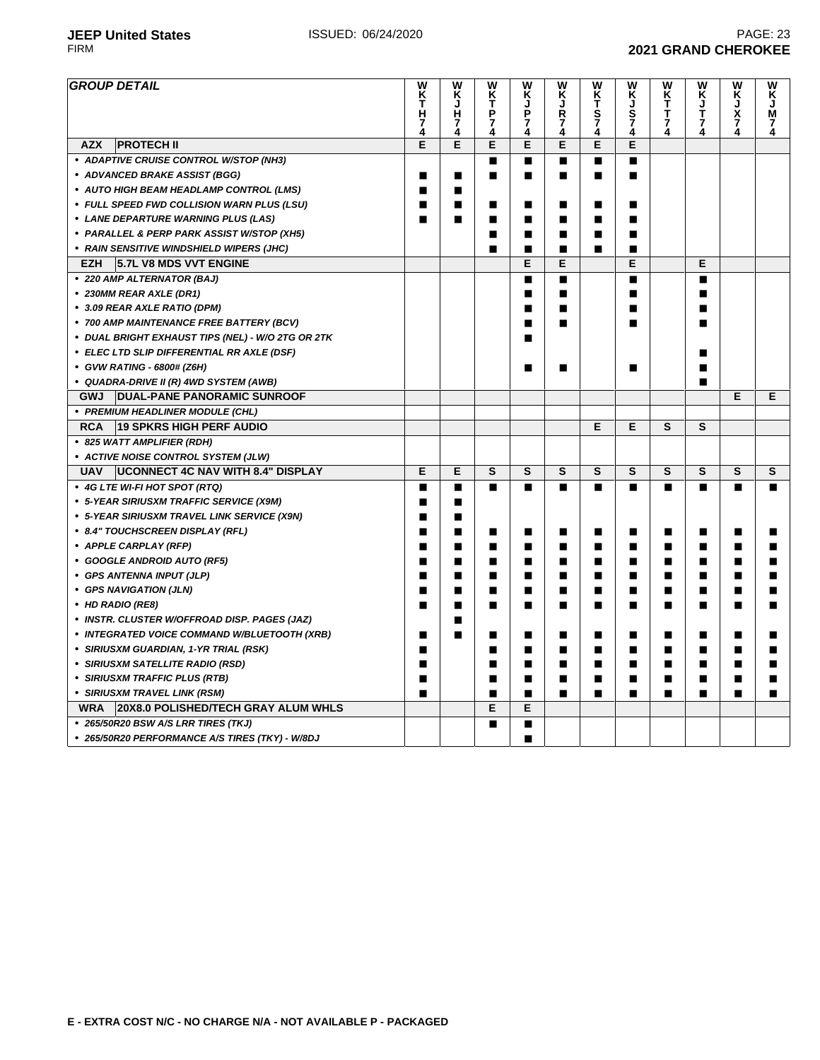| <b>GROUP DETAIL</b>                                    | W<br>K<br>T<br>Н | W<br>Κ<br>ر<br>H    | W<br>K<br>T<br>Ρ | w<br>Κ<br>J<br>P    | W<br>Κ<br>J<br>R | W<br>KT<br>S<br>7 | W<br>Κ<br>J<br>S<br>7<br>4 | W<br>K<br>T<br>T<br>7 | W<br>K<br>J<br>T    | W<br>K<br>$\frac{1}{2}$ | W<br>κ<br>J<br>M |
|--------------------------------------------------------|------------------|---------------------|------------------|---------------------|------------------|-------------------|----------------------------|-----------------------|---------------------|-------------------------|------------------|
|                                                        | 7<br>4           | $\overline{7}$<br>4 | 7<br>4           | $\overline{7}$<br>4 | 7<br>4           | 4                 |                            | 4                     | $\overline{7}$<br>4 | 4                       | 7<br>4           |
| <b>PROTECH II</b><br><b>AZX</b>                        | E                | E                   | E                | E                   | E                | E                 | E                          |                       |                     |                         |                  |
| • ADAPTIVE CRUISE CONTROL W/STOP (NH3)                 |                  |                     | ■                | ■                   | П                | $\blacksquare$    | ■                          |                       |                     |                         |                  |
| • ADVANCED BRAKE ASSIST (BGG)                          | п                | ■                   | ■                | ■                   | г                | П                 | ▬                          |                       |                     |                         |                  |
| • AUTO HIGH BEAM HEADLAMP CONTROL (LMS)                | п                | ■                   |                  |                     |                  |                   |                            |                       |                     |                         |                  |
| • FULL SPEED FWD COLLISION WARN PLUS (LSU)             | ■                | ■                   | ■                |                     | п                | ■                 |                            |                       |                     |                         |                  |
| • LANE DEPARTURE WARNING PLUS (LAS)                    | ■                | ■                   | ■                | ■                   | ■                | ■                 | ■                          |                       |                     |                         |                  |
| • PARALLEL & PERP PARK ASSIST W/STOP (XH5)             |                  |                     | ■                | ■                   | П                | ■                 |                            |                       |                     |                         |                  |
| • RAIN SENSITIVE WINDSHIELD WIPERS (JHC)               |                  |                     |                  | ■                   | п                | ■                 | ▅                          |                       |                     |                         |                  |
| <b>EZH</b><br>5.7L V8 MDS VVT ENGINE                   |                  |                     |                  | E                   | E                |                   | E                          |                       | Е                   |                         |                  |
| • 220 AMP ALTERNATOR (BAJ)                             |                  |                     |                  | ■                   | п                |                   | ■                          |                       | п                   |                         |                  |
| • 230MM REAR AXLE (DR1)                                |                  |                     |                  | п                   | п                |                   | п                          |                       | ■                   |                         |                  |
| • 3.09 REAR AXLE RATIO (DPM)                           |                  |                     |                  | ■                   | П                |                   | ▬                          |                       | ■                   |                         |                  |
| • 700 AMP MAINTENANCE FREE BATTERY (BCV)               |                  |                     |                  | ■                   | ■                |                   |                            |                       | ■                   |                         |                  |
| • DUAL BRIGHT EXHAUST TIPS (NEL) - W/O 2TG OR 2TK      |                  |                     |                  |                     |                  |                   |                            |                       |                     |                         |                  |
| • ELEC LTD SLIP DIFFERENTIAL RR AXLE (DSF)             |                  |                     |                  |                     |                  |                   |                            |                       | ■                   |                         |                  |
| • GVW RATING - 6800# (Z6H)                             |                  |                     |                  |                     | г                |                   | ▬                          |                       |                     |                         |                  |
| • QUADRA-DRIVE II (R) 4WD SYSTEM (AWB)                 |                  |                     |                  |                     |                  |                   |                            |                       | ■                   |                         |                  |
| <b>GWJ</b><br><b>DUAL-PANE PANORAMIC SUNROOF</b>       |                  |                     |                  |                     |                  |                   |                            |                       |                     | Е                       | E                |
| • PREMIUM HEADLINER MODULE (CHL)                       |                  |                     |                  |                     |                  |                   |                            |                       |                     |                         |                  |
| <b>RCA</b><br><b>19 SPKRS HIGH PERF AUDIO</b>          |                  |                     |                  |                     |                  | E                 | E                          | S                     | S                   |                         |                  |
| • 825 WATT AMPLIFIER (RDH)                             |                  |                     |                  |                     |                  |                   |                            |                       |                     |                         |                  |
| • ACTIVE NOISE CONTROL SYSTEM (JLW)                    |                  |                     |                  |                     |                  |                   |                            |                       |                     |                         |                  |
| <b>UCONNECT 4C NAV WITH 8.4" DISPLAY</b><br><b>UAV</b> | E                | E                   | S                | S                   | S                | S                 | S                          | S                     | S                   | S                       | S                |
| • 4G LTE WI-FI HOT SPOT (RTQ)                          | п                | П                   | п                | п                   | п                | ■                 | п                          | п                     | П                   | П                       | п                |
| • 5-YEAR SIRIUSXM TRAFFIC SERVICE (X9M)                | п                | П                   |                  |                     |                  |                   |                            |                       |                     |                         |                  |
| • 5-YEAR SIRIUSXM TRAVEL LINK SERVICE (X9N)            | ■                | ■                   |                  |                     |                  |                   |                            |                       |                     |                         |                  |
| • 8.4" TOUCHSCREEN DISPLAY (RFL)                       | ■                | ■                   | ■                | ■                   | п                | п                 | п                          | п                     | П                   | ■                       | ■                |
| • APPLE CARPLAY (RFP)                                  | ■                | ■                   | ■                | ■                   | П                | ■                 | ■                          | ■                     | п                   | ■                       |                  |
| • GOOGLE ANDROID AUTO (RF5)                            | ■                | ■                   | П                | П                   | П                | ∎                 | ■                          | П                     | ■                   | П                       |                  |
| • GPS ANTENNA INPUT (JLP)                              | П                | ■                   | ■                | ■                   | П                | ■                 | ■                          | П                     | ■                   | ■                       |                  |
| • GPS NAVIGATION (JLN)                                 | ■                | ▬                   | ■                | ■                   | г                | П                 | ▬                          | п                     | ▬                   | ■                       |                  |
| • HD RADIO (RE8)                                       | п                | ■                   | ■                | ■                   | п                | ∎                 | ■                          | ■                     | п                   | ■                       | ■                |
| · INSTR. CLUSTER W/OFFROAD DISP. PAGES (JAZ)           |                  | ■                   |                  |                     |                  |                   |                            |                       |                     |                         |                  |
| • INTEGRATED VOICE COMMAND W/BLUETOOTH (XRB)           | п                | ■                   | П                | ■                   | ■                | ■                 | ■                          | П                     | ■                   | ■                       | ■                |
| • SIRIUSXM GUARDIAN, 1-YR TRIAL (RSK)                  | п                |                     | ■                | ■                   | ■                | ■                 | ■                          | П                     | ■                   | П                       | ■                |
| • SIRIUSXM SATELLITE RADIO (RSD)                       | ■                |                     | ■                | ■                   | п                | ■                 | ■                          | ■                     | ■                   | п                       |                  |
| • SIRIUSXM TRAFFIC PLUS (RTB)                          | ■                |                     | ■                | ■                   | г                | ∎                 | ■                          | ■                     | ■                   |                         |                  |
| • SIRIUSXM TRAVEL LINK (RSM)                           | ■                |                     | ■                | ■                   | ш                | П                 | ■                          | ■                     | ■                   | ■                       |                  |
| 20X8.0 POLISHED/TECH GRAY ALUM WHLS<br><b>WRA</b>      |                  |                     | E                | Е                   |                  |                   |                            |                       |                     |                         |                  |
| • 265/50R20 BSW A/S LRR TIRES (TKJ)                    |                  |                     | $\blacksquare$   | п                   |                  |                   |                            |                       |                     |                         |                  |
| • 265/50R20 PERFORMANCE A/S TIRES (TKY) - W/8DJ        |                  |                     |                  | п                   |                  |                   |                            |                       |                     |                         |                  |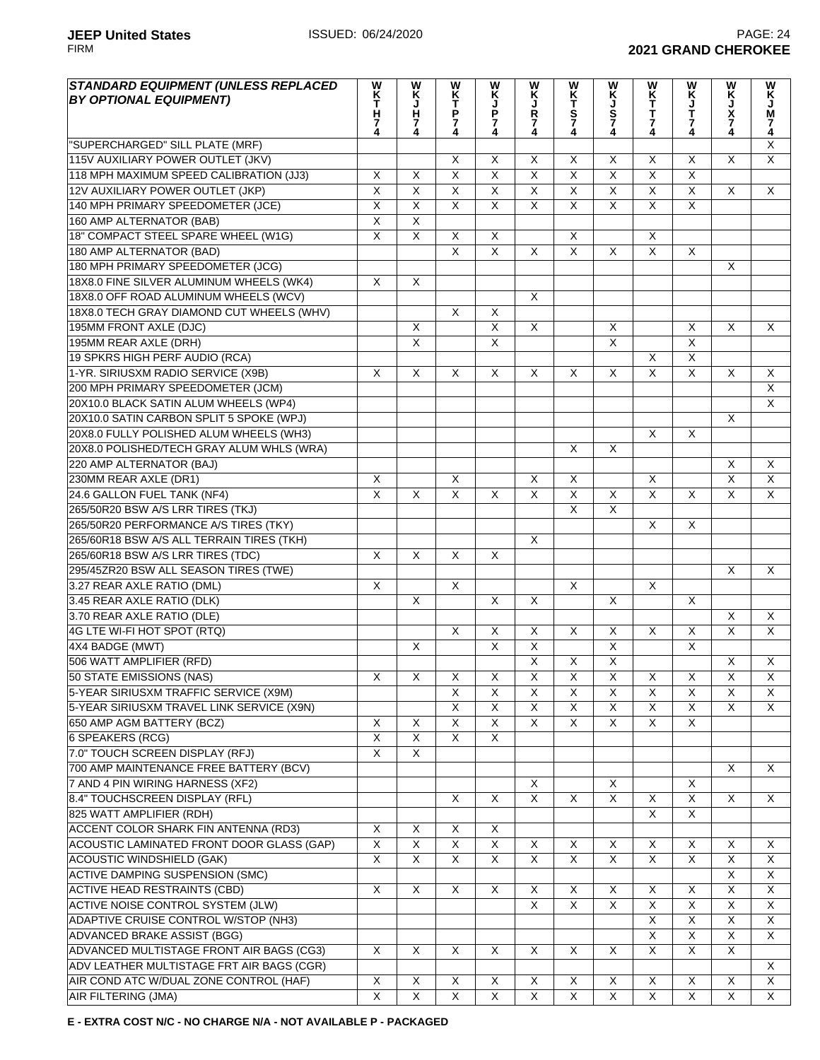| <b>STANDARD EQUIPMENT (UNLESS REPLACED</b>  | W                       |                         | W                       |                         | W                       |                         | W                       | W                       | W                       | W                       | w                       |
|---------------------------------------------|-------------------------|-------------------------|-------------------------|-------------------------|-------------------------|-------------------------|-------------------------|-------------------------|-------------------------|-------------------------|-------------------------|
| <b>BY OPTIONAL EQUIPMENT)</b>               | K<br>T                  |                         |                         |                         | K<br>J                  |                         |                         |                         |                         |                         | K.<br>J                 |
|                                             | H<br>7                  | <b>WKJH74</b>           | <b>KTP74</b>            | <b>WKJP74</b>           | Ř<br>7<br>4             | WKTS74                  | KJS74                   | K<br>T<br>T<br>7        | KJ<br>T<br>7            | K<br>J<br>X<br>7        | M<br>7                  |
|                                             | 4                       |                         |                         |                         |                         |                         |                         | 4                       |                         | 4                       | 4                       |
| "SUPERCHARGED" SILL PLATE (MRF)             |                         |                         |                         |                         |                         |                         |                         |                         |                         |                         | $\overline{X}$          |
| 115V AUXILIARY POWER OUTLET (JKV)           |                         |                         | $\overline{\mathsf{x}}$ | $\overline{\mathsf{x}}$ | $\overline{X}$          | $\overline{\mathsf{x}}$ | $\overline{\mathsf{x}}$ | $\overline{\mathsf{x}}$ | $\overline{\mathsf{x}}$ | $\overline{\mathsf{x}}$ | $\overline{\mathsf{x}}$ |
| 118 MPH MAXIMUM SPEED CALIBRATION (JJ3)     | $\overline{\mathsf{x}}$ | $\overline{\mathsf{x}}$ | $\overline{\mathsf{x}}$ | $\overline{\mathsf{x}}$ | $\overline{\mathsf{x}}$ | $\overline{\mathsf{x}}$ | $\overline{X}$          | $\overline{X}$          | $\overline{\mathsf{x}}$ |                         |                         |
| 12V AUXILIARY POWER OUTLET (JKP)            | $\overline{\mathsf{x}}$ | $\overline{X}$          | $\overline{\mathsf{x}}$ | $\overline{\mathsf{x}}$ | $\overline{X}$          | $\overline{\mathsf{x}}$ | $\overline{\mathsf{x}}$ | $\overline{\mathsf{x}}$ | $\overline{X}$          | X                       | X                       |
| 140 MPH PRIMARY SPEEDOMETER (JCE)           | $\overline{X}$          | $\overline{X}$          | $\pmb{\times}$          | X                       | X                       | $\pmb{\times}$          | $\pmb{\times}$          | $\pmb{\times}$          | $\pmb{\times}$          |                         |                         |
| 160 AMP ALTERNATOR (BAB)                    | $\overline{\mathsf{x}}$ | $\overline{\mathsf{x}}$ |                         |                         |                         |                         |                         |                         |                         |                         |                         |
| 18" COMPACT STEEL SPARE WHEEL (W1G)         | $\overline{X}$          | $\overline{X}$          | $\overline{\mathsf{x}}$ | X                       |                         | X                       |                         | X                       |                         |                         |                         |
| 180 AMP ALTERNATOR (BAD)                    |                         |                         | $\overline{\mathsf{x}}$ | $\overline{X}$          | $\overline{X}$          | $\overline{\mathsf{x}}$ | X                       | $\overline{X}$          | X                       |                         |                         |
| 180 MPH PRIMARY SPEEDOMETER (JCG)           |                         |                         |                         |                         |                         |                         |                         |                         |                         | X                       |                         |
| 18X8.0 FINE SILVER ALUMINUM WHEELS (WK4)    | $\overline{X}$          | $\overline{\mathsf{X}}$ |                         |                         |                         |                         |                         |                         |                         |                         |                         |
| 18X8.0 OFF ROAD ALUMINUM WHEELS (WCV)       |                         |                         |                         |                         | $\overline{X}$          |                         |                         |                         |                         |                         |                         |
| 18X8.0 TECH GRAY DIAMOND CUT WHEELS (WHV)   |                         |                         | $\overline{\mathsf{x}}$ | $\overline{\mathsf{x}}$ |                         |                         |                         |                         |                         |                         |                         |
| 195MM FRONT AXLE (DJC)                      |                         | $\overline{X}$          |                         | $\overline{X}$          | $\overline{\mathsf{x}}$ |                         | X                       |                         | X                       | X                       | X                       |
| 195MM REAR AXLE (DRH)                       |                         | $\overline{X}$          |                         | $\overline{\mathsf{X}}$ |                         |                         | $\overline{\mathsf{x}}$ |                         | $\overline{X}$          |                         |                         |
| 19 SPKRS HIGH PERF AUDIO (RCA)              |                         |                         |                         |                         |                         |                         |                         | $\overline{\mathsf{x}}$ | $\overline{\mathsf{x}}$ |                         |                         |
| 1-YR. SIRIUSXM RADIO SERVICE (X9B)          | X                       | $\overline{X}$          | $\overline{\mathsf{x}}$ | $\overline{X}$          | $\overline{X}$          | $\overline{\mathsf{x}}$ | $\overline{\mathsf{x}}$ | $\overline{\mathsf{x}}$ | $\overline{X}$          | $\overline{\mathsf{x}}$ | $\overline{\mathsf{x}}$ |
|                                             |                         |                         |                         |                         |                         |                         |                         |                         |                         |                         |                         |
| 200 MPH PRIMARY SPEEDOMETER (JCM)           |                         |                         |                         |                         |                         |                         |                         |                         |                         |                         | $\overline{X}$          |
| 20X10.0 BLACK SATIN ALUM WHEELS (WP4)       |                         |                         |                         |                         |                         |                         |                         |                         |                         |                         | $\overline{X}$          |
| 20X10.0 SATIN CARBON SPLIT 5 SPOKE (WPJ)    |                         |                         |                         |                         |                         |                         |                         |                         |                         | X                       |                         |
| 20X8.0 FULLY POLISHED ALUM WHEELS (WH3)     |                         |                         |                         |                         |                         |                         |                         | $\overline{\mathsf{x}}$ | $\overline{\mathsf{x}}$ |                         |                         |
| 20X8.0 POLISHED/TECH GRAY ALUM WHLS (WRA)   |                         |                         |                         |                         |                         | X                       | X                       |                         |                         |                         |                         |
| 220 AMP ALTERNATOR (BAJ)                    |                         |                         |                         |                         |                         |                         |                         |                         |                         | X                       | X                       |
| 230MM REAR AXLE (DR1)                       | X                       |                         | X                       |                         | X                       | X                       |                         | $\overline{\mathsf{x}}$ |                         | $\overline{\mathsf{x}}$ | $\overline{X}$          |
| 24.6 GALLON FUEL TANK (NF4)                 | $\overline{\mathsf{X}}$ | $\overline{X}$          | $\overline{X}$          | X                       | X                       | $\overline{X}$          | X                       | $\overline{X}$          | $\overline{X}$          | $\overline{\mathsf{x}}$ | X                       |
| 265/50R20 BSW A/S LRR TIRES (TKJ)           |                         |                         |                         |                         |                         | $\overline{\mathsf{x}}$ | $\overline{\mathsf{x}}$ |                         |                         |                         |                         |
| 265/50R20 PERFORMANCE A/S TIRES (TKY)       |                         |                         |                         |                         |                         |                         |                         | X                       | X                       |                         |                         |
| 265/60R18 BSW A/S ALL TERRAIN TIRES (TKH)   |                         |                         |                         |                         | X                       |                         |                         |                         |                         |                         |                         |
| 265/60R18 BSW A/S LRR TIRES (TDC)           | X                       | X                       | X                       | X                       |                         |                         |                         |                         |                         |                         |                         |
| 295/45ZR20 BSW ALL SEASON TIRES (TWE)       |                         |                         |                         |                         |                         |                         |                         |                         |                         | $\times$                | X                       |
| 3.27 REAR AXLE RATIO (DML)                  | $\overline{\mathsf{x}}$ |                         | $\overline{X}$          |                         |                         | $\overline{\mathsf{x}}$ |                         | $\overline{\mathsf{x}}$ |                         |                         |                         |
| 3.45 REAR AXLE RATIO (DLK)                  |                         | $\overline{\mathsf{x}}$ |                         | $\overline{\mathsf{X}}$ | $\overline{\mathsf{x}}$ |                         | X                       |                         | X                       |                         |                         |
| 3.70 REAR AXLE RATIO (DLE)                  |                         |                         |                         |                         |                         |                         |                         |                         |                         | $\overline{\mathsf{x}}$ | X                       |
| 4G LTE WI-FI HOT SPOT (RTQ)                 |                         |                         | $\overline{\mathsf{x}}$ | X                       | X                       | $\overline{X}$          | X                       | $\overline{X}$          | X                       | $\overline{\mathsf{x}}$ | X                       |
| 4X4 BADGE (MWT)                             |                         | $\overline{X}$          |                         | $\overline{\mathsf{x}}$ | $\overline{X}$          |                         | $\overline{\mathsf{x}}$ |                         | $\overline{\mathsf{x}}$ |                         |                         |
| 506 WATT AMPLIFIER (RFD)                    |                         |                         |                         |                         | Χ                       | $\overline{X}$          | $\overline{\mathsf{x}}$ |                         |                         | X                       | $\overline{X}$          |
| 50 STATE EMISSIONS (NAS)                    | X                       | X                       | X                       | X                       | Χ                       | $\overline{X}$          | $\overline{X}$          | X                       | X                       | $\overline{\mathsf{x}}$ | $\overline{X}$          |
| 5-YEAR SIRIUSXM TRAFFIC SERVICE (X9M)       |                         |                         | X                       | X                       | X                       | X                       | X                       | X                       | X                       | X                       | X                       |
| 5-YEAR SIRIUSXM TRAVEL LINK SERVICE (X9N)   |                         |                         | X                       | X                       | X                       | X                       | X                       | $\overline{\mathsf{x}}$ | X                       | X                       | X                       |
| 650 AMP AGM BATTERY (BCZ)                   | $\overline{X}$          | $\overline{X}$          | $\overline{\mathsf{x}}$ | X                       | $\overline{X}$          | $\overline{\mathsf{x}}$ | $\overline{\mathsf{x}}$ | $\overline{\mathsf{x}}$ | $\overline{\mathsf{x}}$ |                         |                         |
|                                             | $\overline{X}$          |                         | $\overline{\mathsf{x}}$ |                         |                         |                         |                         |                         |                         |                         |                         |
| <b>6 SPEAKERS (RCG)</b>                     | $\overline{\mathsf{x}}$ | $\overline{X}$          |                         | X                       |                         |                         |                         |                         |                         |                         |                         |
| 7.0" TOUCH SCREEN DISPLAY (RFJ)             |                         | $\overline{X}$          |                         |                         |                         |                         |                         |                         |                         |                         |                         |
| 700 AMP MAINTENANCE FREE BATTERY (BCV)      |                         |                         |                         |                         |                         |                         |                         |                         |                         | X                       | X                       |
| 7 AND 4 PIN WIRING HARNESS (XF2)            |                         |                         |                         |                         | X                       |                         | X                       |                         | $\overline{\mathsf{x}}$ |                         |                         |
| 8.4" TOUCHSCREEN DISPLAY (RFL)              |                         |                         | X                       | X                       | $\overline{\mathsf{x}}$ | X                       | X                       | $\overline{\mathsf{x}}$ | $\overline{X}$          | X                       | X                       |
| 825 WATT AMPLIFIER (RDH)                    |                         |                         |                         |                         |                         |                         |                         | X                       | X                       |                         |                         |
| <b>ACCENT COLOR SHARK FIN ANTENNA (RD3)</b> | X                       | X                       | X                       | X                       |                         |                         |                         |                         |                         |                         |                         |
| ACOUSTIC LAMINATED FRONT DOOR GLASS (GAP)   | $\overline{X}$          | $\overline{\mathsf{x}}$ | $\overline{X}$          | $\overline{X}$          | X                       | X                       | X                       | X                       | X                       | X                       | X                       |
| <b>ACOUSTIC WINDSHIELD (GAK)</b>            | $\overline{\mathsf{x}}$ | $\overline{\mathsf{x}}$ | $\overline{\mathsf{x}}$ | X                       | $\overline{X}$          | $\overline{\mathsf{x}}$ | $\overline{\mathsf{x}}$ | $\overline{\mathsf{x}}$ | $\overline{\mathsf{x}}$ | $\overline{\mathsf{x}}$ | X                       |
| <b>ACTIVE DAMPING SUSPENSION (SMC)</b>      |                         |                         |                         |                         |                         |                         |                         |                         |                         | $\overline{\mathsf{X}}$ | $\overline{\mathsf{x}}$ |
| <b>ACTIVE HEAD RESTRAINTS (CBD)</b>         | X                       | X                       | X                       | X                       | $\overline{\mathsf{x}}$ | $\overline{X}$          | $\overline{X}$          | $\overline{\mathsf{x}}$ | $\overline{X}$          | $\overline{\mathsf{x}}$ | $\overline{\mathsf{x}}$ |
| <b>ACTIVE NOISE CONTROL SYSTEM (JLW)</b>    |                         |                         |                         |                         | $\overline{X}$          | $\overline{\mathsf{x}}$ | $\overline{\mathsf{x}}$ | $\overline{\mathsf{x}}$ | $\overline{\mathsf{x}}$ | $\overline{\mathsf{X}}$ | $\overline{X}$          |
| ADAPTIVE CRUISE CONTROL W/STOP (NH3)        |                         |                         |                         |                         |                         |                         |                         | $\overline{\mathsf{x}}$ | $\overline{\mathsf{x}}$ | X                       | $\overline{X}$          |
| ADVANCED BRAKE ASSIST (BGG)                 |                         |                         |                         |                         |                         |                         |                         | $\overline{\mathsf{x}}$ | $\overline{\mathsf{x}}$ | X                       | X                       |
| ADVANCED MULTISTAGE FRONT AIR BAGS (CG3)    | $\overline{X}$          | $\overline{X}$          | $\overline{\mathsf{x}}$ | $\overline{X}$          | $\overline{\mathsf{x}}$ | $\overline{X}$          | $\overline{X}$          | $\overline{\mathsf{x}}$ | $\overline{\mathsf{x}}$ | $\overline{X}$          |                         |
| ADV LEATHER MULTISTAGE FRT AIR BAGS (CGR)   |                         |                         |                         |                         |                         |                         |                         |                         |                         |                         | X                       |
| AIR COND ATC W/DUAL ZONE CONTROL (HAF)      | X                       | X                       | X                       | X                       | X                       | X                       | X                       | $\overline{\mathsf{x}}$ | X                       | X                       | X                       |
| AIR FILTERING (JMA)                         | $\overline{\mathsf{X}}$ | $\overline{X}$          | $\overline{\mathsf{X}}$ | $\overline{X}$          | $\overline{\mathsf{x}}$ | $\overline{X}$          | $\overline{X}$          | $\overline{X}$          | X                       | X                       | X                       |
|                                             |                         |                         |                         |                         |                         |                         |                         |                         |                         |                         |                         |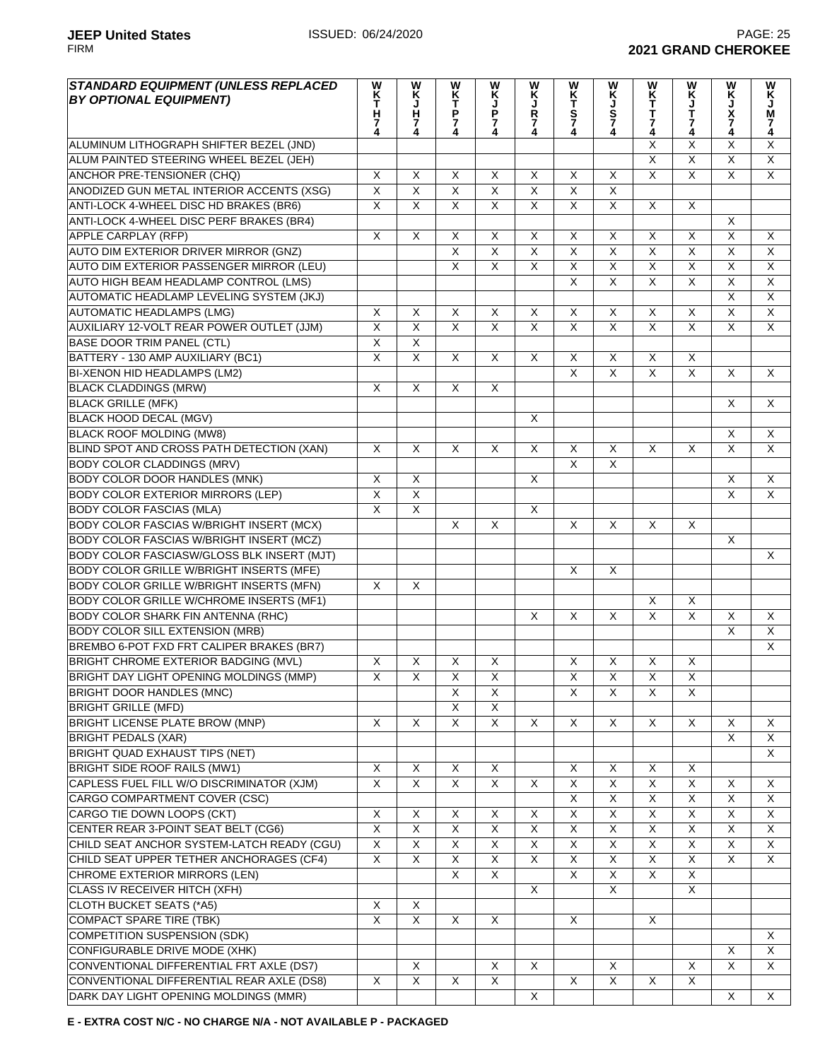| <b>STANDARD EQUIPMENT (UNLESS REPLACED)</b><br><b>BY OPTIONAL EQUIPMENT)</b> | W<br>K<br>T<br>H<br>7<br>4 | W<br>Κ<br>J<br>H<br>$\frac{7}{4}$ | W<br>K<br>T<br>P<br>7<br>4 | W<br>K<br>P<br>7<br>4   | w<br>Ķ<br>J<br>R<br>$\frac{7}{4}$ | WKTS74                  | WKJS74                  | WK<br>T<br>T<br>7<br>4    | W<br>KJT74              | w<br>Ķ<br>J<br>X<br>7<br>4 | W<br>К<br>Ј<br>М<br>$\frac{7}{4}$ |
|------------------------------------------------------------------------------|----------------------------|-----------------------------------|----------------------------|-------------------------|-----------------------------------|-------------------------|-------------------------|---------------------------|-------------------------|----------------------------|-----------------------------------|
| ALUMINUM LITHOGRAPH SHIFTER BEZEL (JND)                                      |                            |                                   |                            |                         |                                   |                         |                         | X                         | X                       | Χ                          | X                                 |
| ALUM PAINTED STEERING WHEEL BEZEL (JEH)                                      |                            |                                   |                            |                         |                                   |                         |                         | $\overline{\mathsf{x}}$   | $\overline{\mathsf{x}}$ | $\overline{\mathsf{x}}$    | $\overline{X}$                    |
| ANCHOR PRE-TENSIONER (CHQ)                                                   | X                          | X                                 | X                          | X                       | X                                 | X                       | $\overline{\mathsf{x}}$ | $\overline{\mathsf{x}}$   | $\overline{\mathsf{x}}$ | $\overline{\mathsf{x}}$    | $\overline{\mathsf{x}}$           |
| ANODIZED GUN METAL INTERIOR ACCENTS (XSG)                                    | $\overline{X}$             | $\overline{\mathsf{x}}$           | $\overline{\mathsf{x}}$    | X                       | X                                 | X                       | $\overline{\mathsf{x}}$ |                           |                         |                            |                                   |
| ANTI-LOCK 4-WHEEL DISC HD BRAKES (BR6)                                       | $\overline{\mathsf{X}}$    | $\overline{X}$                    | X                          | X                       | X                                 | X                       | X                       | X                         | X                       |                            |                                   |
| ANTI-LOCK 4-WHEEL DISC PERF BRAKES (BR4)                                     |                            |                                   |                            |                         |                                   |                         |                         |                           |                         | X                          |                                   |
| <b>APPLE CARPLAY (RFP)</b>                                                   | X                          | X                                 | X                          | X                       | X                                 | X                       | X                       | X                         | X                       | $\overline{\mathsf{X}}$    | X                                 |
| AUTO DIM EXTERIOR DRIVER MIRROR (GNZ)                                        |                            |                                   | $\overline{\mathsf{x}}$    | X                       | $\overline{X}$                    | $\overline{\mathsf{x}}$ | $\overline{\mathsf{x}}$ | $\overline{\mathsf{x}}$   | $\overline{\mathsf{x}}$ | $\overline{\mathsf{x}}$    | $\overline{\mathsf{x}}$           |
| AUTO DIM EXTERIOR PASSENGER MIRROR (LEU)                                     |                            |                                   | $\overline{\mathsf{x}}$    | $\overline{\mathsf{x}}$ | $\overline{X}$                    | $\overline{\mathsf{x}}$ | $\overline{\mathsf{x}}$ | $\overline{\mathsf{x}}$   | $\overline{X}$          | $\overline{\mathsf{x}}$    | $\overline{\mathsf{x}}$           |
| AUTO HIGH BEAM HEADLAMP CONTROL (LMS)                                        |                            |                                   |                            |                         |                                   | $\overline{\mathsf{x}}$ | $\overline{\mathsf{x}}$ | $\overline{\mathsf{x}}$   | $\overline{\mathsf{x}}$ | $\overline{\mathsf{x}}$    | $\overline{\mathsf{x}}$           |
| AUTOMATIC HEADLAMP LEVELING SYSTEM (JKJ)                                     |                            |                                   |                            |                         |                                   |                         |                         |                           |                         | $\overline{\mathsf{x}}$    | $\overline{X}$                    |
| <b>AUTOMATIC HEADLAMPS (LMG)</b>                                             | X                          | X                                 | $\mathsf X$                | $\mathsf X$             | X                                 | X                       | $\overline{\mathsf{x}}$ | $\overline{X}$            | $\overline{X}$          | $\overline{X}$             | $\mathsf X$                       |
| AUXILIARY 12-VOLT REAR POWER OUTLET (JJM)                                    | $\overline{\mathsf{x}}$    | $\overline{\mathsf{x}}$           | $\overline{X}$             | $\overline{X}$          | $\overline{X}$                    | $\overline{\mathsf{x}}$ | $\overline{X}$          | $\overline{X}$            | $\overline{X}$          | $\overline{\mathsf{x}}$    | $\overline{X}$                    |
| <b>BASE DOOR TRIM PANEL (CTL)</b>                                            | $\overline{\mathsf{x}}$    | $\overline{X}$                    |                            |                         |                                   |                         |                         |                           |                         |                            |                                   |
| BATTERY - 130 AMP AUXILIARY (BC1)                                            | $\overline{\mathsf{x}}$    | $\overline{\mathsf{x}}$           | $\mathsf{X}$               | X                       | X                                 | X                       | $\times$                | X                         | X                       |                            |                                   |
| BI-XENON HID HEADLAMPS (LM2)                                                 |                            |                                   |                            |                         |                                   | X                       | $\times$                | X                         | $\overline{X}$          | X                          | X                                 |
| <b>BLACK CLADDINGS (MRW)</b>                                                 | $\overline{\mathsf{x}}$    | X                                 | X                          | X                       |                                   |                         |                         |                           |                         |                            |                                   |
| <b>BLACK GRILLE (MFK)</b>                                                    |                            |                                   |                            |                         |                                   |                         |                         |                           |                         | X                          | X                                 |
| BLACK HOOD DECAL (MGV)                                                       |                            |                                   |                            |                         | X                                 |                         |                         |                           |                         |                            |                                   |
| <b>BLACK ROOF MOLDING (MW8)</b>                                              |                            |                                   |                            |                         |                                   |                         |                         |                           |                         | X                          | X                                 |
| BLIND SPOT AND CROSS PATH DETECTION (XAN)                                    | X                          | X                                 | X                          | X                       | X                                 | X                       | X                       | X                         | X                       | $\overline{\mathsf{x}}$    | X                                 |
| <b>BODY COLOR CLADDINGS (MRV)</b>                                            |                            |                                   |                            |                         |                                   | $\overline{\mathsf{x}}$ | $\overline{\mathsf{x}}$ |                           |                         |                            |                                   |
| <b>BODY COLOR DOOR HANDLES (MNK)</b>                                         | $\overline{\mathsf{x}}$    | $\overline{\mathsf{x}}$           |                            |                         | $\overline{X}$                    |                         |                         |                           |                         | $\overline{\mathsf{x}}$    | $\overline{\mathsf{x}}$           |
| <b>BODY COLOR EXTERIOR MIRRORS (LEP)</b>                                     | $\overline{\mathsf{X}}$    | $\overline{\mathsf{X}}$           |                            |                         |                                   |                         |                         |                           |                         | $\overline{\mathsf{X}}$    | X                                 |
| <b>BODY COLOR FASCIAS (MLA)</b>                                              | $\overline{\mathsf{x}}$    | $\overline{X}$                    |                            |                         | X                                 |                         |                         |                           |                         |                            |                                   |
| <b>BODY COLOR FASCIAS W/BRIGHT INSERT (MCX)</b>                              |                            |                                   | X                          | X                       |                                   | X                       | $\times$                | X                         | X                       |                            |                                   |
| BODY COLOR FASCIAS W/BRIGHT INSERT (MCZ)                                     |                            |                                   |                            |                         |                                   |                         |                         |                           |                         | X                          |                                   |
| BODY COLOR FASCIASW/GLOSS BLK INSERT (MJT)                                   |                            |                                   |                            |                         |                                   |                         |                         |                           |                         |                            | X                                 |
| <b>BODY COLOR GRILLE W/BRIGHT INSERTS (MFE)</b>                              |                            |                                   |                            |                         |                                   | X                       | $\pmb{\times}$          |                           |                         |                            |                                   |
| <b>BODY COLOR GRILLE W/BRIGHT INSERTS (MFN)</b>                              | $\overline{X}$             | X                                 |                            |                         |                                   |                         |                         |                           |                         |                            |                                   |
| <b>BODY COLOR GRILLE W/CHROME INSERTS (MF1)</b>                              |                            |                                   |                            |                         |                                   |                         |                         | $\overline{X}$            | X                       |                            |                                   |
| <b>BODY COLOR SHARK FIN ANTENNA (RHC)</b>                                    |                            |                                   |                            |                         | X                                 | $\overline{\mathsf{x}}$ | $\overline{\mathsf{x}}$ | $\overline{\mathsf{x}}$   | $\overline{X}$          | $\overline{X}$             | X                                 |
| <b>BODY COLOR SILL EXTENSION (MRB)</b>                                       |                            |                                   |                            |                         |                                   |                         |                         |                           |                         | $\overline{\mathsf{X}}$    | $\overline{\mathsf{X}}$           |
| BREMBO 6-POT FXD FRT CALIPER BRAKES (BR7)                                    |                            |                                   |                            |                         |                                   |                         |                         |                           |                         |                            | $\overline{\mathsf{x}}$           |
| BRIGHT CHROME EXTERIOR BADGING (MVL)                                         | X                          | X                                 | X                          | X                       |                                   | X                       | X                       | X                         | X                       |                            |                                   |
| BRIGHT DAY LIGHT OPENING MOLDINGS (MMP)                                      | X                          | X                                 | $\pmb{\times}$             | X                       |                                   | X                       | $\times$                | $\boldsymbol{\mathsf{X}}$ | $\pmb{\times}$          |                            |                                   |
| <b>BRIGHT DOOR HANDLES (MNC)</b>                                             |                            |                                   | $\overline{\mathsf{x}}$    | X                       |                                   | $\overline{X}$          | $\overline{\mathsf{x}}$ | $\overline{\mathsf{x}}$   | $\overline{X}$          |                            |                                   |
| <b>BRIGHT GRILLE (MFD)</b>                                                   |                            |                                   | $\overline{X}$             | $\overline{\mathsf{x}}$ |                                   |                         |                         |                           |                         |                            |                                   |
| <b>BRIGHT LICENSE PLATE BROW (MNP)</b>                                       | $\mathsf{X}$               | X                                 | $\overline{X}$             | $\overline{X}$          | X                                 | $\overline{X}$          | $\overline{X}$          | $\overline{X}$            | $\overline{X}$          | $\mathsf{X}$               | X                                 |
| <b>BRIGHT PEDALS (XAR)</b>                                                   |                            |                                   |                            |                         |                                   |                         |                         |                           |                         | X                          | X                                 |
| BRIGHT QUAD EXHAUST TIPS (NET)                                               |                            |                                   |                            |                         |                                   |                         |                         |                           |                         |                            | X                                 |
| <b>BRIGHT SIDE ROOF RAILS (MW1)</b>                                          | X                          | X                                 | X                          | X                       |                                   | X                       | X                       | X                         | X                       |                            |                                   |
| CAPLESS FUEL FILL W/O DISCRIMINATOR (XJM)                                    | $\overline{X}$             | $\overline{X}$                    | $\overline{X}$             | $\overline{X}$          | $\overline{X}$                    | $\overline{X}$          | $\overline{X}$          | $\overline{\mathsf{X}}$   | $\overline{\mathsf{X}}$ | X                          | $\overline{X}$                    |
| CARGO COMPARTMENT COVER (CSC)                                                |                            |                                   |                            |                         |                                   | X                       | X                       | X                         | X                       | X                          | X                                 |
| CARGO TIE DOWN LOOPS (CKT)                                                   | $\overline{\mathsf{x}}$    | X                                 | X                          | X                       | X                                 | $\overline{X}$          | $\overline{X}$          | $\overline{X}$            | $\overline{X}$          | $\overline{X}$             | X                                 |
| CENTER REAR 3-POINT SEAT BELT (CG6)                                          | $\overline{X}$             | X                                 | $\overline{X}$             | X                       | X                                 | $\overline{X}$          | $\overline{\mathsf{x}}$ | $\overline{X}$            | $\overline{\mathsf{X}}$ | $\overline{X}$             | $\overline{X}$                    |
| CHILD SEAT ANCHOR SYSTEM-LATCH READY (CGU)                                   | $\overline{X}$             | $\overline{\mathsf{x}}$           | $\overline{X}$             | X                       | $\overline{X}$                    | $\overline{X}$          | $\overline{\mathsf{x}}$ | $\overline{X}$            | $\overline{\mathsf{x}}$ | $\overline{X}$             | $\overline{\mathsf{x}}$           |
| CHILD SEAT UPPER TETHER ANCHORAGES (CF4)                                     | $\overline{X}$             | X                                 | $\overline{X}$             | X                       | X                                 | $\overline{\mathsf{X}}$ | $\overline{\mathsf{x}}$ | $\overline{X}$            | $\overline{\mathsf{x}}$ | $\overline{\mathsf{x}}$    | X                                 |
| CHROME EXTERIOR MIRRORS (LEN)                                                |                            |                                   | X                          | X                       |                                   | $\overline{X}$          | X                       | X                         | X                       |                            |                                   |
| CLASS IV RECEIVER HITCH (XFH)                                                |                            |                                   |                            |                         | $\overline{X}$                    |                         | $\overline{\mathsf{x}}$ |                           | $\overline{X}$          |                            |                                   |
| <b>CLOTH BUCKET SEATS (*A5)</b>                                              | X                          | $\overline{X}$                    |                            |                         |                                   |                         |                         |                           |                         |                            |                                   |
|                                                                              | $\overline{X}$             | $\overline{\mathsf{x}}$           | $\overline{X}$             | $\overline{\mathsf{x}}$ |                                   | $\overline{X}$          |                         | $\overline{\mathsf{x}}$   |                         |                            |                                   |
| <b>COMPACT SPARE TIRE (TBK)</b>                                              |                            |                                   |                            |                         |                                   |                         |                         |                           |                         |                            |                                   |
| COMPETITION SUSPENSION (SDK)                                                 |                            |                                   |                            |                         |                                   |                         |                         |                           |                         |                            | X                                 |
| CONFIGURABLE DRIVE MODE (XHK)                                                |                            | $\overline{X}$                    |                            | $\overline{X}$          | $\overline{X}$                    |                         | $\overline{\mathsf{x}}$ |                           | $\overline{\mathsf{x}}$ | X<br>$\overline{X}$        | X<br>X                            |
| CONVENTIONAL DIFFERENTIAL FRT AXLE (DS7)                                     | X                          | $\overline{\mathsf{X}}$           | $\overline{X}$             | X                       |                                   | $\overline{X}$          | $\overline{X}$          | $\overline{X}$            | $\overline{X}$          |                            |                                   |
| CONVENTIONAL DIFFERENTIAL REAR AXLE (DS8)                                    |                            |                                   |                            |                         |                                   |                         |                         |                           |                         |                            |                                   |
| DARK DAY LIGHT OPENING MOLDINGS (MMR)                                        |                            |                                   |                            |                         | $\overline{X}$                    |                         |                         |                           |                         | X                          | X                                 |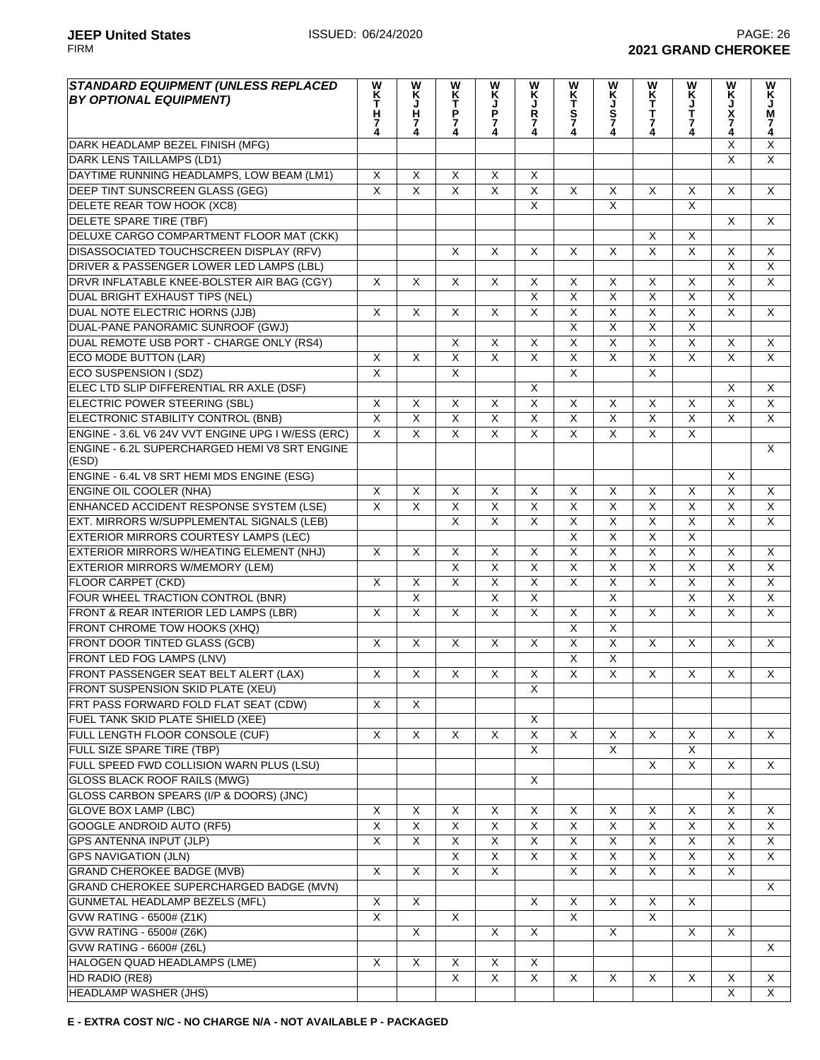| <b>STANDARD EQUIPMENT (UNLESS REPLACED</b><br><b>BY OPTIONAL EQUIPMENT)</b> | W<br>K<br>T<br>H<br>7<br>4 | W<br>K<br>J<br>H<br>$\frac{7}{4}$ | W<br>K<br>T<br>P<br>$\frac{7}{4}$ | W<br>K<br>J<br>P<br>$\frac{7}{4}$ | W<br>Ķ<br>Ř<br>7        | W<br>KT<br>S74          | W<br>K<br>J<br>S<br>7   | W<br>K<br>T<br>T<br>$\overline{7}$ | W<br>K<br>J<br>T<br>7   | W<br>X<br>N<br>X<br>7   | W<br>Ķ<br>М<br>7<br>4 |
|-----------------------------------------------------------------------------|----------------------------|-----------------------------------|-----------------------------------|-----------------------------------|-------------------------|-------------------------|-------------------------|------------------------------------|-------------------------|-------------------------|-----------------------|
| DARK HEADLAMP BEZEL FINISH (MFG)                                            |                            |                                   |                                   |                                   |                         |                         |                         |                                    |                         | X                       | $\overline{X}$        |
| <b>DARK LENS TAILLAMPS (LD1)</b>                                            |                            |                                   |                                   |                                   |                         |                         |                         |                                    |                         | X                       | $\overline{X}$        |
| DAYTIME RUNNING HEADLAMPS, LOW BEAM (LM1)                                   | X                          | X                                 | X                                 | X                                 | X                       |                         |                         |                                    |                         |                         |                       |
| DEEP TINT SUNSCREEN GLASS (GEG)                                             | $\overline{\mathsf{x}}$    | $\overline{\mathsf{x}}$           | $\overline{\mathsf{x}}$           | $\overline{\mathsf{x}}$           | $\overline{\mathsf{x}}$ | $\overline{X}$          | X                       | X                                  | X                       | X                       | X                     |
| DELETE REAR TOW HOOK (XC8)                                                  |                            |                                   |                                   |                                   | $\overline{\mathsf{x}}$ |                         | $\overline{\mathsf{x}}$ |                                    | $\mathsf{X}$            |                         |                       |
| DELETE SPARE TIRE (TBF)                                                     |                            |                                   |                                   |                                   |                         |                         |                         |                                    |                         | X                       | X                     |
| DELUXE CARGO COMPARTMENT FLOOR MAT (CKK)                                    |                            |                                   |                                   |                                   |                         |                         |                         | $\times$                           | X                       |                         |                       |
| DISASSOCIATED TOUCHSCREEN DISPLAY (RFV)                                     |                            |                                   | X                                 | X                                 | X                       | X                       | X                       | $\overline{\mathsf{x}}$            | X                       | X                       | X                     |
| DRIVER & PASSENGER LOWER LED LAMPS (LBL)                                    |                            |                                   |                                   |                                   |                         |                         |                         |                                    |                         | X                       | X                     |
| DRVR INFLATABLE KNEE-BOLSTER AIR BAG (CGY)                                  | X                          | $\overline{X}$                    | $\overline{\mathsf{x}}$           | $\overline{\mathsf{x}}$           | $\overline{\mathsf{x}}$ | $\overline{X}$          | X                       | $\overline{\mathsf{x}}$            | $\overline{\mathsf{x}}$ | $\overline{\mathsf{x}}$ | $\overline{X}$        |
| DUAL BRIGHT EXHAUST TIPS (NEL)                                              |                            |                                   |                                   |                                   | $\overline{\mathsf{X}}$ | $\overline{\mathsf{x}}$ | $\overline{\mathsf{x}}$ | $\overline{\mathsf{x}}$            | $\overline{X}$          | $\overline{\mathsf{x}}$ |                       |
| DUAL NOTE ELECTRIC HORNS (JJB)                                              | X                          | X                                 | X                                 | $\pmb{\times}$                    | $\overline{X}$          | $\overline{X}$          | $\overline{X}$          | $\overline{\mathsf{x}}$            | $\overline{X}$          | $\overline{X}$          | X                     |
| DUAL-PANE PANORAMIC SUNROOF (GWJ)                                           |                            |                                   |                                   |                                   |                         | $\overline{\mathsf{x}}$ | $\overline{\mathsf{x}}$ | $\overline{\mathsf{x}}$            | $\overline{\mathsf{x}}$ |                         |                       |
| DUAL REMOTE USB PORT - CHARGE ONLY (RS4)                                    |                            |                                   | $\overline{\mathsf{x}}$           | $\overline{X}$                    | $\overline{X}$          | $\overline{X}$          | $\overline{X}$          | $\overline{\mathsf{x}}$            | $\overline{X}$          | $\overline{\mathsf{x}}$ | $\overline{X}$        |
| ECO MODE BUTTON (LAR)                                                       | X                          | $\overline{\mathsf{x}}$           | $\overline{\mathsf{X}}$           | $\overline{X}$                    | $\overline{\mathsf{x}}$ | $\overline{X}$          | $\overline{X}$          | $\overline{\mathsf{x}}$            | $\overline{X}$          | $\overline{\mathsf{x}}$ | X                     |
| ECO SUSPENSION I (SDZ)                                                      | $\overline{\mathsf{x}}$    |                                   | $\overline{X}$                    |                                   |                         | $\overline{\mathsf{x}}$ |                         | $\overline{X}$                     |                         |                         |                       |
| ELEC LTD SLIP DIFFERENTIAL RR AXLE (DSF)                                    |                            |                                   |                                   |                                   | X                       |                         |                         |                                    |                         | X                       | X                     |
| <b>ELECTRIC POWER STEERING (SBL)</b>                                        | X                          | X                                 | X                                 | X                                 | $\overline{X}$          | X                       | X                       | X                                  | X                       | $\overline{\mathsf{x}}$ | $\overline{X}$        |
| ELECTRONIC STABILITY CONTROL (BNB)                                          | $\overline{\mathsf{x}}$    | $\overline{\mathsf{x}}$           | $\overline{\mathsf{x}}$           | $\overline{\mathsf{x}}$           | $\overline{X}$          | $\overline{\mathsf{x}}$ | $\overline{\mathsf{x}}$ | $\overline{\mathsf{x}}$            | $\overline{X}$          | $\overline{\mathsf{x}}$ | $\overline{X}$        |
| ENGINE - 3.6L V6 24V VVT ENGINE UPG I W/ESS (ERC)                           | $\overline{\mathsf{x}}$    | $\overline{\mathsf{x}}$           | $\overline{\mathsf{X}}$           | $\overline{\mathsf{x}}$           | $\overline{\mathsf{x}}$ | $\overline{\mathsf{x}}$ | $\overline{\mathsf{x}}$ | $\overline{\mathsf{x}}$            | $\overline{X}$          |                         |                       |
| ENGINE - 6.2L SUPERCHARGED HEMI V8 SRT ENGINE<br>(ESD)                      |                            |                                   |                                   |                                   |                         |                         |                         |                                    |                         |                         | X                     |
| ENGINE - 6.4L V8 SRT HEMI MDS ENGINE (ESG)                                  |                            |                                   |                                   |                                   |                         |                         |                         |                                    |                         | X                       |                       |
| <b>ENGINE OIL COOLER (NHA)</b>                                              | $\overline{X}$             | X                                 | X                                 | X                                 | $\overline{X}$          | X                       | X                       | X                                  | X                       | $\overline{\mathsf{x}}$ | X                     |
| ENHANCED ACCIDENT RESPONSE SYSTEM (LSE)                                     | $\overline{\mathsf{x}}$    | $\overline{\mathsf{x}}$           | $\overline{\mathsf{x}}$           | $\overline{\mathsf{x}}$           | $\overline{X}$          | $\overline{\mathsf{x}}$ | $\overline{\mathsf{x}}$ | $\overline{\mathsf{x}}$            | $\overline{X}$          | $\overline{\mathsf{x}}$ | $\overline{X}$        |
| EXT. MIRRORS W/SUPPLEMENTAL SIGNALS (LEB)                                   |                            |                                   | $\overline{\mathsf{x}}$           | $\overline{\mathsf{x}}$           | $\overline{\mathsf{x}}$ | $\overline{\mathsf{x}}$ | $\overline{\mathsf{x}}$ | $\overline{\mathsf{x}}$            | $\overline{X}$          | $\overline{\mathsf{x}}$ | $\overline{X}$        |
| EXTERIOR MIRRORS COURTESY LAMPS (LEC)                                       |                            |                                   |                                   |                                   |                         | $\overline{\mathsf{x}}$ | $\overline{\mathsf{x}}$ | $\overline{\mathsf{x}}$            | $\overline{X}$          |                         |                       |
| EXTERIOR MIRRORS W/HEATING ELEMENT (NHJ)                                    | X                          | $\overline{X}$                    | X                                 | X                                 | X                       | $\overline{X}$          | $\overline{\mathsf{x}}$ | $\overline{\mathsf{x}}$            | $\overline{X}$          | X                       | X                     |
| <b>EXTERIOR MIRRORS W/MEMORY (LEM)</b>                                      |                            |                                   | $\overline{\mathsf{x}}$           | $\overline{\mathsf{x}}$           | $\overline{\mathsf{x}}$ | $\overline{X}$          | $\overline{X}$          | $\overline{\mathsf{x}}$            | $\overline{X}$          | $\overline{X}$          | $\overline{X}$        |
| FLOOR CARPET (CKD)                                                          | X                          | X                                 | X                                 | $\overline{X}$                    | $\overline{X}$          | $\overline{X}$          | $\overline{X}$          | $\pmb{\times}$                     | $\pmb{\times}$          | X                       | X                     |
| FOUR WHEEL TRACTION CONTROL (BNR)                                           |                            | Χ                                 |                                   | $\overline{X}$                    | $\overline{\mathsf{x}}$ |                         | $\overline{\mathsf{x}}$ |                                    | $\overline{X}$          | $\overline{\mathsf{x}}$ | X                     |
| FRONT & REAR INTERIOR LED LAMPS (LBR)                                       | X                          | $\overline{\mathsf{x}}$           | X                                 | $\overline{\mathsf{x}}$           | $\overline{X}$          | X                       | $\overline{\mathsf{x}}$ | X                                  | $\overline{\mathsf{x}}$ | X                       | X                     |
| FRONT CHROME TOW HOOKS (XHQ)                                                |                            |                                   |                                   |                                   |                         | $\overline{\mathsf{x}}$ | $\overline{\mathsf{x}}$ |                                    |                         |                         |                       |
| <b>FRONT DOOR TINTED GLASS (GCB)</b>                                        | X                          | $\overline{X}$                    | X                                 | $\overline{\mathsf{x}}$           | $\overline{\mathsf{x}}$ | $\overline{\mathsf{x}}$ | $\overline{\mathsf{x}}$ | X                                  | X                       | X                       | X                     |
| <b>FRONT LED FOG LAMPS (LNV)</b>                                            |                            |                                   |                                   |                                   |                         | $\overline{\mathsf{x}}$ | $\overline{\mathsf{x}}$ |                                    |                         |                         |                       |
| FRONT PASSENGER SEAT BELT ALERT (LAX)                                       | X                          | X                                 | X                                 | $\overline{\mathsf{x}}$           | $\overline{\mathsf{x}}$ | $\overline{\mathsf{x}}$ | $\overline{\mathsf{x}}$ | X                                  | $\overline{X}$          | X                       | X                     |
| FRONT SUSPENSION SKID PLATE (XEU)                                           |                            |                                   |                                   |                                   | X                       |                         |                         |                                    |                         |                         |                       |
| FRT PASS FORWARD FOLD FLAT SEAT (CDW)                                       | X                          | X                                 |                                   |                                   |                         |                         |                         |                                    |                         |                         |                       |
| FUEL TANK SKID PLATE SHIELD (XEE)                                           |                            |                                   |                                   |                                   | X                       |                         |                         |                                    |                         |                         |                       |
| FULL LENGTH FLOOR CONSOLE (CUF)                                             | $\overline{\mathsf{x}}$    | $\overline{\mathsf{x}}$           | X                                 | X                                 | $\overline{\mathsf{X}}$ | $\overline{X}$          | X                       | X                                  | X                       | X                       | X                     |
| FULL SIZE SPARE TIRE (TBP)                                                  |                            |                                   |                                   |                                   | X                       |                         | X                       |                                    | X                       |                         |                       |
| FULL SPEED FWD COLLISION WARN PLUS (LSU)                                    |                            |                                   |                                   |                                   |                         |                         |                         | X                                  | X                       | X                       | X                     |
| <b>GLOSS BLACK ROOF RAILS (MWG)</b>                                         |                            |                                   |                                   |                                   | $\overline{X}$          |                         |                         |                                    |                         |                         |                       |
| GLOSS CARBON SPEARS (I/P & DOORS) (JNC)                                     |                            |                                   |                                   |                                   |                         |                         |                         |                                    |                         | X                       |                       |
| <b>GLOVE BOX LAMP (LBC)</b>                                                 | X                          | X                                 | X                                 | X                                 | $\overline{\mathsf{x}}$ | X                       | X                       | X                                  | $\pmb{\times}$          | X                       | X                     |
| <b>GOOGLE ANDROID AUTO (RF5)</b>                                            | $\overline{\mathsf{X}}$    | X                                 | X                                 | $\overline{\mathsf{x}}$           | $\overline{\mathsf{x}}$ | $\overline{X}$          | $\overline{X}$          | $\overline{\mathsf{x}}$            | $\overline{X}$          | $\overline{\mathsf{x}}$ | $\times$              |
| GPS ANTENNA INPUT (JLP)                                                     | $\overline{X}$             | X                                 | X                                 | X                                 | X                       | X                       | X                       | X                                  | X                       | X                       | X                     |
| <b>GPS NAVIGATION (JLN)</b>                                                 |                            |                                   | X                                 | X                                 | $\overline{X}$          | X                       | X                       | $\overline{X}$                     | $\overline{X}$          | $\overline{\mathsf{x}}$ | $\mathsf{X}$          |
| <b>GRAND CHEROKEE BADGE (MVB)</b>                                           | X                          | $\overline{\mathsf{x}}$           | X                                 | X                                 |                         | X                       | X                       | X                                  | X                       | X                       |                       |
| GRAND CHEROKEE SUPERCHARGED BADGE (MVN)                                     |                            |                                   |                                   |                                   |                         |                         |                         |                                    |                         |                         | X                     |
| GUNMETAL HEADLAMP BEZELS (MFL)                                              | X                          | X                                 |                                   |                                   | X                       | X                       | X                       | X                                  | X                       |                         |                       |
| GVW RATING - 6500# (Z1K)                                                    | X                          |                                   | $\overline{X}$                    |                                   |                         | X                       |                         | X                                  |                         |                         |                       |
| <b>GVW RATING - 6500# (Z6K)</b>                                             |                            | $\overline{X}$                    |                                   | $\overline{\mathsf{x}}$           | $\overline{X}$          |                         | X                       |                                    | $\sf X$                 | $\sf X$                 |                       |
| GVW RATING - 6600# (Z6L)                                                    |                            |                                   |                                   |                                   |                         |                         |                         |                                    |                         |                         | X                     |
| HALOGEN QUAD HEADLAMPS (LME)                                                | X                          | $\overline{\mathsf{x}}$           | $\overline{X}$                    | $\overline{X}$                    | $\overline{X}$          |                         |                         |                                    |                         |                         |                       |
| HD RADIO (RE8)                                                              |                            |                                   | X                                 | $\overline{X}$                    | $\overline{X}$          | $\overline{X}$          | $\overline{X}$          | $\overline{X}$                     | $\overline{\mathsf{x}}$ | X                       | X                     |
| <b>HEADLAMP WASHER (JHS)</b>                                                |                            |                                   |                                   |                                   |                         |                         |                         |                                    |                         | $\overline{\mathsf{x}}$ | $\overline{X}$        |
|                                                                             |                            |                                   |                                   |                                   |                         |                         |                         |                                    |                         |                         |                       |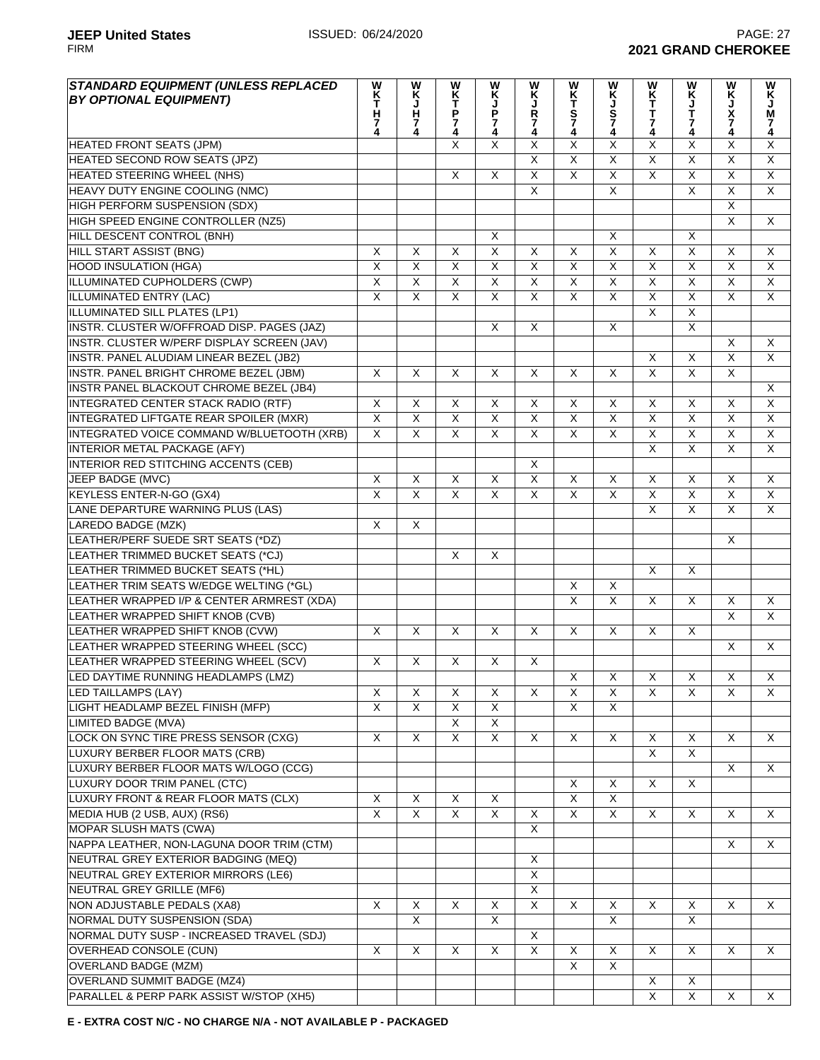| <b>STANDARD EQUIPMENT (UNLESS REPLACED</b>    | W                       | W                       |                         | W<br>Ķ                  | W                       |                         | W                       |                         | W                       | W                       | W<br>K                  |
|-----------------------------------------------|-------------------------|-------------------------|-------------------------|-------------------------|-------------------------|-------------------------|-------------------------|-------------------------|-------------------------|-------------------------|-------------------------|
| <b>BY OPTIONAL EQUIPMENT)</b>                 | K<br>T                  | Ķ                       | <b>NKT</b>              |                         | K<br>J                  |                         | K<br>J                  |                         | Ķ                       | Ķ                       |                         |
|                                               | $\frac{H}{7}$           | J<br>H                  |                         | P                       | <b>R</b><br>7<br>4      | <b>WKTS74</b>           |                         | <b>WKTT74</b>           | $\frac{1}{7}$<br>4      | J<br>X<br>7<br>4        | J<br>M                  |
|                                               | 4                       | 7<br>4                  | <b>P</b><br>7<br>4      | $\frac{7}{4}$           |                         |                         | S<br>7<br>4             |                         |                         |                         | 7<br>4                  |
| <b>HEATED FRONT SEATS (JPM)</b>               |                         |                         | X                       | $\overline{\mathsf{x}}$ | X                       | X                       | X                       | $\overline{\mathsf{x}}$ | X                       | $\overline{\mathsf{x}}$ | $\overline{X}$          |
| HEATED SECOND ROW SEATS (JPZ)                 |                         |                         |                         |                         | $\overline{X}$          | $\overline{X}$          | $\overline{\mathsf{x}}$ | $\overline{\mathsf{x}}$ | $\overline{\mathsf{x}}$ | $\overline{\mathsf{x}}$ | $\overline{\mathsf{x}}$ |
| HEATED STEERING WHEEL (NHS)                   |                         |                         | $\overline{\mathsf{x}}$ | X                       | $\overline{\mathsf{x}}$ | $\overline{\mathsf{x}}$ | $\overline{\mathsf{x}}$ | $\overline{X}$          | $\overline{X}$          | $\overline{\mathsf{x}}$ | $\overline{\mathsf{x}}$ |
| HEAVY DUTY ENGINE COOLING (NMC)               |                         |                         |                         |                         | $\overline{X}$          |                         | $\overline{\mathsf{x}}$ |                         | $\overline{\mathsf{X}}$ | $\overline{\mathsf{X}}$ | $\overline{X}$          |
| HIGH PERFORM SUSPENSION (SDX)                 |                         |                         |                         |                         |                         |                         |                         |                         |                         | $\overline{\mathsf{x}}$ |                         |
| HIGH SPEED ENGINE CONTROLLER (NZ5)            |                         |                         |                         |                         |                         |                         |                         |                         |                         | $\overline{\mathsf{x}}$ | $\mathsf{X}$            |
| <b>HILL DESCENT CONTROL (BNH)</b>             |                         |                         |                         | X                       |                         |                         | $\overline{\mathsf{x}}$ |                         | X                       |                         |                         |
| <b>HILL START ASSIST (BNG)</b>                | X                       | $\overline{\mathsf{x}}$ | X                       | X                       | $\overline{\mathsf{x}}$ | $\overline{\mathsf{x}}$ | $\overline{\mathsf{x}}$ | $\overline{\mathsf{x}}$ | $\overline{X}$          | $\overline{\mathsf{x}}$ | $\overline{\mathsf{x}}$ |
|                                               | $\overline{\mathsf{X}}$ | $\overline{X}$          |                         |                         |                         |                         |                         | $\overline{X}$          | $\overline{X}$          | $\overline{\mathsf{X}}$ | $\overline{\mathsf{x}}$ |
| <b>HOOD INSULATION (HGA)</b>                  |                         |                         | X                       | $\overline{\mathsf{X}}$ | X                       | X                       | $\overline{X}$          |                         | $\overline{\mathsf{x}}$ |                         |                         |
| <b>ILLUMINATED CUPHOLDERS (CWP)</b>           | $\overline{\mathsf{X}}$ | $\overline{X}$          | $\overline{X}$          | $\overline{X}$          | $\overline{X}$          | $\overline{\mathsf{x}}$ | $\overline{X}$          | $\overline{X}$          |                         | $\overline{\mathsf{x}}$ | $\overline{X}$          |
| <b>ILLUMINATED ENTRY (LAC)</b>                | $\overline{X}$          | $\overline{X}$          | $\overline{X}$          | $\overline{\mathsf{X}}$ | $\overline{X}$          | $\overline{\mathsf{x}}$ | $\overline{X}$          | $\overline{X}$          | $\overline{\mathsf{x}}$ | $\overline{\mathsf{x}}$ | $\overline{\mathsf{x}}$ |
| ILLUMINATED SILL PLATES (LP1)                 |                         |                         |                         |                         |                         |                         |                         | $\overline{X}$          | $\overline{\mathsf{X}}$ |                         |                         |
| INSTR. CLUSTER W/OFFROAD DISP. PAGES (JAZ)    |                         |                         |                         | $\overline{X}$          | $\overline{X}$          |                         | $\overline{\mathsf{x}}$ |                         | $\overline{X}$          |                         |                         |
| INSTR. CLUSTER W/PERF DISPLAY SCREEN (JAV)    |                         |                         |                         |                         |                         |                         |                         |                         |                         | X                       | $\overline{X}$          |
| INSTR. PANEL ALUDIAM LINEAR BEZEL (JB2)       |                         |                         |                         |                         |                         |                         |                         | $\overline{X}$          | $\overline{X}$          | $\overline{\mathsf{x}}$ | $\overline{X}$          |
| <b>INSTR. PANEL BRIGHT CHROME BEZEL (JBM)</b> | X                       | X                       | $\mathsf{X}$            | X                       | X                       | X                       | X                       | $\overline{\mathsf{x}}$ | $\overline{\mathsf{x}}$ | $\overline{\mathsf{x}}$ |                         |
| INSTR PANEL BLACKOUT CHROME BEZEL (JB4)       |                         |                         |                         |                         |                         |                         |                         |                         |                         |                         | $\overline{X}$          |
| INTEGRATED CENTER STACK RADIO (RTF)           | X                       | $\overline{X}$          | X                       | X                       | X                       | X                       | X                       | $\overline{X}$          | $\overline{X}$          | $\overline{\mathsf{X}}$ | $\overline{X}$          |
| <b>INTEGRATED LIFTGATE REAR SPOILER (MXR)</b> | $\overline{\mathsf{x}}$ | $\overline{\mathsf{x}}$ | $\overline{\mathsf{x}}$ | $\overline{\mathsf{x}}$ | $\overline{\mathsf{x}}$ | $\overline{X}$          | $\overline{\mathsf{x}}$ | $\overline{\mathsf{x}}$ | $\overline{\mathsf{X}}$ | $\overline{\mathsf{x}}$ | $\overline{X}$          |
| INTEGRATED VOICE COMMAND W/BLUETOOTH (XRB)    | X                       | $\overline{X}$          | $\overline{\mathsf{x}}$ | $\overline{X}$          | $\overline{X}$          | X                       | $\overline{X}$          | $\overline{\mathsf{x}}$ | $\overline{X}$          | $\overline{\mathsf{x}}$ | $\overline{X}$          |
| <b>INTERIOR METAL PACKAGE (AFY)</b>           |                         |                         |                         |                         |                         |                         |                         | $\overline{X}$          | $\overline{X}$          | $\overline{\mathsf{x}}$ | $\overline{\mathsf{x}}$ |
| INTERIOR RED STITCHING ACCENTS (CEB)          |                         |                         |                         |                         | $\overline{X}$          |                         |                         |                         |                         |                         |                         |
| JEEP BADGE (MVC)                              | X                       | $\overline{X}$          | $\overline{\mathsf{x}}$ | $\overline{X}$          | $\overline{\mathsf{X}}$ | $\overline{\mathsf{x}}$ | X                       | $\overline{X}$          | $\overline{X}$          | $\overline{\mathsf{X}}$ | X                       |
| <b>KEYLESS ENTER-N-GO (GX4)</b>               | $\overline{\mathsf{x}}$ | $\overline{X}$          | $\overline{X}$          | $\overline{X}$          | $\overline{\mathsf{x}}$ | $\overline{X}$          | $\overline{X}$          | $\overline{\mathsf{x}}$ | $\overline{X}$          | $\overline{\mathsf{x}}$ | $\overline{X}$          |
| LANE DEPARTURE WARNING PLUS (LAS)             |                         |                         |                         |                         |                         |                         |                         | $\overline{\mathsf{x}}$ | $\overline{\mathsf{x}}$ | $\overline{\mathsf{x}}$ | $\overline{X}$          |
| <b>LAREDO BADGE (MZK)</b>                     | X                       | $\overline{X}$          |                         |                         |                         |                         |                         |                         |                         |                         |                         |
|                                               |                         |                         |                         |                         |                         |                         |                         |                         |                         |                         |                         |
| LEATHER/PERF SUEDE SRT SEATS (*DZ)            |                         |                         |                         |                         |                         |                         |                         |                         |                         | X                       |                         |
| LEATHER TRIMMED BUCKET SEATS (*CJ)            |                         |                         | X                       | $\overline{X}$          |                         |                         |                         |                         |                         |                         |                         |
| LEATHER TRIMMED BUCKET SEATS (*HL)            |                         |                         |                         |                         |                         |                         |                         | $\sf X$                 | X                       |                         |                         |
| LEATHER TRIM SEATS W/EDGE WELTING (*GL)       |                         |                         |                         |                         |                         | X                       | X                       |                         |                         |                         |                         |
| LEATHER WRAPPED I/P & CENTER ARMREST (XDA)    |                         |                         |                         |                         |                         | $\overline{\mathsf{x}}$ | $\overline{\mathsf{x}}$ | $\overline{\mathsf{x}}$ | $\overline{\mathsf{x}}$ | X                       | $\overline{X}$          |
| LEATHER WRAPPED SHIFT KNOB (CVB)              |                         |                         |                         |                         |                         |                         |                         |                         |                         | $\overline{\mathsf{x}}$ | $\overline{\mathsf{x}}$ |
| LEATHER WRAPPED SHIFT KNOB (CVW)              | $\overline{\mathsf{x}}$ | $\overline{\mathsf{x}}$ | $\overline{\mathsf{x}}$ | $\overline{\mathsf{x}}$ | $\overline{X}$          | $\overline{\mathsf{x}}$ | $\overline{\mathsf{x}}$ | $\overline{\mathsf{x}}$ | $\overline{\mathsf{x}}$ |                         |                         |
| LEATHER WRAPPED STEERING WHEEL (SCC)          |                         |                         |                         |                         |                         |                         |                         |                         |                         | X                       | $\overline{X}$          |
| LEATHER WRAPPED STEERING WHEEL (SCV)          | $\overline{X}$          | $\overline{\mathsf{x}}$ | $\overline{X}$          | $\overline{X}$          | $\overline{X}$          |                         |                         |                         |                         |                         |                         |
| LED DAYTIME RUNNING HEADLAMPS (LMZ)           |                         |                         |                         |                         |                         | $\overline{X}$          | $\overline{\mathsf{X}}$ | $\overline{\mathsf{X}}$ | $\overline{\mathsf{X}}$ | $\overline{X}$          | $\overline{\mathsf{X}}$ |
| LED TAILLAMPS (LAY)                           | X                       | X                       | X                       | X                       | X                       | $\overline{\mathsf{x}}$ | X                       | $\overline{X}$          | $\overline{X}$          | X                       | X                       |
| LIGHT HEADLAMP BEZEL FINISH (MFP)             | $\overline{X}$          | X                       | X                       | X                       |                         | X                       | X                       |                         |                         |                         |                         |
| LIMITED BADGE (MVA)                           |                         |                         | $\overline{X}$          | $\overline{X}$          |                         |                         |                         |                         |                         |                         |                         |
| LOCK ON SYNC TIRE PRESS SENSOR (CXG)          | $\overline{X}$          | $\overline{X}$          | $\overline{\mathsf{x}}$ | $\overline{X}$          | $\overline{X}$          | $\overline{\mathsf{x}}$ | $\overline{X}$          | $\overline{X}$          | $\overline{X}$          | X                       | $\overline{X}$          |
| LUXURY BERBER FLOOR MATS (CRB)                |                         |                         |                         |                         |                         |                         |                         | $\overline{\mathsf{x}}$ | $\overline{X}$          |                         |                         |
| LUXURY BERBER FLOOR MATS W/LOGO (CCG)         |                         |                         |                         |                         |                         |                         |                         |                         |                         | $\overline{\mathsf{x}}$ | $\overline{X}$          |
| LUXURY DOOR TRIM PANEL (CTC)                  |                         |                         |                         |                         |                         | X                       | X                       | $\overline{X}$          | $\overline{\mathsf{x}}$ |                         |                         |
| LUXURY FRONT & REAR FLOOR MATS (CLX)          | $\overline{\mathsf{x}}$ | $\overline{X}$          | $\overline{\mathsf{x}}$ | X                       |                         | $\overline{\mathsf{x}}$ | $\overline{\mathsf{X}}$ |                         |                         |                         |                         |
|                                               | $\overline{\mathsf{x}}$ | $\overline{X}$          | X                       | X                       | X                       | $\overline{\mathsf{x}}$ | $\overline{X}$          | $\overline{X}$          | $\overline{\mathsf{x}}$ | $\overline{X}$          | X                       |
| MEDIA HUB (2 USB, AUX) (RS6)                  |                         |                         |                         |                         |                         |                         |                         |                         |                         |                         |                         |
| MOPAR SLUSH MATS (CWA)                        |                         |                         |                         |                         | X                       |                         |                         |                         |                         |                         |                         |
| NAPPA LEATHER, NON-LAGUNA DOOR TRIM (CTM)     |                         |                         |                         |                         |                         |                         |                         |                         |                         | X                       | X                       |
| NEUTRAL GREY EXTERIOR BADGING (MEQ)           |                         |                         |                         |                         | X                       |                         |                         |                         |                         |                         |                         |
| NEUTRAL GREY EXTERIOR MIRRORS (LE6)           |                         |                         |                         |                         | $\overline{X}$          |                         |                         |                         |                         |                         |                         |
| <b>NEUTRAL GREY GRILLE (MF6)</b>              |                         |                         |                         |                         | $\overline{X}$          |                         |                         |                         |                         |                         |                         |
| NON ADJUSTABLE PEDALS (XA8)                   | X                       | $\overline{X}$          | $\overline{\mathsf{x}}$ | X                       | $\overline{\mathsf{x}}$ | $\overline{\mathsf{x}}$ | X                       | $\overline{\mathsf{x}}$ | X                       | X                       | X                       |
| NORMAL DUTY SUSPENSION (SDA)                  |                         | $\overline{\mathsf{x}}$ |                         | X                       |                         |                         | $\overline{\mathsf{x}}$ |                         | $\overline{\mathsf{x}}$ |                         |                         |
| NORMAL DUTY SUSP - INCREASED TRAVEL (SDJ)     |                         |                         |                         |                         | X                       |                         |                         |                         |                         |                         |                         |
| <b>OVERHEAD CONSOLE (CUN)</b>                 | X                       | X                       | X                       | X                       | X                       | $\overline{\mathsf{x}}$ | $\overline{\mathsf{x}}$ | X                       | $\overline{X}$          | X                       | X                       |
| <b>OVERLAND BADGE (MZM)</b>                   |                         |                         |                         |                         |                         | $\overline{X}$          | $\overline{\mathsf{x}}$ |                         |                         |                         |                         |
| <b>OVERLAND SUMMIT BADGE (MZ4)</b>            |                         |                         |                         |                         |                         |                         |                         | $\overline{X}$          | $\overline{\mathsf{x}}$ |                         |                         |
| PARALLEL & PERP PARK ASSIST W/STOP (XH5)      |                         |                         |                         |                         |                         |                         |                         | $\overline{X}$          | $\overline{X}$          | X                       | $\pmb{\times}$          |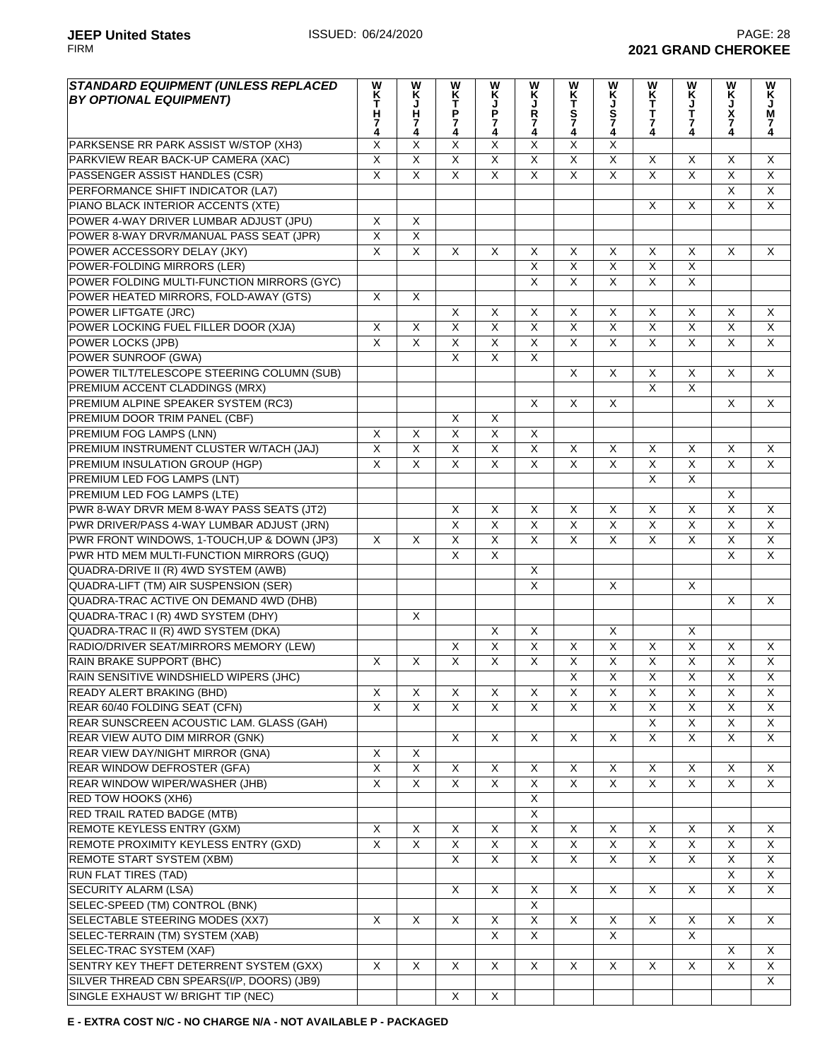| <b>STANDARD EQUIPMENT (UNLESS REPLACED</b><br><b>BY OPTIONAL EQUIPMENT)</b> | W<br>K<br>T<br>H<br>7<br>4 | W<br><b>KJH74</b>       | <b>WK<br/>T<br/>P</b><br>-<br>4 | W<br>K<br>P<br>7<br>4   | <b>WKJR74</b>                | WKTS74                       | WKJS74                       | W<br>K<br>T<br>T<br>7<br>4   | WKJT74                  | W<br>K<br>J<br>X<br>7<br>4   | <b>W<br/>K<br/>M</b><br>Ï.<br>4 |
|-----------------------------------------------------------------------------|----------------------------|-------------------------|---------------------------------|-------------------------|------------------------------|------------------------------|------------------------------|------------------------------|-------------------------|------------------------------|---------------------------------|
| PARKSENSE RR PARK ASSIST W/STOP (XH3)                                       | X                          | $\overline{\mathsf{X}}$ | X                               | $\overline{X}$          | X                            | X                            | $\overline{X}$               |                              |                         |                              |                                 |
| PARKVIEW REAR BACK-UP CAMERA (XAC)                                          | $\overline{\mathsf{x}}$    | $\overline{\mathsf{x}}$ | $\overline{\mathsf{x}}$         | $\overline{\mathsf{x}}$ | $\overline{\mathsf{x}}$      | $\overline{\mathsf{x}}$      | $\overline{X}$               | $\overline{X}$               | $\overline{\mathsf{x}}$ | X                            | X                               |
| PASSENGER ASSIST HANDLES (CSR)                                              | $\overline{\mathsf{x}}$    | $\overline{X}$          | $\overline{\mathsf{x}}$         | $\overline{\mathsf{x}}$ | $\overline{\mathsf{x}}$      | $\overline{\mathsf{x}}$      | $\overline{\mathsf{x}}$      | $\overline{\mathsf{x}}$      | $\overline{\mathsf{x}}$ | $\overline{\mathsf{x}}$      | X                               |
| PERFORMANCE SHIFT INDICATOR (LA7)                                           |                            |                         |                                 |                         |                              |                              |                              |                              |                         | $\overline{\mathsf{x}}$      | $\overline{X}$                  |
| PIANO BLACK INTERIOR ACCENTS (XTE)                                          |                            |                         |                                 |                         |                              |                              |                              | $\mathsf{X}$                 | X                       | X                            | $\mathsf{X}$                    |
| POWER 4-WAY DRIVER LUMBAR ADJUST (JPU)                                      | X                          | $\overline{X}$          |                                 |                         |                              |                              |                              |                              |                         |                              |                                 |
| POWER 8-WAY DRVR/MANUAL PASS SEAT (JPR)                                     | $\overline{X}$             | $\overline{X}$          |                                 |                         |                              |                              |                              |                              |                         |                              |                                 |
| POWER ACCESSORY DELAY (JKY)                                                 | $\overline{\mathsf{x}}$    | $\overline{\mathsf{x}}$ | X                               | X                       | X                            | X                            | X                            | $\overline{X}$               | $\overline{X}$          | $\overline{\mathsf{x}}$      | X                               |
| POWER-FOLDING MIRRORS (LER)                                                 |                            |                         |                                 |                         | $\overline{\mathsf{x}}$      | $\overline{\mathsf{x}}$      | $\overline{\mathsf{x}}$      | $\overline{\mathsf{x}}$      | $\overline{\mathsf{x}}$ |                              |                                 |
| POWER FOLDING MULTI-FUNCTION MIRRORS (GYC)                                  |                            |                         |                                 |                         | $\overline{X}$               | $\overline{\mathsf{X}}$      | $\overline{X}$               | $\overline{\mathsf{x}}$      | $\overline{\mathsf{x}}$ |                              |                                 |
| POWER HEATED MIRRORS, FOLD-AWAY (GTS)                                       | $\overline{\mathsf{x}}$    | $\overline{X}$          |                                 |                         |                              |                              |                              |                              |                         |                              |                                 |
| POWER LIFTGATE (JRC)                                                        |                            |                         | X                               | X                       | $\pmb{\times}$               | X                            | $\pmb{\times}$               | $\mathsf{X}$                 | $\overline{\mathsf{x}}$ | $\pmb{\times}$               | X                               |
| POWER LOCKING FUEL FILLER DOOR (XJA)                                        | $\overline{\mathsf{x}}$    | $\overline{X}$          | $\overline{X}$                  | $\overline{\mathsf{x}}$ | $\overline{\mathsf{x}}$      | $\overline{\mathsf{x}}$      | $\overline{\mathsf{x}}$      | $\overline{\mathsf{x}}$      | $\overline{X}$          | $\overline{\mathsf{x}}$      | $\overline{\mathsf{x}}$         |
| POWER LOCKS (JPB)                                                           | $\overline{\mathsf{x}}$    | $\overline{X}$          | $\overline{X}$                  | $\overline{\mathsf{x}}$ | $\overline{X}$               | $\overline{\mathsf{x}}$      | $\overline{\mathsf{x}}$      | $\overline{\mathsf{x}}$      | $\overline{X}$          | $\overline{X}$               | $\overline{X}$                  |
| POWER SUNROOF (GWA)                                                         |                            |                         | $\overline{X}$                  | $\overline{\mathsf{x}}$ | $\overline{X}$               |                              |                              |                              |                         |                              |                                 |
| POWER TILT/TELESCOPE STEERING COLUMN (SUB)                                  |                            |                         |                                 |                         |                              | X                            | X                            | X                            | X                       | X                            | X                               |
| PREMIUM ACCENT CLADDINGS (MRX)                                              |                            |                         |                                 |                         |                              |                              |                              | $\overline{\mathsf{x}}$      | $\overline{\mathsf{x}}$ |                              |                                 |
| PREMIUM ALPINE SPEAKER SYSTEM (RC3)                                         |                            |                         |                                 |                         | $\overline{\mathsf{x}}$      | $\overline{\mathsf{x}}$      | X                            |                              |                         | X                            | $\overline{\mathsf{x}}$         |
| PREMIUM DOOR TRIM PANEL (CBF)                                               |                            |                         | $\overline{\mathsf{x}}$         | $\overline{\mathsf{x}}$ |                              |                              |                              |                              |                         |                              |                                 |
| <b>PREMIUM FOG LAMPS (LNN)</b>                                              | X                          | X                       | $\overline{\mathsf{x}}$         | $\overline{\mathsf{x}}$ | $\overline{\mathsf{x}}$      |                              |                              |                              |                         |                              |                                 |
| PREMIUM INSTRUMENT CLUSTER W/TACH (JAJ)                                     | $\overline{\mathsf{x}}$    | $\overline{X}$          | $\overline{\mathsf{x}}$         | $\overline{\mathsf{x}}$ | $\overline{\mathsf{x}}$      | X                            | X                            | $\sf X$                      | X                       | X                            | X                               |
| PREMIUM INSULATION GROUP (HGP)                                              | $\overline{\mathsf{x}}$    | $\overline{\mathsf{x}}$ | $\overline{\mathsf{x}}$         | $\overline{\mathsf{x}}$ | $\overline{\mathsf{x}}$      | $\overline{\mathsf{x}}$      | $\overline{\mathsf{x}}$      | $\overline{X}$               | $\overline{\mathsf{x}}$ | $\overline{\mathsf{x}}$      | X                               |
| <b>PREMIUM LED FOG LAMPS (LNT)</b>                                          |                            |                         |                                 |                         |                              |                              |                              | $\overline{\mathsf{x}}$      | $\overline{X}$          |                              |                                 |
| PREMIUM LED FOG LAMPS (LTE)                                                 |                            |                         |                                 |                         |                              |                              |                              |                              |                         | X                            |                                 |
| PWR 8-WAY DRVR MEM 8-WAY PASS SEATS (JT2)                                   |                            |                         | X                               | X                       | X                            | X                            | X                            | X                            | X                       | $\overline{\mathsf{x}}$      | X                               |
| PWR DRIVER/PASS 4-WAY LUMBAR ADJUST (JRN)                                   |                            |                         | $\overline{X}$                  | $\overline{X}$          | X                            | X                            | X                            | X                            | X                       | $\overline{\mathsf{x}}$      | X                               |
| PWR FRONT WINDOWS, 1-TOUCH, UP & DOWN (JP3)                                 | X                          | X                       | $\overline{\mathsf{X}}$         | $\overline{X}$          | $\overline{\mathsf{x}}$      | X                            | X                            | $\overline{\mathsf{x}}$      | X                       | Χ                            | X                               |
| PWR HTD MEM MULTI-FUNCTION MIRRORS (GUQ)                                    |                            |                         | $\overline{\mathsf{x}}$         | $\overline{X}$          |                              |                              |                              |                              |                         | $\overline{\mathsf{x}}$      | $\overline{X}$                  |
| QUADRA-DRIVE II (R) 4WD SYSTEM (AWB)                                        |                            |                         |                                 |                         | $\overline{\mathsf{x}}$      |                              |                              |                              |                         |                              |                                 |
| QUADRA-LIFT (TM) AIR SUSPENSION (SER)                                       |                            |                         |                                 |                         | $\overline{\mathsf{x}}$      |                              | X                            |                              | X                       |                              |                                 |
| QUADRA-TRAC ACTIVE ON DEMAND 4WD (DHB)                                      |                            |                         |                                 |                         |                              |                              |                              |                              |                         | X                            | X                               |
| QUADRA-TRAC I (R) 4WD SYSTEM (DHY)                                          |                            | $\overline{\mathsf{x}}$ |                                 |                         |                              |                              |                              |                              |                         |                              |                                 |
| QUADRA-TRAC II (R) 4WD SYSTEM (DKA)                                         |                            |                         |                                 | X                       | $\overline{X}$               |                              | $\overline{\mathsf{x}}$      |                              | $\overline{\mathsf{x}}$ |                              |                                 |
| RADIO/DRIVER SEAT/MIRRORS MEMORY (LEW)                                      |                            |                         | $\overline{X}$                  | $\overline{X}$          | $\overline{X}$               | X                            | $\overline{X}$               | X                            | $\overline{X}$          | X                            | X                               |
| <b>RAIN BRAKE SUPPORT (BHC)</b>                                             | X                          | X                       | X                               | X                       | X                            | X                            | X                            | X                            | $\overline{\mathsf{x}}$ | $\overline{\mathsf{x}}$      | $\mathsf{X}$                    |
| RAIN SENSITIVE WINDSHIELD WIPERS (JHC)                                      |                            |                         |                                 |                         |                              | X                            | X                            | X                            | X                       | X                            | $\pmb{\times}$                  |
| READY ALERT BRAKING (BHD)                                                   | $\overline{\mathsf{X}}$    | $\overline{\mathsf{X}}$ | $\overline{X}$                  | $\overline{X}$          | X                            | X                            | $\overline{X}$               | $\overline{X}$               | $\overline{X}$          | $\overline{\mathsf{x}}$      | X                               |
| REAR 60/40 FOLDING SEAT (CFN)                                               | $\overline{X}$             | $\overline{\mathsf{X}}$ | $\overline{\mathsf{x}}$         | $\overline{X}$          | $\overline{\mathsf{x}}$      | $\overline{\mathsf{X}}$      | $\overline{\mathsf{x}}$      | $\overline{\mathsf{x}}$      | $\overline{\mathsf{x}}$ | $\overline{X}$               | $\overline{\mathsf{x}}$         |
| REAR SUNSCREEN ACOUSTIC LAM. GLASS (GAH)                                    |                            |                         |                                 |                         |                              |                              |                              | $\overline{X}$               | $\overline{X}$          | $\overline{\mathsf{x}}$      | $\overline{X}$                  |
| REAR VIEW AUTO DIM MIRROR (GNK)                                             |                            |                         | $\overline{\mathsf{x}}$         | $\overline{\mathsf{x}}$ | $\overline{X}$               | $\overline{X}$               | $\overline{\mathsf{x}}$      | $\overline{X}$               | $\overline{X}$          | X                            | X                               |
| <b>REAR VIEW DAY/NIGHT MIRROR (GNA)</b>                                     | $\overline{X}$             | $\overline{X}$          |                                 |                         |                              |                              |                              |                              |                         |                              |                                 |
| <b>REAR WINDOW DEFROSTER (GFA)</b>                                          | $\overline{X}$             | $\overline{X}$          | $\overline{X}$                  | $\overline{\mathsf{x}}$ | $\overline{\mathsf{x}}$      | $\overline{\mathsf{X}}$      | $\overline{X}$               | $\overline{X}$               | $\overline{X}$          | $\overline{\mathsf{x}}$      | X                               |
| REAR WINDOW WIPER/WASHER (JHB)                                              | $\overline{X}$             | $\overline{\mathsf{X}}$ | $\overline{\mathsf{X}}$         | $\overline{X}$          | $\overline{\mathsf{X}}$      | $\overline{X}$               | $\overline{X}$               | $\overline{X}$               | $\overline{\mathsf{x}}$ | $\overline{X}$               | X                               |
| RED TOW HOOKS (XH6)                                                         |                            |                         |                                 |                         | $\overline{\mathsf{X}}$      |                              |                              |                              |                         |                              |                                 |
| <b>RED TRAIL RATED BADGE (MTB)</b>                                          |                            |                         |                                 |                         | $\overline{\mathsf{X}}$      |                              |                              |                              |                         |                              |                                 |
| REMOTE KEYLESS ENTRY (GXM)                                                  | $\mathsf X$                |                         | $\mathsf X$                     | $\mathsf X$             | $\mathsf X$                  |                              |                              |                              |                         |                              |                                 |
|                                                                             | $\overline{\mathsf{x}}$    | X<br>$\overline{X}$     | $\overline{\mathsf{x}}$         | $\overline{\mathsf{x}}$ | $\overline{\mathsf{x}}$      | X<br>$\overline{\mathsf{x}}$ | X<br>$\overline{\mathsf{x}}$ | X<br>$\overline{\mathsf{x}}$ | X<br>$\overline{X}$     | X<br>$\overline{\mathsf{X}}$ | X<br>$\overline{X}$             |
| REMOTE PROXIMITY KEYLESS ENTRY (GXD)<br><b>REMOTE START SYSTEM (XBM)</b>    |                            |                         | $\overline{\mathsf{x}}$         | $\overline{X}$          | $\overline{\mathsf{x}}$      | $\overline{\mathsf{x}}$      | $\overline{\mathsf{x}}$      | $\overline{X}$               | $\overline{\mathsf{x}}$ | $\overline{X}$               | $\overline{\mathsf{X}}$         |
|                                                                             |                            |                         |                                 |                         |                              |                              |                              |                              |                         | $\overline{X}$               | X                               |
| <b>RUN FLAT TIRES (TAD)</b>                                                 |                            |                         | $\overline{X}$                  |                         |                              |                              |                              |                              | $\overline{X}$          |                              |                                 |
| <b>SECURITY ALARM (LSA)</b>                                                 |                            |                         |                                 | X                       | $\overline{\mathsf{x}}$<br>X | X                            | X                            | X                            |                         | X                            | $\overline{\mathsf{x}}$         |
| SELEC-SPEED (TM) CONTROL (BNK)                                              |                            |                         |                                 |                         |                              |                              |                              |                              |                         |                              |                                 |
| SELECTABLE STEERING MODES (XX7)                                             | X                          | $\overline{X}$          | $\overline{X}$                  | $\overline{\mathsf{x}}$ | $\overline{X}$               | $\overline{X}$               | $\overline{X}$               | $\overline{\mathsf{x}}$      | $\overline{\mathsf{x}}$ | $\overline{\mathsf{x}}$      | $\overline{X}$                  |
| SELEC-TERRAIN (TM) SYSTEM (XAB)                                             |                            |                         |                                 | X                       | $\overline{X}$               |                              | $\overline{X}$               |                              | $\pmb{\times}$          |                              |                                 |
| SELEC-TRAC SYSTEM (XAF)                                                     |                            |                         |                                 |                         |                              |                              |                              |                              |                         | X                            | X                               |
| SENTRY KEY THEFT DETERRENT SYSTEM (GXX)                                     | $\overline{\mathsf{X}}$    | $\overline{\mathsf{X}}$ | $\overline{\mathsf{X}}$         | $\overline{X}$          | $\overline{\mathsf{X}}$      | $\overline{\mathsf{X}}$      | $\overline{\mathsf{X}}$      | $\overline{X}$               | X                       | $\overline{\mathsf{X}}$      | X                               |
| SILVER THREAD CBN SPEARS(I/P, DOORS) (JB9)                                  |                            |                         |                                 |                         |                              |                              |                              |                              |                         |                              | X                               |
| SINGLE EXHAUST W/ BRIGHT TIP (NEC)                                          |                            |                         | X                               | Χ                       |                              |                              |                              |                              |                         |                              |                                 |